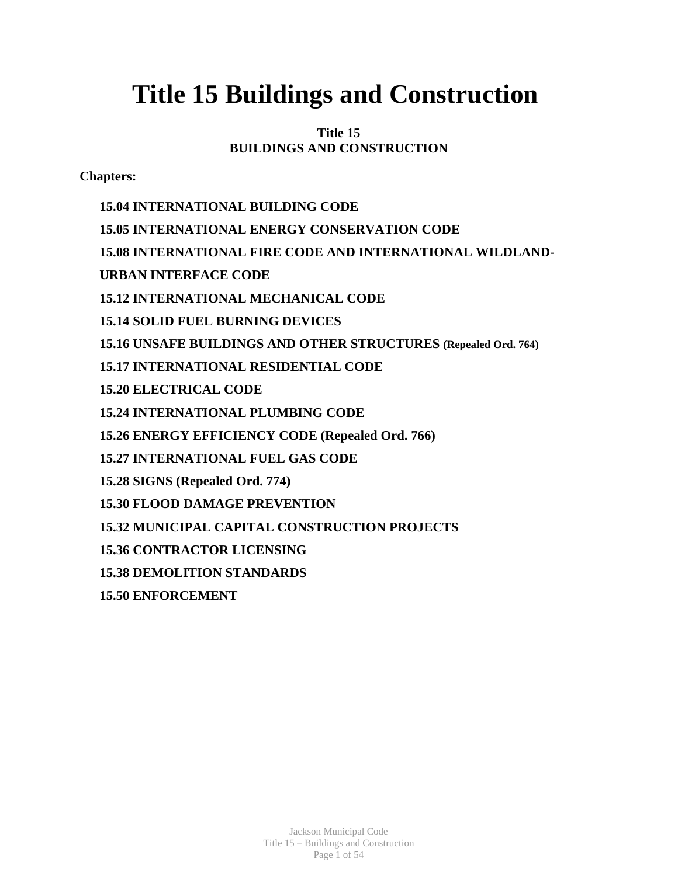# **Title 15 Buildings and Construction**

# **Title 15 BUILDINGS AND CONSTRUCTION**

**Chapters:**

**15.04 INTERNATIONAL BUILDING CODE 15.05 INTERNATIONAL ENERGY CONSERVATION CODE 15.08 INTERNATIONAL FIRE CODE AND INTERNATIONAL WILDLAND-URBAN INTERFACE CODE 15.12 INTERNATIONAL MECHANICAL CODE 15.14 SOLID FUEL BURNING DEVICES 15.16 UNSAFE BUILDINGS AND OTHER STRUCTURES (Repealed Ord. 764) 15.17 INTERNATIONAL RESIDENTIAL CODE 15.20 ELECTRICAL CODE 15.24 INTERNATIONAL PLUMBING CODE 15.26 ENERGY EFFICIENCY CODE (Repealed Ord. 766) 15.27 INTERNATIONAL FUEL GAS CODE 15.28 SIGNS (Repealed Ord. 774) 15.30 FLOOD DAMAGE PREVENTION 15.32 MUNICIPAL CAPITAL CONSTRUCTION PROJECTS 15.36 CONTRACTOR LICENSING 15.38 DEMOLITION STANDARDS 15.50 ENFORCEMENT**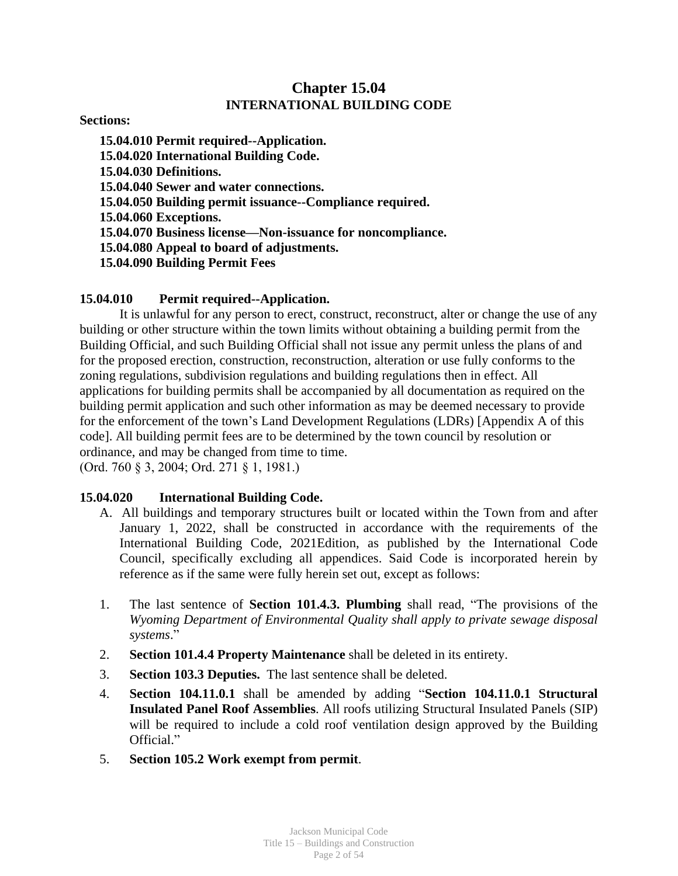# **Chapter 15.04 INTERNATIONAL BUILDING CODE**

**Sections:**

**15.04.010 Permit required--Application. 15.04.020 International Building Code. 15.04.030 Definitions. 15.04.040 Sewer and water connections. 15.04.050 Building permit issuance--Compliance required. 15.04.060 Exceptions. 15.04.070 Business license—Non-issuance for noncompliance. 15.04.080 Appeal to board of adjustments. 15.04.090 Building Permit Fees**

## **15.04.010 Permit required--Application.**

It is unlawful for any person to erect, construct, reconstruct, alter or change the use of any building or other structure within the town limits without obtaining a building permit from the Building Official, and such Building Official shall not issue any permit unless the plans of and for the proposed erection, construction, reconstruction, alteration or use fully conforms to the zoning regulations, subdivision regulations and building regulations then in effect. All applications for building permits shall be accompanied by all documentation as required on the building permit application and such other information as may be deemed necessary to provide for the enforcement of the town's Land Development Regulations (LDRs) [Appendix A of this code]. All building permit fees are to be determined by the town council by resolution or ordinance, and may be changed from time to time.

(Ord. 760 § 3, 2004; Ord. 271 § 1, 1981.)

#### **15.04.020 International Building Code.**

- A. All buildings and temporary structures built or located within the Town from and after January 1, 2022, shall be constructed in accordance with the requirements of the International Building Code, 2021Edition, as published by the International Code Council, specifically excluding all appendices. Said Code is incorporated herein by reference as if the same were fully herein set out, except as follows:
- 1. The last sentence of **Section 101.4.3. Plumbing** shall read, "The provisions of the *Wyoming Department of Environmental Quality shall apply to private sewage disposal systems*."
- 2. **Section 101.4.4 Property Maintenance** shall be deleted in its entirety.
- 3. **Section 103.3 Deputies.** The last sentence shall be deleted.
- 4. **Section 104.11.0.1** shall be amended by adding "**Section 104.11.0.1 Structural Insulated Panel Roof Assemblies**. All roofs utilizing Structural Insulated Panels (SIP) will be required to include a cold roof ventilation design approved by the Building Official."
- 5. **Section 105.2 Work exempt from permit**.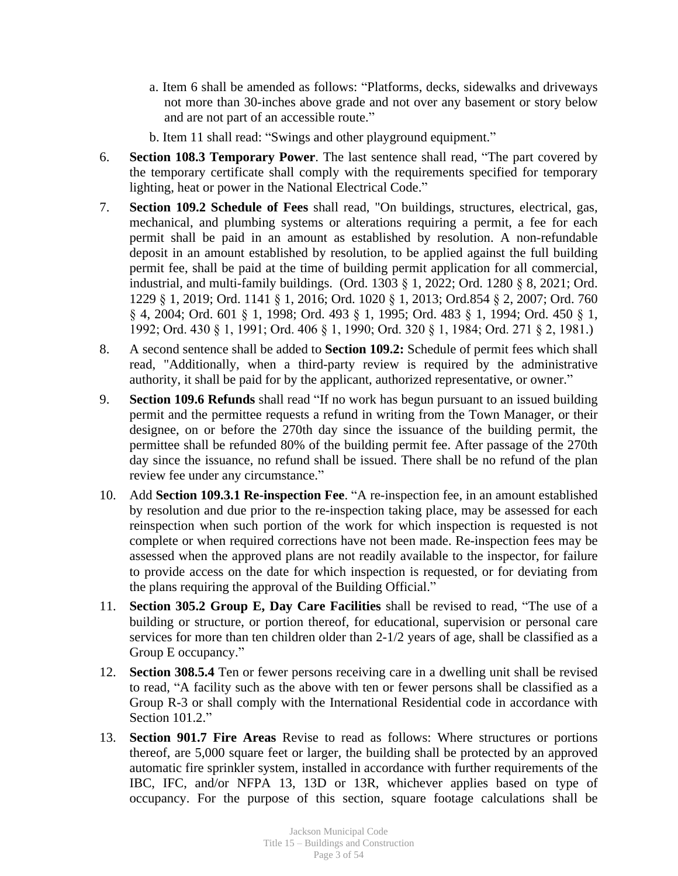- a. Item 6 shall be amended as follows: "Platforms, decks, sidewalks and driveways not more than 30-inches above grade and not over any basement or story below and are not part of an accessible route."
- b. Item 11 shall read: "Swings and other playground equipment."
- 6. **Section 108.3 Temporary Power**. The last sentence shall read, "The part covered by the temporary certificate shall comply with the requirements specified for temporary lighting, heat or power in the National Electrical Code."
- 7. **Section 109.2 Schedule of Fees** shall read, "On buildings, structures, electrical, gas, mechanical, and plumbing systems or alterations requiring a permit, a fee for each permit shall be paid in an amount as established by resolution. A non-refundable deposit in an amount established by resolution, to be applied against the full building permit fee, shall be paid at the time of building permit application for all commercial, industrial, and multi-family buildings. (Ord. 1303 § 1, 2022; Ord. 1280 § 8, 2021; Ord. 1229 § 1, 2019; Ord. 1141 § 1, 2016; Ord. 1020 § 1, 2013; Ord.854 § 2, 2007; Ord. 760 § 4, 2004; Ord. 601 § 1, 1998; Ord. 493 § 1, 1995; Ord. 483 § 1, 1994; Ord. 450 § 1, 1992; Ord. 430 § 1, 1991; Ord. 406 § 1, 1990; Ord. 320 § 1, 1984; Ord. 271 § 2, 1981.)
- 8. A second sentence shall be added to **Section 109.2:** Schedule of permit fees which shall read, "Additionally, when a third-party review is required by the administrative authority, it shall be paid for by the applicant, authorized representative, or owner."
- 9. **Section 109.6 Refunds** shall read "If no work has begun pursuant to an issued building permit and the permittee requests a refund in writing from the Town Manager, or their designee, on or before the 270th day since the issuance of the building permit, the permittee shall be refunded 80% of the building permit fee. After passage of the 270th day since the issuance, no refund shall be issued. There shall be no refund of the plan review fee under any circumstance."
- 10. Add **Section 109.3.1 Re-inspection Fee**. "A re-inspection fee, in an amount established by resolution and due prior to the re-inspection taking place, may be assessed for each reinspection when such portion of the work for which inspection is requested is not complete or when required corrections have not been made. Re-inspection fees may be assessed when the approved plans are not readily available to the inspector, for failure to provide access on the date for which inspection is requested, or for deviating from the plans requiring the approval of the Building Official."
- 11. **Section 305.2 Group E, Day Care Facilities** shall be revised to read, "The use of a building or structure, or portion thereof, for educational, supervision or personal care services for more than ten children older than 2-1/2 years of age, shall be classified as a Group E occupancy."
- 12. **Section 308.5.4** Ten or fewer persons receiving care in a dwelling unit shall be revised to read, "A facility such as the above with ten or fewer persons shall be classified as a Group R-3 or shall comply with the International Residential code in accordance with Section 101.2."
- 13. **Section 901.7 Fire Areas** Revise to read as follows: Where structures or portions thereof, are 5,000 square feet or larger, the building shall be protected by an approved automatic fire sprinkler system, installed in accordance with further requirements of the IBC, IFC, and/or NFPA 13, 13D or 13R, whichever applies based on type of occupancy. For the purpose of this section, square footage calculations shall be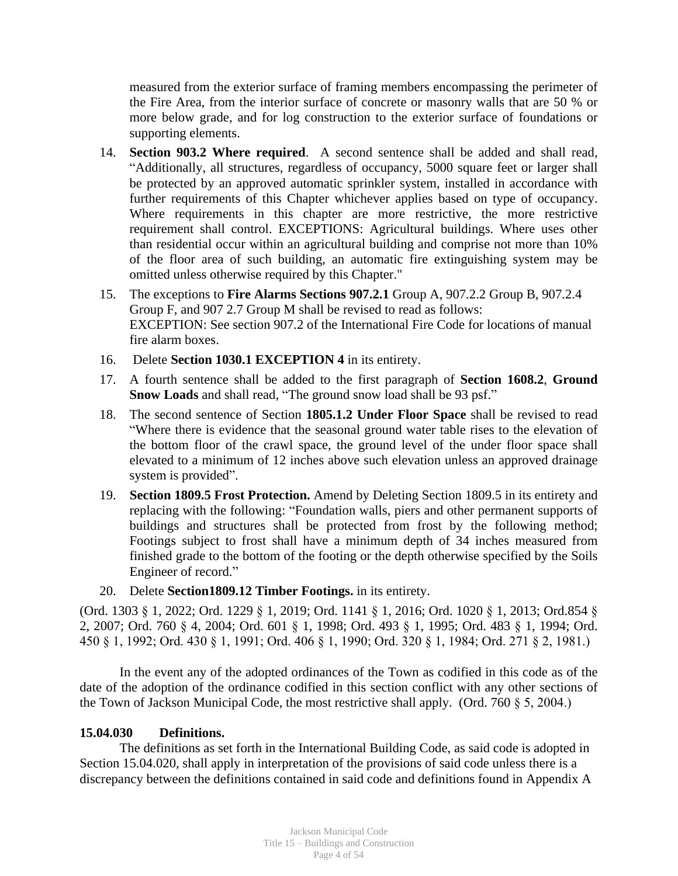measured from the exterior surface of framing members encompassing the perimeter of the Fire Area, from the interior surface of concrete or masonry walls that are 50 % or more below grade, and for log construction to the exterior surface of foundations or supporting elements.

- 14. **Section 903.2 Where required**. A second sentence shall be added and shall read, "Additionally, all structures, regardless of occupancy, 5000 square feet or larger shall be protected by an approved automatic sprinkler system, installed in accordance with further requirements of this Chapter whichever applies based on type of occupancy. Where requirements in this chapter are more restrictive, the more restrictive requirement shall control. EXCEPTIONS: Agricultural buildings. Where uses other than residential occur within an agricultural building and comprise not more than 10% of the floor area of such building, an automatic fire extinguishing system may be omitted unless otherwise required by this Chapter."
- 15. The exceptions to **Fire Alarms Sections 907.2.1** Group A, 907.2.2 Group B, 907.2.4 Group F, and 907 2.7 Group M shall be revised to read as follows: EXCEPTION: See section 907.2 of the International Fire Code for locations of manual fire alarm boxes.
- 16. Delete **Section 1030.1 EXCEPTION 4** in its entirety.
- 17. A fourth sentence shall be added to the first paragraph of **Section 1608.2**, **Ground Snow Loads** and shall read, "The ground snow load shall be 93 psf."
- 18. The second sentence of Section **1805.1.2 Under Floor Space** shall be revised to read "Where there is evidence that the seasonal ground water table rises to the elevation of the bottom floor of the crawl space, the ground level of the under floor space shall elevated to a minimum of 12 inches above such elevation unless an approved drainage system is provided".
- 19. **Section 1809.5 Frost Protection.** Amend by Deleting Section 1809.5 in its entirety and replacing with the following: "Foundation walls, piers and other permanent supports of buildings and structures shall be protected from frost by the following method; Footings subject to frost shall have a minimum depth of 34 inches measured from finished grade to the bottom of the footing or the depth otherwise specified by the Soils Engineer of record."
- 20. Delete **Section1809.12 Timber Footings.** in its entirety.

(Ord. 1303 § 1, 2022; Ord. 1229 § 1, 2019; Ord. 1141 § 1, 2016; Ord. 1020 § 1, 2013; Ord.854 § 2, 2007; Ord. 760 § 4, 2004; Ord. 601 § 1, 1998; Ord. 493 § 1, 1995; Ord. 483 § 1, 1994; Ord. 450 § 1, 1992; Ord. 430 § 1, 1991; Ord. 406 § 1, 1990; Ord. 320 § 1, 1984; Ord. 271 § 2, 1981.)

In the event any of the adopted ordinances of the Town as codified in this code as of the date of the adoption of the ordinance codified in this section conflict with any other sections of the Town of Jackson Municipal Code, the most restrictive shall apply. (Ord. 760 § 5, 2004.)

#### **15.04.030 Definitions.**

The definitions as set forth in the International Building Code, as said code is adopted in Section 15.04.020, shall apply in interpretation of the provisions of said code unless there is a discrepancy between the definitions contained in said code and definitions found in Appendix A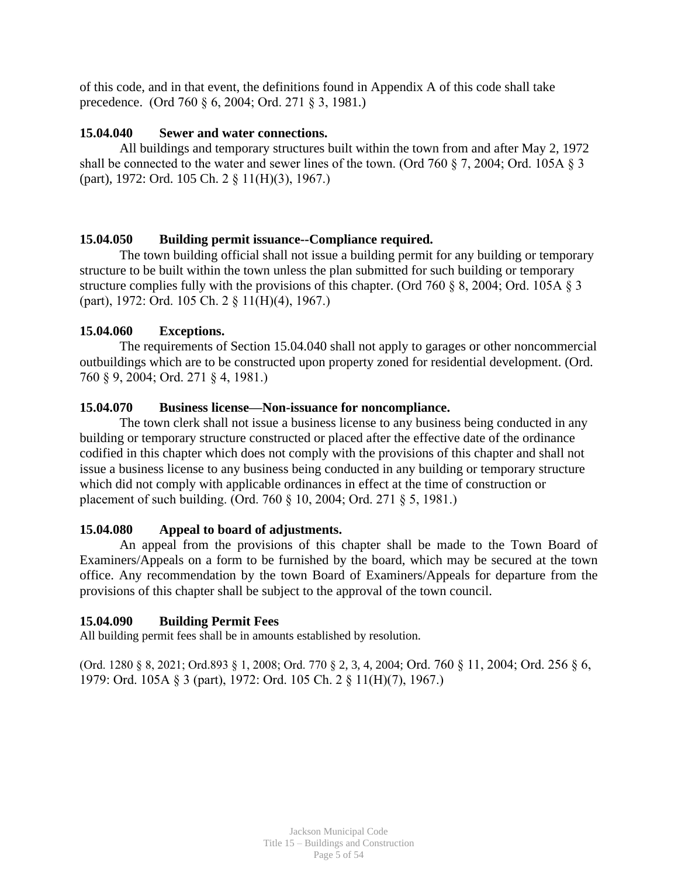of this code, and in that event, the definitions found in Appendix A of this code shall take precedence.(Ord 760 § 6, 2004; Ord. 271 § 3, 1981.)

## **15.04.040 Sewer and water connections.**

All buildings and temporary structures built within the town from and after May 2, 1972 shall be connected to the water and sewer lines of the town. (Ord 760 § 7, 2004; Ord. 105A § 3 (part), 1972: Ord. 105 Ch. 2 § 11(H)(3), 1967.)

## **15.04.050 Building permit issuance--Compliance required.**

The town building official shall not issue a building permit for any building or temporary structure to be built within the town unless the plan submitted for such building or temporary structure complies fully with the provisions of this chapter. (Ord 760 § 8, 2004; Ord. 105A § 3 (part), 1972: Ord. 105 Ch. 2 § 11(H)(4), 1967.)

## **15.04.060 Exceptions.**

The requirements of Section 15.04.040 shall not apply to garages or other noncommercial outbuildings which are to be constructed upon property zoned for residential development. (Ord. 760 § 9, 2004; Ord. 271 § 4, 1981.)

## **15.04.070 Business license—Non-issuance for noncompliance.**

The town clerk shall not issue a business license to any business being conducted in any building or temporary structure constructed or placed after the effective date of the ordinance codified in this chapter which does not comply with the provisions of this chapter and shall not issue a business license to any business being conducted in any building or temporary structure which did not comply with applicable ordinances in effect at the time of construction or placement of such building. (Ord. 760 § 10, 2004; Ord. 271 § 5, 1981.)

#### **15.04.080 Appeal to board of adjustments.**

An appeal from the provisions of this chapter shall be made to the Town Board of Examiners/Appeals on a form to be furnished by the board, which may be secured at the town office. Any recommendation by the town Board of Examiners/Appeals for departure from the provisions of this chapter shall be subject to the approval of the town council.

#### **15.04.090 Building Permit Fees**

All building permit fees shall be in amounts established by resolution.

(Ord. 1280 § 8, 2021; Ord.893 § 1, 2008; Ord. 770 § 2, 3, 4, 2004; Ord. 760 § 11, 2004; Ord. 256 § 6, 1979: Ord. 105A § 3 (part), 1972: Ord. 105 Ch. 2 § 11(H)(7), 1967.)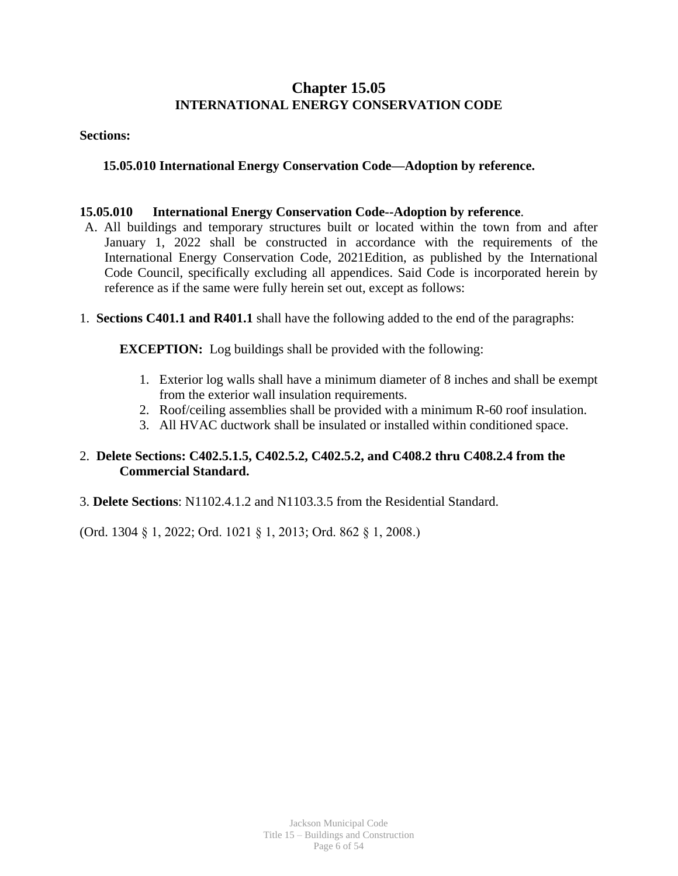# **Chapter 15.05 INTERNATIONAL ENERGY CONSERVATION CODE**

#### **Sections:**

# **15.05.010 International Energy Conservation Code—Adoption by reference.**

## **15.05.010 International Energy Conservation Code--Adoption by reference**.

- A. All buildings and temporary structures built or located within the town from and after January 1, 2022 shall be constructed in accordance with the requirements of the International Energy Conservation Code, 2021Edition, as published by the International Code Council, specifically excluding all appendices. Said Code is incorporated herein by reference as if the same were fully herein set out, except as follows:
- 1. **Sections C401.1 and R401.1** shall have the following added to the end of the paragraphs:

**EXCEPTION:** Log buildings shall be provided with the following:

- 1. Exterior log walls shall have a minimum diameter of 8 inches and shall be exempt from the exterior wall insulation requirements.
- 2. Roof/ceiling assemblies shall be provided with a minimum R-60 roof insulation.
- 3. All HVAC ductwork shall be insulated or installed within conditioned space.

## 2. **Delete Sections: C402.5.1.5, C402.5.2, C402.5.2, and C408.2 thru C408.2.4 from the Commercial Standard.**

3. **Delete Sections**: N1102.4.1.2 and N1103.3.5 from the Residential Standard.

(Ord. 1304 § 1, 2022; Ord. 1021 § 1, 2013; Ord. 862 § 1, 2008.)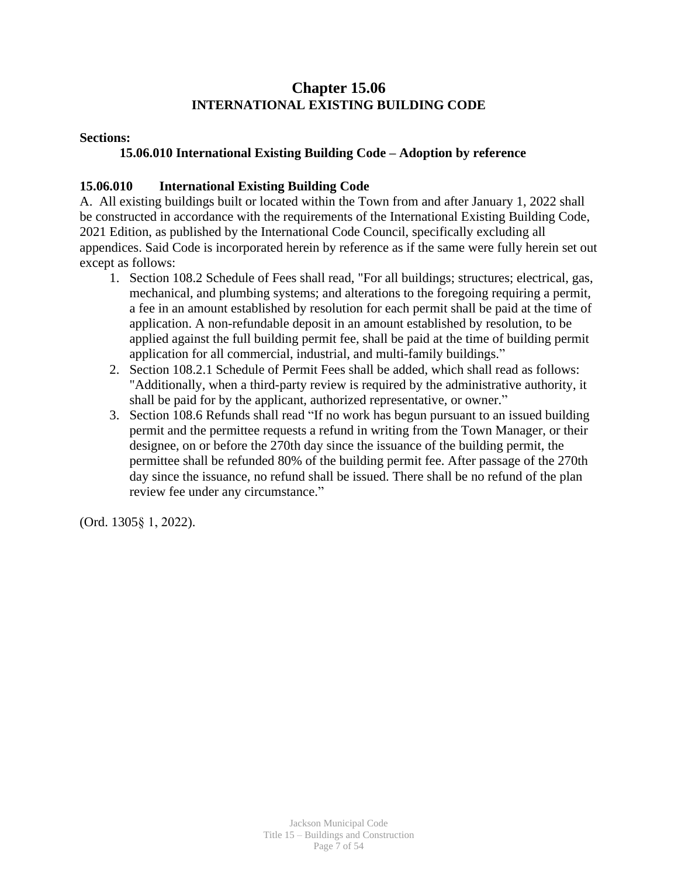# **Chapter 15.06 INTERNATIONAL EXISTING BUILDING CODE**

## **Sections:**

# **15.06.010 International Existing Building Code – Adoption by reference**

# **15.06.010 International Existing Building Code**

A. All existing buildings built or located within the Town from and after January 1, 2022 shall be constructed in accordance with the requirements of the International Existing Building Code, 2021 Edition, as published by the International Code Council, specifically excluding all appendices. Said Code is incorporated herein by reference as if the same were fully herein set out except as follows:

- 1. Section 108.2 Schedule of Fees shall read, "For all buildings; structures; electrical, gas, mechanical, and plumbing systems; and alterations to the foregoing requiring a permit, a fee in an amount established by resolution for each permit shall be paid at the time of application. A non-refundable deposit in an amount established by resolution, to be applied against the full building permit fee, shall be paid at the time of building permit application for all commercial, industrial, and multi-family buildings."
- 2. Section 108.2.1 Schedule of Permit Fees shall be added, which shall read as follows: "Additionally, when a third-party review is required by the administrative authority, it shall be paid for by the applicant, authorized representative, or owner."
- 3. Section 108.6 Refunds shall read "If no work has begun pursuant to an issued building permit and the permittee requests a refund in writing from the Town Manager, or their designee, on or before the 270th day since the issuance of the building permit, the permittee shall be refunded 80% of the building permit fee. After passage of the 270th day since the issuance, no refund shall be issued. There shall be no refund of the plan review fee under any circumstance."

(Ord. 1305§ 1, 2022).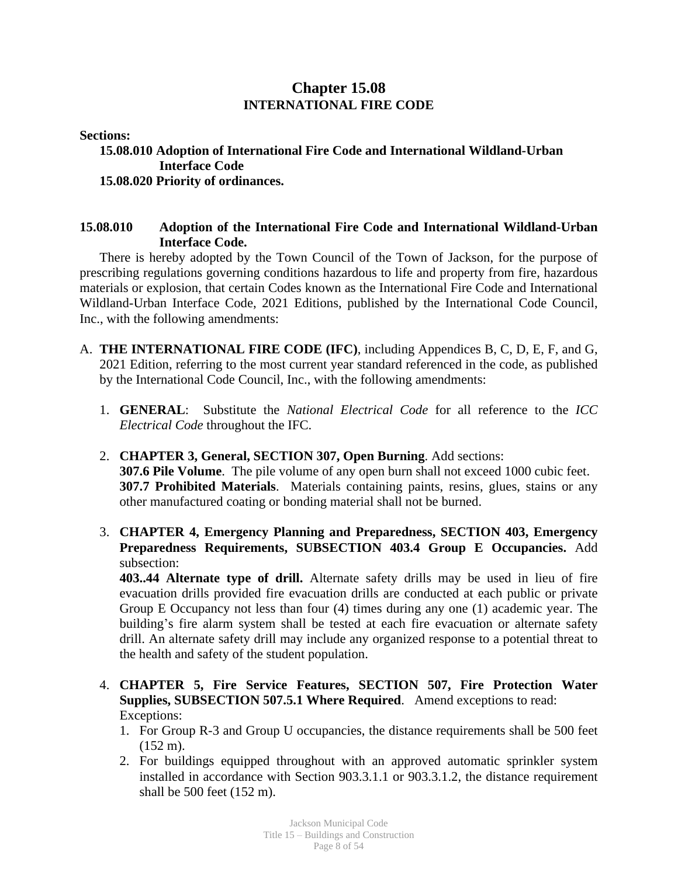# **Chapter 15.08 INTERNATIONAL FIRE CODE**

**Sections:**

#### **15.08.010 Adoption of International Fire Code and International Wildland-Urban Interface Code 15.08.020 Priority of ordinances.**

# **15.08.010 Adoption of the International Fire Code and International Wildland-Urban Interface Code.**

There is hereby adopted by the Town Council of the Town of Jackson, for the purpose of prescribing regulations governing conditions hazardous to life and property from fire, hazardous materials or explosion, that certain Codes known as the International Fire Code and International Wildland-Urban Interface Code, 2021 Editions, published by the International Code Council, Inc., with the following amendments:

- A. **THE INTERNATIONAL FIRE CODE (IFC)**, including Appendices B, C, D, E, F, and G, 2021 Edition, referring to the most current year standard referenced in the code, as published by the International Code Council, Inc., with the following amendments:
	- 1. **GENERAL**: Substitute the *National Electrical Code* for all reference to the *ICC Electrical Code* throughout the IFC.
	- 2. **CHAPTER 3, General, SECTION 307, Open Burning**. Add sections: **307.6 Pile Volume**. The pile volume of any open burn shall not exceed 1000 cubic feet. **307.7 Prohibited Materials**. Materials containing paints, resins, glues, stains or any other manufactured coating or bonding material shall not be burned.
	- 3. **CHAPTER 4, Emergency Planning and Preparedness, SECTION 403, Emergency Preparedness Requirements, SUBSECTION 403.4 Group E Occupancies.** Add subsection:

**403..44 Alternate type of drill.** Alternate safety drills may be used in lieu of fire evacuation drills provided fire evacuation drills are conducted at each public or private Group E Occupancy not less than four (4) times during any one (1) academic year. The building's fire alarm system shall be tested at each fire evacuation or alternate safety drill. An alternate safety drill may include any organized response to a potential threat to the health and safety of the student population.

- 4. **CHAPTER 5, Fire Service Features, SECTION 507, Fire Protection Water Supplies, SUBSECTION 507.5.1 Where Required**. Amend exceptions to read: Exceptions:
	- 1. For Group R-3 and Group U occupancies, the distance requirements shall be 500 feet  $(152 \text{ m})$ .
	- 2. For buildings equipped throughout with an approved automatic sprinkler system installed in accordance with Section 903.3.1.1 or 903.3.1.2, the distance requirement shall be 500 feet (152 m).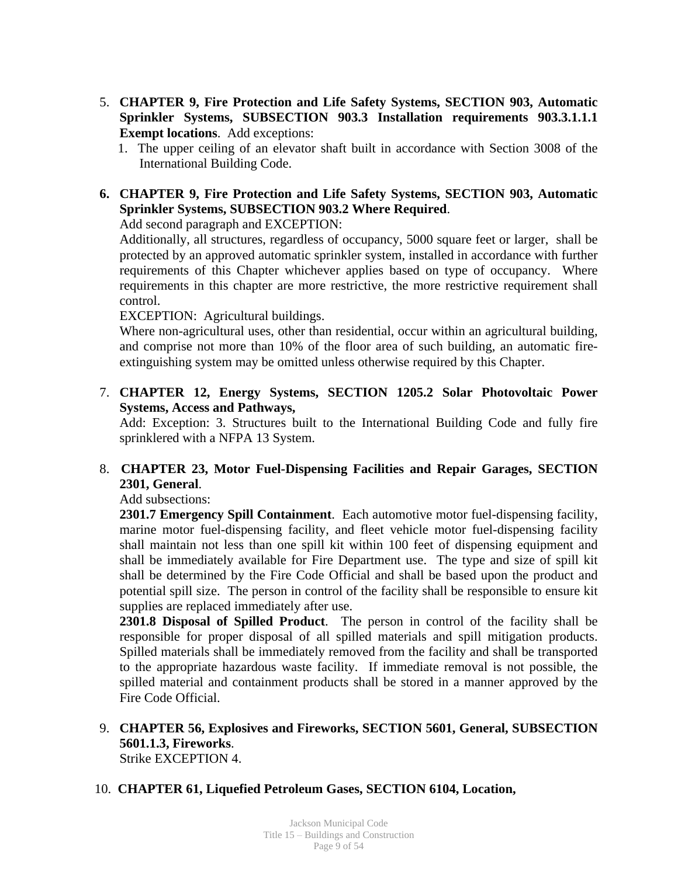- 5. **CHAPTER 9, Fire Protection and Life Safety Systems, SECTION 903, Automatic Sprinkler Systems, SUBSECTION 903.3 Installation requirements 903.3.1.1.1 Exempt locations**. Add exceptions:
	- 1. The upper ceiling of an elevator shaft built in accordance with Section 3008 of the International Building Code.

# **6. CHAPTER 9, Fire Protection and Life Safety Systems, SECTION 903, Automatic Sprinkler Systems, SUBSECTION 903.2 Where Required**.

Add second paragraph and EXCEPTION:

Additionally, all structures, regardless of occupancy, 5000 square feet or larger, shall be protected by an approved automatic sprinkler system, installed in accordance with further requirements of this Chapter whichever applies based on type of occupancy. Where requirements in this chapter are more restrictive, the more restrictive requirement shall control.

EXCEPTION: Agricultural buildings.

Where non-agricultural uses, other than residential, occur within an agricultural building, and comprise not more than 10% of the floor area of such building, an automatic fireextinguishing system may be omitted unless otherwise required by this Chapter.

7. **CHAPTER 12, Energy Systems, SECTION 1205.2 Solar Photovoltaic Power Systems, Access and Pathways,**

Add: Exception: 3. Structures built to the International Building Code and fully fire sprinklered with a NFPA 13 System.

# 8. **CHAPTER 23, Motor Fuel-Dispensing Facilities and Repair Garages, SECTION 2301, General**.

Add subsections:

**2301.7 Emergency Spill Containment**. Each automotive motor fuel-dispensing facility, marine motor fuel-dispensing facility, and fleet vehicle motor fuel-dispensing facility shall maintain not less than one spill kit within 100 feet of dispensing equipment and shall be immediately available for Fire Department use. The type and size of spill kit shall be determined by the Fire Code Official and shall be based upon the product and potential spill size. The person in control of the facility shall be responsible to ensure kit supplies are replaced immediately after use.

**2301.8 Disposal of Spilled Product**. The person in control of the facility shall be responsible for proper disposal of all spilled materials and spill mitigation products. Spilled materials shall be immediately removed from the facility and shall be transported to the appropriate hazardous waste facility. If immediate removal is not possible, the spilled material and containment products shall be stored in a manner approved by the Fire Code Official.

- 9. **CHAPTER 56, Explosives and Fireworks, SECTION 5601, General, SUBSECTION 5601.1.3, Fireworks**. Strike EXCEPTION 4.
- 10. **CHAPTER 61, Liquefied Petroleum Gases, SECTION 6104, Location,**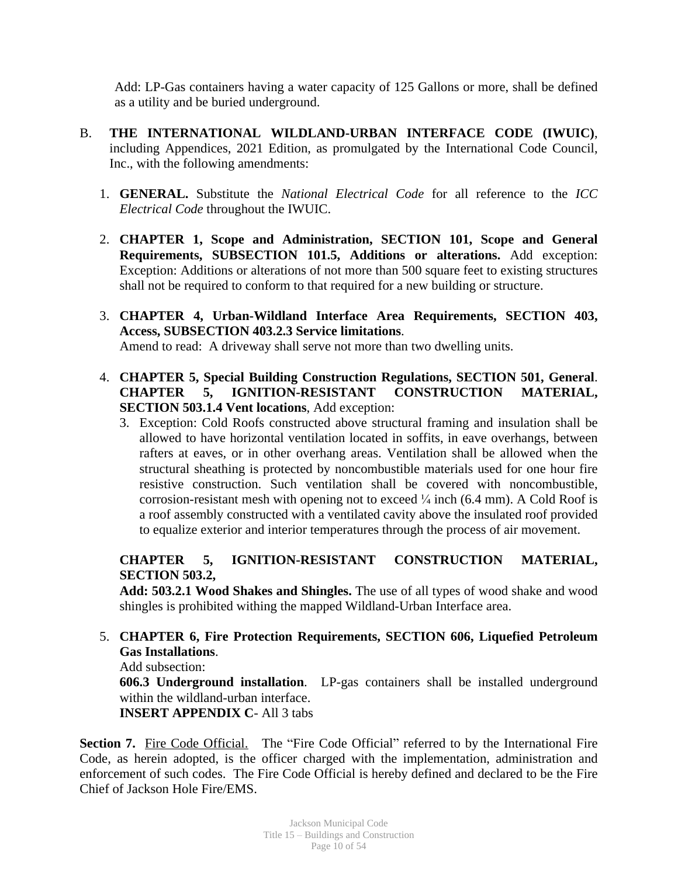Add: LP-Gas containers having a water capacity of 125 Gallons or more, shall be defined as a utility and be buried underground.

- B. **THE INTERNATIONAL WILDLAND-URBAN INTERFACE CODE (IWUIC)**, including Appendices, 2021 Edition, as promulgated by the International Code Council, Inc., with the following amendments:
	- 1. **GENERAL.** Substitute the *National Electrical Code* for all reference to the *ICC Electrical Code* throughout the IWUIC.
	- 2. **CHAPTER 1, Scope and Administration, SECTION 101, Scope and General Requirements, SUBSECTION 101.5, Additions or alterations.** Add exception: Exception: Additions or alterations of not more than 500 square feet to existing structures shall not be required to conform to that required for a new building or structure.
	- 3. **CHAPTER 4, Urban-Wildland Interface Area Requirements, SECTION 403, Access, SUBSECTION 403.2.3 Service limitations**.

Amend to read: A driveway shall serve not more than two dwelling units.

- 4. **CHAPTER 5, Special Building Construction Regulations, SECTION 501, General**. **CHAPTER 5, IGNITION-RESISTANT CONSTRUCTION MATERIAL, SECTION 503.1.4 Vent locations**, Add exception:
	- 3. Exception: Cold Roofs constructed above structural framing and insulation shall be allowed to have horizontal ventilation located in soffits, in eave overhangs, between rafters at eaves, or in other overhang areas. Ventilation shall be allowed when the structural sheathing is protected by noncombustible materials used for one hour fire resistive construction. Such ventilation shall be covered with noncombustible, corrosion-resistant mesh with opening not to exceed  $\frac{1}{4}$  inch (6.4 mm). A Cold Roof is a roof assembly constructed with a ventilated cavity above the insulated roof provided to equalize exterior and interior temperatures through the process of air movement.

# **CHAPTER 5, IGNITION-RESISTANT CONSTRUCTION MATERIAL, SECTION 503.2,**

**Add: 503.2.1 Wood Shakes and Shingles.** The use of all types of wood shake and wood shingles is prohibited withing the mapped Wildland-Urban Interface area.

5. **CHAPTER 6, Fire Protection Requirements, SECTION 606, Liquefied Petroleum Gas Installations**.

Add subsection:

**606.3 Underground installation**. LP-gas containers shall be installed underground within the wildland-urban interface.

**INSERT APPENDIX C**- All 3 tabs

**Section 7.** Fire Code Official. The "Fire Code Official" referred to by the International Fire Code, as herein adopted, is the officer charged with the implementation, administration and enforcement of such codes. The Fire Code Official is hereby defined and declared to be the Fire Chief of Jackson Hole Fire/EMS.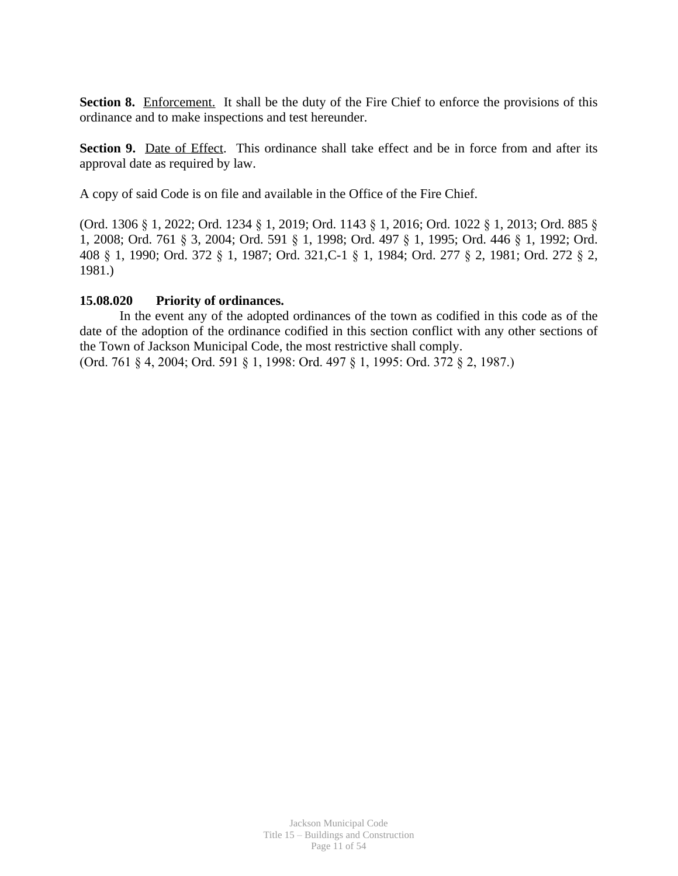**Section 8.** Enforcement. It shall be the duty of the Fire Chief to enforce the provisions of this ordinance and to make inspections and test hereunder.

**Section 9.** Date of Effect. This ordinance shall take effect and be in force from and after its approval date as required by law.

A copy of said Code is on file and available in the Office of the Fire Chief.

(Ord. 1306 § 1, 2022; Ord. 1234 § 1, 2019; Ord. 1143 § 1, 2016; Ord. 1022 § 1, 2013; Ord. 885 § 1, 2008; Ord. 761 § 3, 2004; Ord. 591 § 1, 1998; Ord. 497 § 1, 1995; Ord. 446 § 1, 1992; Ord. 408 § 1, 1990; Ord. 372 § 1, 1987; Ord. 321,C-1 § 1, 1984; Ord. 277 § 2, 1981; Ord. 272 § 2, 1981.)

## **15.08.020 Priority of ordinances.**

In the event any of the adopted ordinances of the town as codified in this code as of the date of the adoption of the ordinance codified in this section conflict with any other sections of the Town of Jackson Municipal Code, the most restrictive shall comply.

(Ord. 761 § 4, 2004; Ord. 591 § 1, 1998: Ord. 497 § 1, 1995: Ord. 372 § 2, 1987.)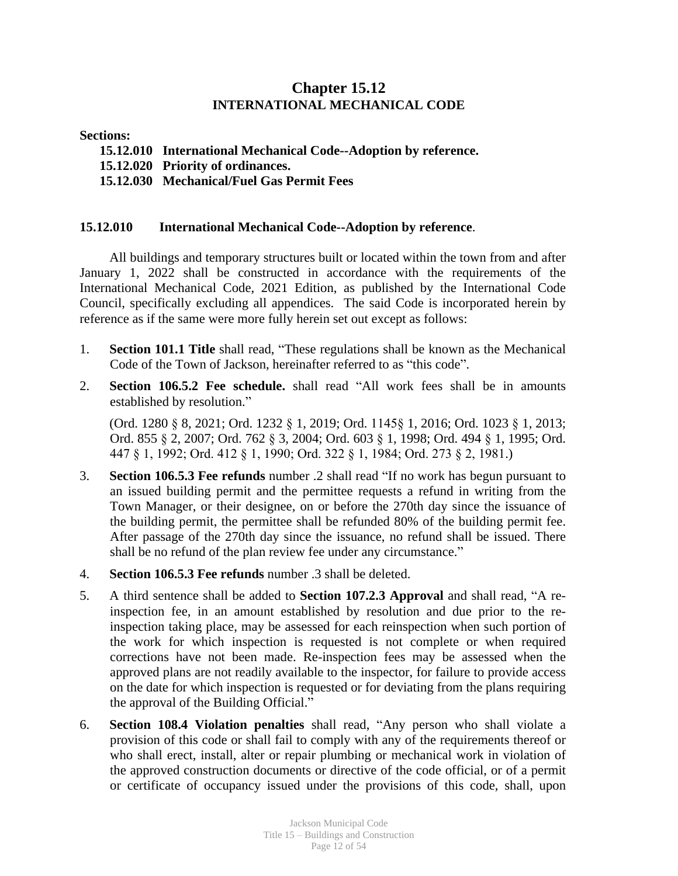# **Chapter 15.12 INTERNATIONAL MECHANICAL CODE**

#### **Sections:**

- **15.12.010 International Mechanical Code--Adoption by reference.**
- **15.12.020 Priority of ordinances.**
- **15.12.030 Mechanical/Fuel Gas Permit Fees**

#### **15.12.010 International Mechanical Code--Adoption by reference**.

All buildings and temporary structures built or located within the town from and after January 1, 2022 shall be constructed in accordance with the requirements of the International Mechanical Code, 2021 Edition, as published by the International Code Council, specifically excluding all appendices. The said Code is incorporated herein by reference as if the same were more fully herein set out except as follows:

- 1. **Section 101.1 Title** shall read, "These regulations shall be known as the Mechanical Code of the Town of Jackson, hereinafter referred to as "this code".
- 2. **Section 106.5.2 Fee schedule.** shall read "All work fees shall be in amounts established by resolution."

(Ord. 1280 § 8, 2021; Ord. 1232 § 1, 2019; Ord. 1145§ 1, 2016; Ord. 1023 § 1, 2013; Ord. 855 § 2, 2007; Ord. 762 § 3, 2004; Ord. 603 § 1, 1998; Ord. 494 § 1, 1995; Ord. 447 § 1, 1992; Ord. 412 § 1, 1990; Ord. 322 § 1, 1984; Ord. 273 § 2, 1981.)

- 3. **Section 106.5.3 Fee refunds** number .2 shall read "If no work has begun pursuant to an issued building permit and the permittee requests a refund in writing from the Town Manager, or their designee, on or before the 270th day since the issuance of the building permit, the permittee shall be refunded 80% of the building permit fee. After passage of the 270th day since the issuance, no refund shall be issued. There shall be no refund of the plan review fee under any circumstance."
- 4. **Section 106.5.3 Fee refunds** number .3 shall be deleted.
- 5. A third sentence shall be added to **Section 107.2.3 Approval** and shall read, "A reinspection fee, in an amount established by resolution and due prior to the reinspection taking place, may be assessed for each reinspection when such portion of the work for which inspection is requested is not complete or when required corrections have not been made. Re-inspection fees may be assessed when the approved plans are not readily available to the inspector, for failure to provide access on the date for which inspection is requested or for deviating from the plans requiring the approval of the Building Official."
- 6. **Section 108.4 Violation penalties** shall read, "Any person who shall violate a provision of this code or shall fail to comply with any of the requirements thereof or who shall erect, install, alter or repair plumbing or mechanical work in violation of the approved construction documents or directive of the code official, or of a permit or certificate of occupancy issued under the provisions of this code, shall, upon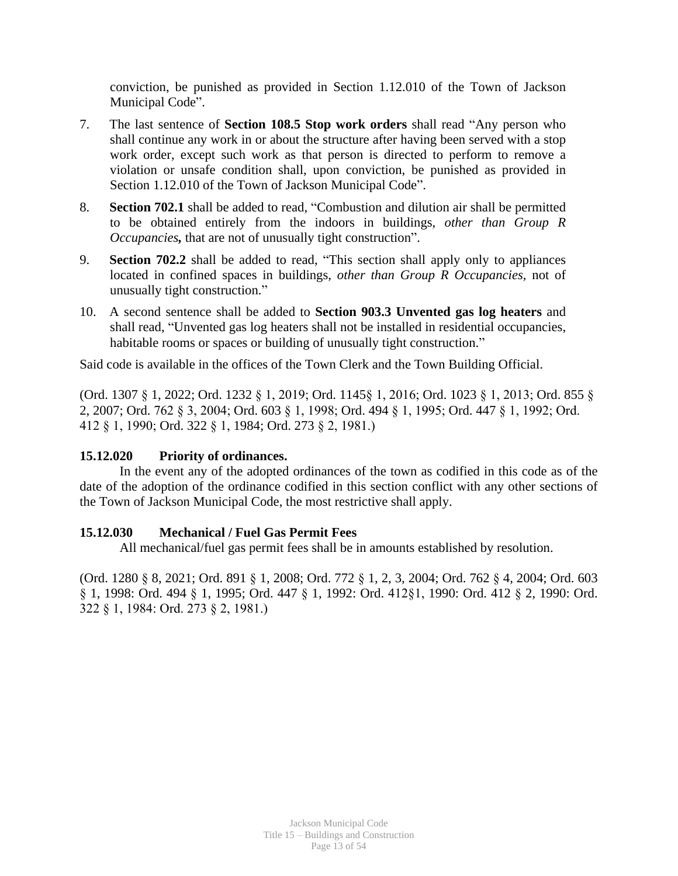conviction, be punished as provided in Section 1.12.010 of the Town of Jackson Municipal Code".

- 7. The last sentence of **Section 108.5 Stop work orders** shall read "Any person who shall continue any work in or about the structure after having been served with a stop work order, except such work as that person is directed to perform to remove a violation or unsafe condition shall, upon conviction, be punished as provided in Section 1.12.010 of the Town of Jackson Municipal Code".
- 8. **Section 702.1** shall be added to read, "Combustion and dilution air shall be permitted to be obtained entirely from the indoors in buildings, *other than Group R Occupancies*, that are not of unusually tight construction".
- 9. **Section 702.2** shall be added to read, "This section shall apply only to appliances located in confined spaces in buildings, *other than Group R Occupancies*, not of unusually tight construction."
- 10. A second sentence shall be added to **Section 903.3 Unvented gas log heaters** and shall read, "Unvented gas log heaters shall not be installed in residential occupancies, habitable rooms or spaces or building of unusually tight construction."

Said code is available in the offices of the Town Clerk and the Town Building Official.

(Ord. 1307 § 1, 2022; Ord. 1232 § 1, 2019; Ord. 1145§ 1, 2016; Ord. 1023 § 1, 2013; Ord. 855 § 2, 2007; Ord. 762 § 3, 2004; Ord. 603 § 1, 1998; Ord. 494 § 1, 1995; Ord. 447 § 1, 1992; Ord. 412 § 1, 1990; Ord. 322 § 1, 1984; Ord. 273 § 2, 1981.)

## **15.12.020 Priority of ordinances.**

In the event any of the adopted ordinances of the town as codified in this code as of the date of the adoption of the ordinance codified in this section conflict with any other sections of the Town of Jackson Municipal Code, the most restrictive shall apply.

## **15.12.030 Mechanical / Fuel Gas Permit Fees**

All mechanical/fuel gas permit fees shall be in amounts established by resolution.

(Ord. 1280 § 8, 2021; Ord. 891 § 1, 2008; Ord. 772 § 1, 2, 3, 2004; Ord. 762 § 4, 2004; Ord. 603 § 1, 1998: Ord. 494 § 1, 1995; Ord. 447 § 1, 1992: Ord. 412§1, 1990: Ord. 412 § 2, 1990: Ord. 322 § 1, 1984: Ord. 273 § 2, 1981.)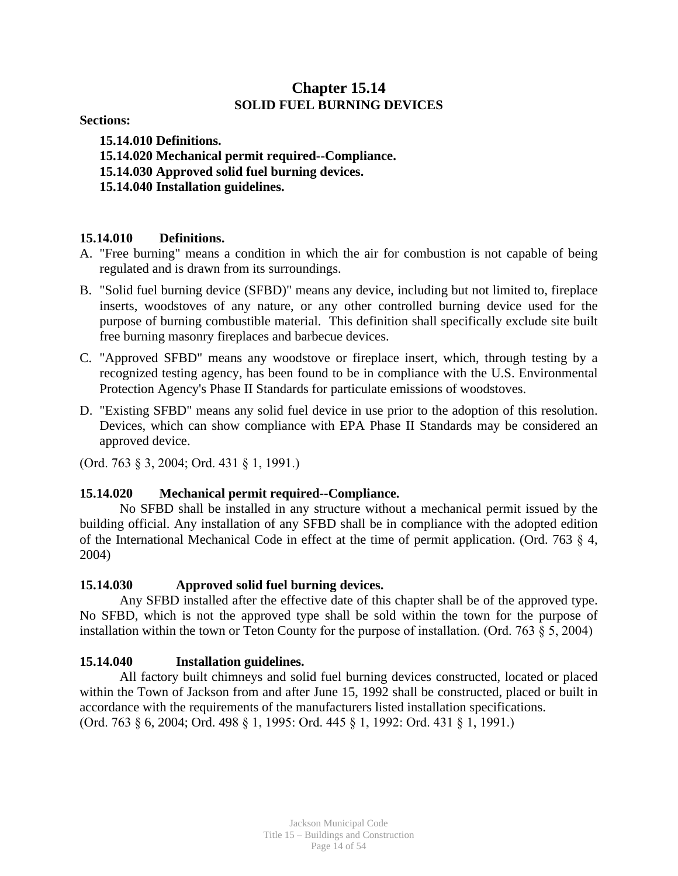# **Chapter 15.14 SOLID FUEL BURNING DEVICES**

**Sections:**

**15.14.010 Definitions. 15.14.020 Mechanical permit required--Compliance. 15.14.030 Approved solid fuel burning devices. 15.14.040 Installation guidelines.**

## **15.14.010 Definitions.**

- A. "Free burning" means a condition in which the air for combustion is not capable of being regulated and is drawn from its surroundings.
- B. "Solid fuel burning device (SFBD)" means any device, including but not limited to, fireplace inserts, woodstoves of any nature, or any other controlled burning device used for the purpose of burning combustible material. This definition shall specifically exclude site built free burning masonry fireplaces and barbecue devices.
- C. "Approved SFBD" means any woodstove or fireplace insert, which, through testing by a recognized testing agency, has been found to be in compliance with the U.S. Environmental Protection Agency's Phase II Standards for particulate emissions of woodstoves.
- D. "Existing SFBD" means any solid fuel device in use prior to the adoption of this resolution. Devices, which can show compliance with EPA Phase II Standards may be considered an approved device.

(Ord. 763 § 3, 2004; Ord. 431 § 1, 1991.)

#### **15.14.020 Mechanical permit required--Compliance.**

No SFBD shall be installed in any structure without a mechanical permit issued by the building official. Any installation of any SFBD shall be in compliance with the adopted edition of the International Mechanical Code in effect at the time of permit application. (Ord. 763 § 4, 2004)

#### **15.14.030 Approved solid fuel burning devices.**

Any SFBD installed after the effective date of this chapter shall be of the approved type. No SFBD, which is not the approved type shall be sold within the town for the purpose of installation within the town or Teton County for the purpose of installation. (Ord. 763 § 5, 2004)

## **15.14.040 Installation guidelines.**

All factory built chimneys and solid fuel burning devices constructed, located or placed within the Town of Jackson from and after June 15, 1992 shall be constructed, placed or built in accordance with the requirements of the manufacturers listed installation specifications. (Ord. 763 § 6, 2004; Ord. 498 § 1, 1995: Ord. 445 § 1, 1992: Ord. 431 § 1, 1991.)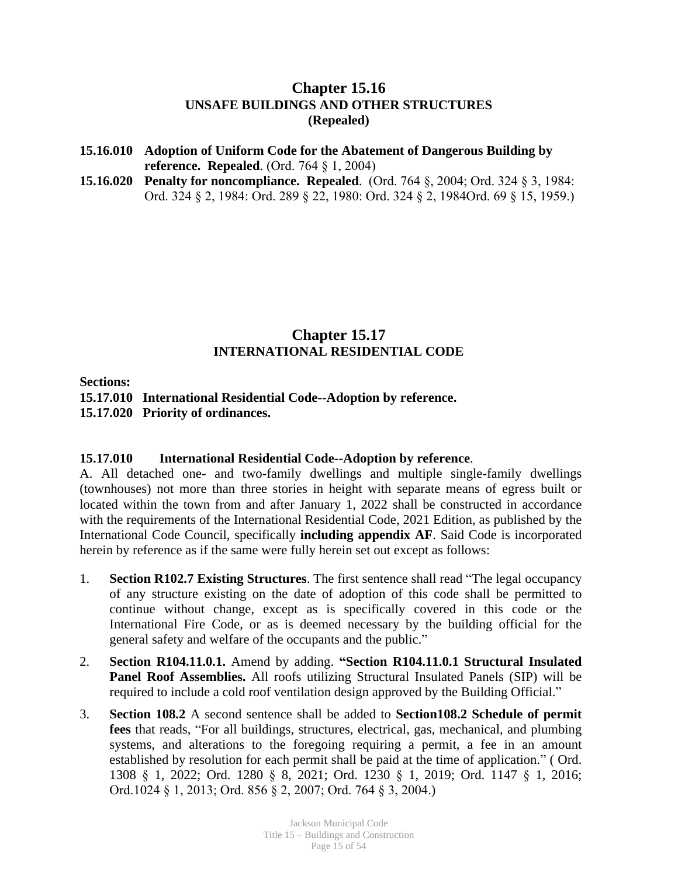# **Chapter 15.16 UNSAFE BUILDINGS AND OTHER STRUCTURES (Repealed)**

- **15.16.010 Adoption of Uniform Code for the Abatement of Dangerous Building by reference. Repealed**. (Ord. 764 § 1, 2004)
- **15.16.020 Penalty for noncompliance. Repealed**. (Ord. 764 §, 2004; Ord. 324 § 3, 1984: Ord. 324 § 2, 1984: Ord. 289 § 22, 1980: Ord. 324 § 2, 1984Ord. 69 § 15, 1959.)

# **Chapter 15.17 INTERNATIONAL RESIDENTIAL CODE**

**Sections:**

**15.17.010 International Residential Code--Adoption by reference. 15.17.020 Priority of ordinances.**

## **15.17.010 International Residential Code--Adoption by reference**.

A. All detached one- and two-family dwellings and multiple single-family dwellings (townhouses) not more than three stories in height with separate means of egress built or located within the town from and after January 1, 2022 shall be constructed in accordance with the requirements of the International Residential Code, 2021 Edition, as published by the International Code Council, specifically **including appendix AF**. Said Code is incorporated herein by reference as if the same were fully herein set out except as follows:

- 1. **Section R102.7 Existing Structures**. The first sentence shall read "The legal occupancy of any structure existing on the date of adoption of this code shall be permitted to continue without change, except as is specifically covered in this code or the International Fire Code, or as is deemed necessary by the building official for the general safety and welfare of the occupants and the public."
- 2. **Section R104.11.0.1.** Amend by adding. **"Section R104.11.0.1 Structural Insulated Panel Roof Assemblies.** All roofs utilizing Structural Insulated Panels (SIP) will be required to include a cold roof ventilation design approved by the Building Official."
- 3. **Section 108.2** A second sentence shall be added to **Section108.2 Schedule of permit fees** that reads, "For all buildings, structures, electrical, gas, mechanical, and plumbing systems, and alterations to the foregoing requiring a permit, a fee in an amount established by resolution for each permit shall be paid at the time of application." ( Ord. 1308 § 1, 2022; Ord. 1280 § 8, 2021; Ord. 1230 § 1, 2019; Ord. 1147 § 1, 2016; Ord.1024 § 1, 2013; Ord. 856 § 2, 2007; Ord. 764 § 3, 2004.)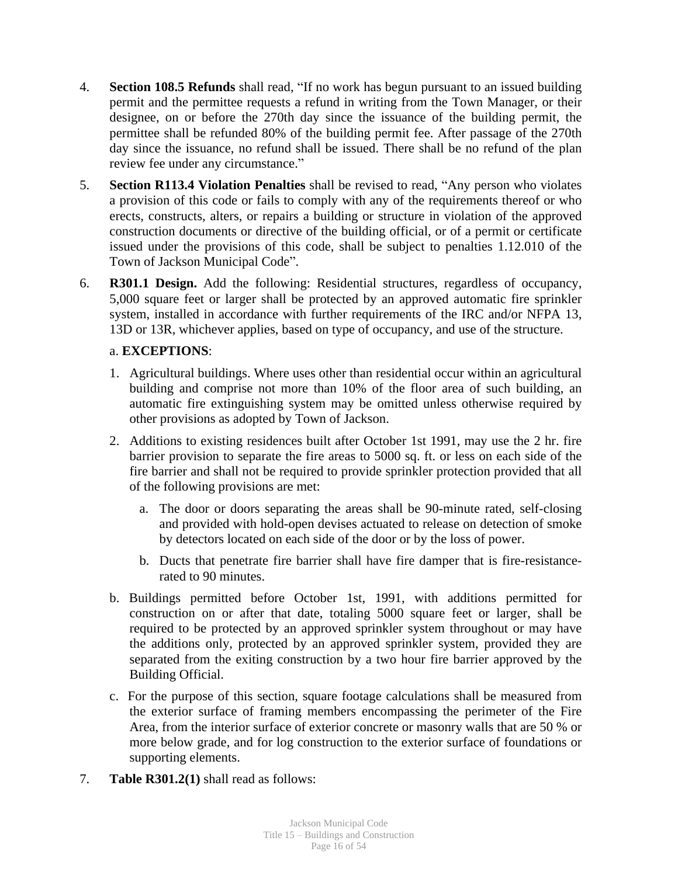- 4. **Section 108.5 Refunds** shall read, "If no work has begun pursuant to an issued building permit and the permittee requests a refund in writing from the Town Manager, or their designee, on or before the 270th day since the issuance of the building permit, the permittee shall be refunded 80% of the building permit fee. After passage of the 270th day since the issuance, no refund shall be issued. There shall be no refund of the plan review fee under any circumstance."
- 5. **Section R113.4 Violation Penalties** shall be revised to read, "Any person who violates a provision of this code or fails to comply with any of the requirements thereof or who erects, constructs, alters, or repairs a building or structure in violation of the approved construction documents or directive of the building official, or of a permit or certificate issued under the provisions of this code, shall be subject to penalties 1.12.010 of the Town of Jackson Municipal Code".
- 6. **R301.1 Design.** Add the following: Residential structures, regardless of occupancy, 5,000 square feet or larger shall be protected by an approved automatic fire sprinkler system, installed in accordance with further requirements of the IRC and/or NFPA 13, 13D or 13R, whichever applies, based on type of occupancy, and use of the structure.

## a. **EXCEPTIONS**:

- 1. Agricultural buildings. Where uses other than residential occur within an agricultural building and comprise not more than 10% of the floor area of such building, an automatic fire extinguishing system may be omitted unless otherwise required by other provisions as adopted by Town of Jackson.
- 2. Additions to existing residences built after October 1st 1991, may use the 2 hr. fire barrier provision to separate the fire areas to 5000 sq. ft. or less on each side of the fire barrier and shall not be required to provide sprinkler protection provided that all of the following provisions are met:
	- a. The door or doors separating the areas shall be 90-minute rated, self-closing and provided with hold-open devises actuated to release on detection of smoke by detectors located on each side of the door or by the loss of power.
	- b. Ducts that penetrate fire barrier shall have fire damper that is fire-resistancerated to 90 minutes.
- b. Buildings permitted before October 1st, 1991, with additions permitted for construction on or after that date, totaling 5000 square feet or larger, shall be required to be protected by an approved sprinkler system throughout or may have the additions only, protected by an approved sprinkler system, provided they are separated from the exiting construction by a two hour fire barrier approved by the Building Official.
- c. For the purpose of this section, square footage calculations shall be measured from the exterior surface of framing members encompassing the perimeter of the Fire Area, from the interior surface of exterior concrete or masonry walls that are 50 % or more below grade, and for log construction to the exterior surface of foundations or supporting elements.
- 7. **Table R301.2(1)** shall read as follows: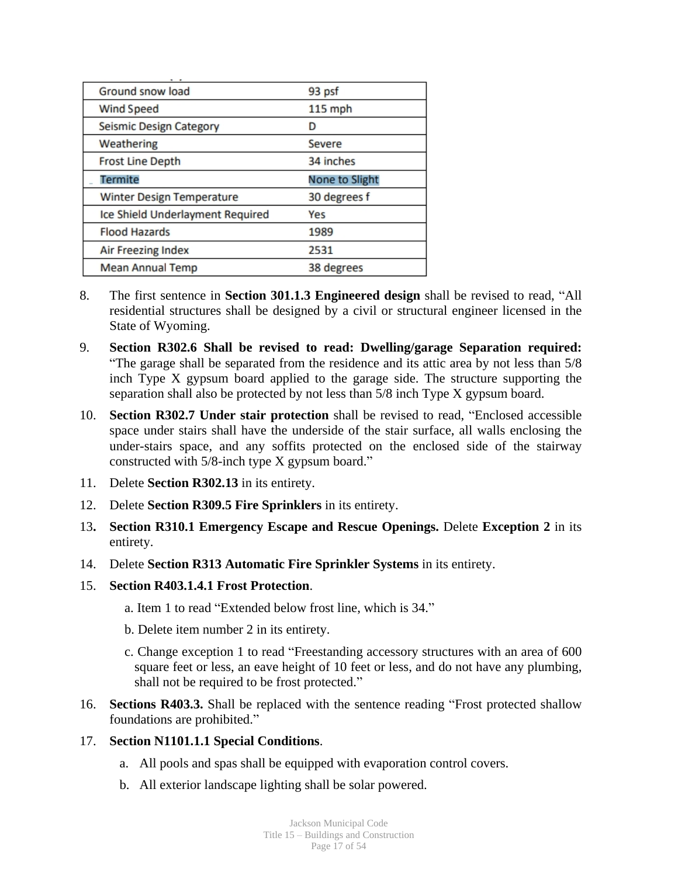| Ground snow load                 | 93 psf         |
|----------------------------------|----------------|
| <b>Wind Speed</b>                | $115$ mph      |
| Seismic Design Category          | D              |
| Weathering                       | Severe         |
| <b>Frost Line Depth</b>          | 34 inches      |
| <b>Termite</b>                   | None to Slight |
| Winter Design Temperature        | 30 degrees f   |
| Ice Shield Underlayment Required | Yes            |
| <b>Flood Hazards</b>             | 1989           |
| Air Freezing Index               | 2531           |
| <b>Mean Annual Temp</b>          | 38 degrees     |

- 8. The first sentence in **Section 301.1.3 Engineered design** shall be revised to read, "All residential structures shall be designed by a civil or structural engineer licensed in the State of Wyoming.
- 9. **Section R302.6 Shall be revised to read: Dwelling/garage Separation required:** "The garage shall be separated from the residence and its attic area by not less than 5/8 inch Type X gypsum board applied to the garage side. The structure supporting the separation shall also be protected by not less than 5/8 inch Type X gypsum board.
- 10. **Section R302.7 Under stair protection** shall be revised to read, "Enclosed accessible space under stairs shall have the underside of the stair surface, all walls enclosing the under-stairs space, and any soffits protected on the enclosed side of the stairway constructed with 5/8-inch type X gypsum board."
- 11. Delete **Section R302.13** in its entirety.
- 12. Delete **Section R309.5 Fire Sprinklers** in its entirety.
- 13**. Section R310.1 Emergency Escape and Rescue Openings.** Delete **Exception 2** in its entirety.
- 14. Delete **Section R313 Automatic Fire Sprinkler Systems** in its entirety.
- 15. **Section R403.1.4.1 Frost Protection**.
	- a. Item 1 to read "Extended below frost line, which is 34."
	- b. Delete item number 2 in its entirety.
	- c. Change exception 1 to read "Freestanding accessory structures with an area of 600 square feet or less, an eave height of 10 feet or less, and do not have any plumbing, shall not be required to be frost protected."
- 16. **Sections R403.3.** Shall be replaced with the sentence reading "Frost protected shallow foundations are prohibited."
- 17. **Section N1101.1.1 Special Conditions**.
	- a. All pools and spas shall be equipped with evaporation control covers.
	- b. All exterior landscape lighting shall be solar powered.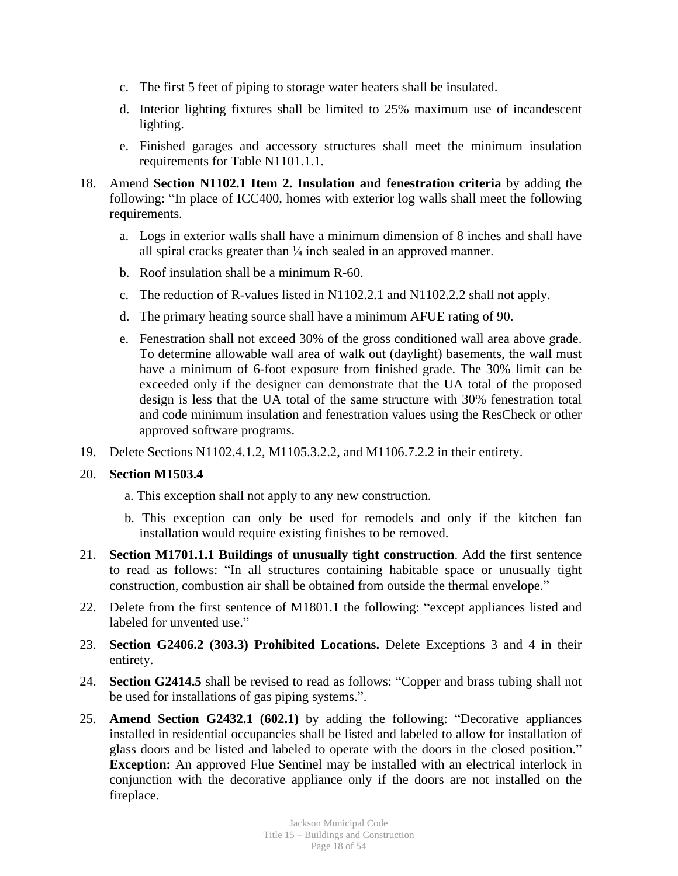- c. The first 5 feet of piping to storage water heaters shall be insulated.
- d. Interior lighting fixtures shall be limited to 25% maximum use of incandescent lighting.
- e. Finished garages and accessory structures shall meet the minimum insulation requirements for Table N1101.1.1.
- 18. Amend **Section N1102.1 Item 2. Insulation and fenestration criteria** by adding the following: "In place of ICC400, homes with exterior log walls shall meet the following requirements.
	- a. Logs in exterior walls shall have a minimum dimension of 8 inches and shall have all spiral cracks greater than  $\frac{1}{4}$  inch sealed in an approved manner.
	- b. Roof insulation shall be a minimum R-60.
	- c. The reduction of R-values listed in N1102.2.1 and N1102.2.2 shall not apply.
	- d. The primary heating source shall have a minimum AFUE rating of 90.
	- e. Fenestration shall not exceed 30% of the gross conditioned wall area above grade. To determine allowable wall area of walk out (daylight) basements, the wall must have a minimum of 6-foot exposure from finished grade. The 30% limit can be exceeded only if the designer can demonstrate that the UA total of the proposed design is less that the UA total of the same structure with 30% fenestration total and code minimum insulation and fenestration values using the ResCheck or other approved software programs.
- 19. Delete Sections N1102.4.1.2, M1105.3.2.2, and M1106.7.2.2 in their entirety.

## 20. **Section M1503.4**

- a. This exception shall not apply to any new construction.
- b. This exception can only be used for remodels and only if the kitchen fan installation would require existing finishes to be removed.
- 21. **Section M1701.1.1 Buildings of unusually tight construction**. Add the first sentence to read as follows: "In all structures containing habitable space or unusually tight construction, combustion air shall be obtained from outside the thermal envelope."
- 22. Delete from the first sentence of M1801.1 the following: "except appliances listed and labeled for unvented use."
- 23. **Section G2406.2 (303.3) Prohibited Locations.** Delete Exceptions 3 and 4 in their entirety.
- 24. **Section G2414.5** shall be revised to read as follows: "Copper and brass tubing shall not be used for installations of gas piping systems.".
- 25. **Amend Section G2432.1 (602.1)** by adding the following: "Decorative appliances installed in residential occupancies shall be listed and labeled to allow for installation of glass doors and be listed and labeled to operate with the doors in the closed position." **Exception:** An approved Flue Sentinel may be installed with an electrical interlock in conjunction with the decorative appliance only if the doors are not installed on the fireplace.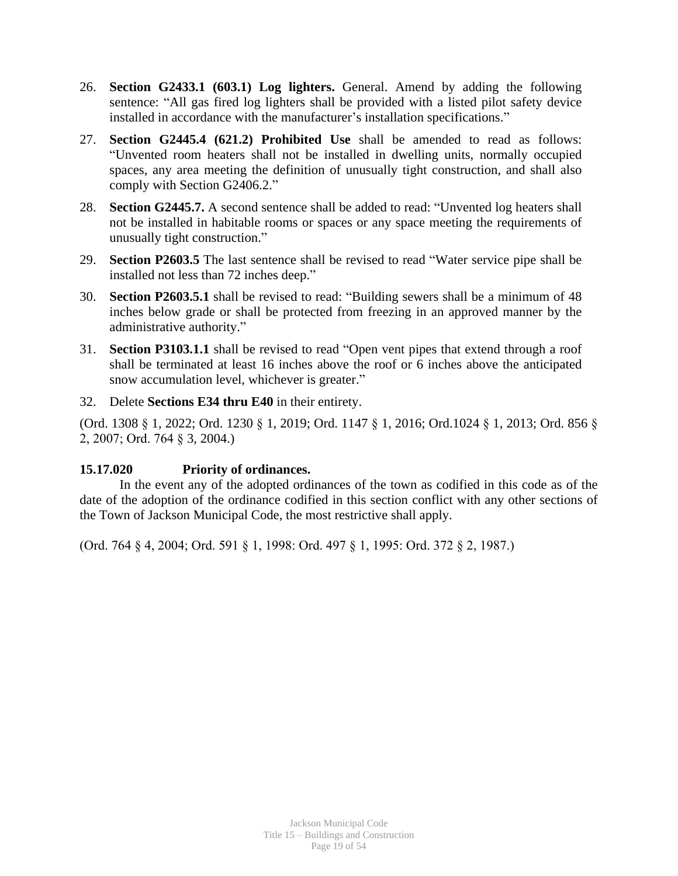- 26. **Section G2433.1 (603.1) Log lighters.** General. Amend by adding the following sentence: "All gas fired log lighters shall be provided with a listed pilot safety device installed in accordance with the manufacturer's installation specifications."
- 27. **Section G2445.4 (621.2) Prohibited Use** shall be amended to read as follows: "Unvented room heaters shall not be installed in dwelling units, normally occupied spaces, any area meeting the definition of unusually tight construction, and shall also comply with Section G2406.2."
- 28. **Section G2445.7.** A second sentence shall be added to read: "Unvented log heaters shall not be installed in habitable rooms or spaces or any space meeting the requirements of unusually tight construction."
- 29. **Section P2603.5** The last sentence shall be revised to read "Water service pipe shall be installed not less than 72 inches deep."
- 30. **Section P2603.5.1** shall be revised to read: "Building sewers shall be a minimum of 48 inches below grade or shall be protected from freezing in an approved manner by the administrative authority."
- 31. **Section P3103.1.1** shall be revised to read "Open vent pipes that extend through a roof shall be terminated at least 16 inches above the roof or 6 inches above the anticipated snow accumulation level, whichever is greater."
- 32. Delete **Sections E34 thru E40** in their entirety.

(Ord. 1308 § 1, 2022; Ord. 1230 § 1, 2019; Ord. 1147 § 1, 2016; Ord.1024 § 1, 2013; Ord. 856 § 2, 2007; Ord. 764 § 3, 2004.)

## **15.17.020 Priority of ordinances.**

In the event any of the adopted ordinances of the town as codified in this code as of the date of the adoption of the ordinance codified in this section conflict with any other sections of the Town of Jackson Municipal Code, the most restrictive shall apply.

(Ord. 764 § 4, 2004; Ord. 591 § 1, 1998: Ord. 497 § 1, 1995: Ord. 372 § 2, 1987.)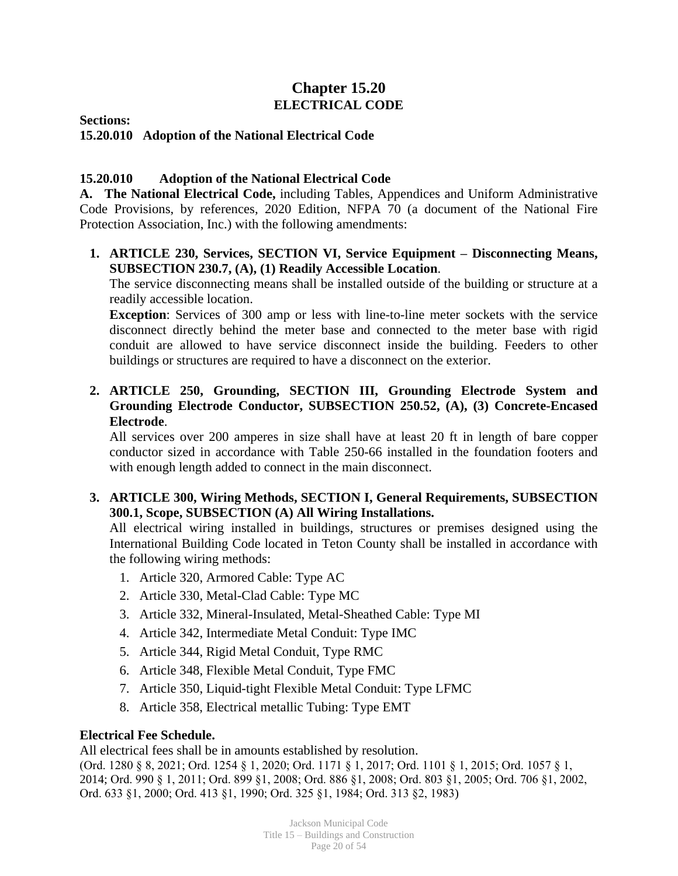# **Chapter 15.20 ELECTRICAL CODE**

**Sections:**

# **15.20.010 Adoption of the National Electrical Code**

# **15.20.010 Adoption of the National Electrical Code**

**A. The National Electrical Code,** including Tables, Appendices and Uniform Administrative Code Provisions, by references, 2020 Edition, NFPA 70 (a document of the National Fire Protection Association, Inc.) with the following amendments:

# **1. ARTICLE 230, Services, SECTION VI, Service Equipment – Disconnecting Means, SUBSECTION 230.7, (A), (1) Readily Accessible Location**.

The service disconnecting means shall be installed outside of the building or structure at a readily accessible location.

**Exception**: Services of 300 amp or less with line-to-line meter sockets with the service disconnect directly behind the meter base and connected to the meter base with rigid conduit are allowed to have service disconnect inside the building. Feeders to other buildings or structures are required to have a disconnect on the exterior.

# **2. ARTICLE 250, Grounding, SECTION III, Grounding Electrode System and Grounding Electrode Conductor, SUBSECTION 250.52, (A), (3) Concrete-Encased Electrode**.

All services over 200 amperes in size shall have at least 20 ft in length of bare copper conductor sized in accordance with Table 250-66 installed in the foundation footers and with enough length added to connect in the main disconnect.

# **3. ARTICLE 300, Wiring Methods, SECTION I, General Requirements, SUBSECTION 300.1, Scope, SUBSECTION (A) All Wiring Installations.**

All electrical wiring installed in buildings, structures or premises designed using the International Building Code located in Teton County shall be installed in accordance with the following wiring methods:

- 1. Article 320, Armored Cable: Type AC
- 2. Article 330, Metal-Clad Cable: Type MC
- 3. Article 332, Mineral-Insulated, Metal-Sheathed Cable: Type MI
- 4. Article 342, Intermediate Metal Conduit: Type IMC
- 5. Article 344, Rigid Metal Conduit, Type RMC
- 6. Article 348, Flexible Metal Conduit, Type FMC
- 7. Article 350, Liquid-tight Flexible Metal Conduit: Type LFMC
- 8. Article 358, Electrical metallic Tubing: Type EMT

# **Electrical Fee Schedule.**

All electrical fees shall be in amounts established by resolution.

(Ord. 1280 § 8, 2021; Ord. 1254 § 1, 2020; Ord. 1171 § 1, 2017; Ord. 1101 § 1, 2015; Ord. 1057 § 1, 2014; Ord. 990 § 1, 2011; Ord. 899 §1, 2008; Ord. 886 §1, 2008; Ord. 803 §1, 2005; Ord. 706 §1, 2002, Ord. 633 §1, 2000; Ord. 413 §1, 1990; Ord. 325 §1, 1984; Ord. 313 §2, 1983)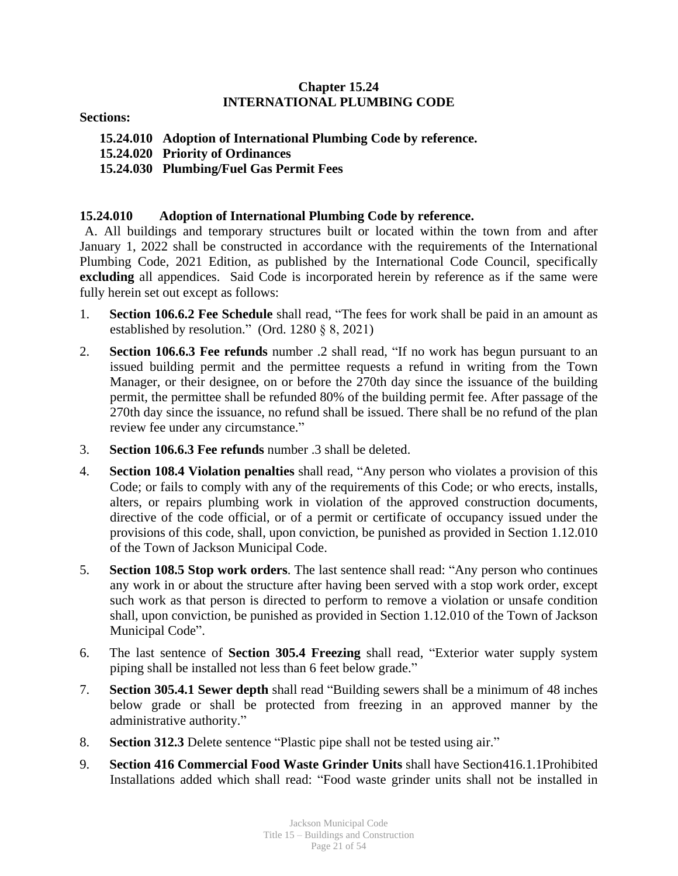## **Chapter 15.24 INTERNATIONAL PLUMBING CODE**

**Sections:**

- **15.24.010 Adoption of International Plumbing Code by reference.**
- **15.24.020 Priority of Ordinances**
- **15.24.030 Plumbing/Fuel Gas Permit Fees**

## **15.24.010 Adoption of International Plumbing Code by reference.**

A. All buildings and temporary structures built or located within the town from and after January 1, 2022 shall be constructed in accordance with the requirements of the International Plumbing Code, 2021 Edition, as published by the International Code Council, specifically **excluding** all appendices. Said Code is incorporated herein by reference as if the same were fully herein set out except as follows:

- 1. **Section 106.6.2 Fee Schedule** shall read, "The fees for work shall be paid in an amount as established by resolution." (Ord. 1280 § 8, 2021)
- 2. **Section 106.6.3 Fee refunds** number .2 shall read, "If no work has begun pursuant to an issued building permit and the permittee requests a refund in writing from the Town Manager, or their designee, on or before the 270th day since the issuance of the building permit, the permittee shall be refunded 80% of the building permit fee. After passage of the 270th day since the issuance, no refund shall be issued. There shall be no refund of the plan review fee under any circumstance."
- 3. **Section 106.6.3 Fee refunds** number .3 shall be deleted.
- 4. **Section 108.4 Violation penalties** shall read, "Any person who violates a provision of this Code; or fails to comply with any of the requirements of this Code; or who erects, installs, alters, or repairs plumbing work in violation of the approved construction documents, directive of the code official, or of a permit or certificate of occupancy issued under the provisions of this code, shall, upon conviction, be punished as provided in Section 1.12.010 of the Town of Jackson Municipal Code.
- 5. **Section 108.5 Stop work orders**. The last sentence shall read: "Any person who continues any work in or about the structure after having been served with a stop work order, except such work as that person is directed to perform to remove a violation or unsafe condition shall, upon conviction, be punished as provided in Section 1.12.010 of the Town of Jackson Municipal Code".
- 6. The last sentence of **Section 305.4 Freezing** shall read, "Exterior water supply system piping shall be installed not less than 6 feet below grade."
- 7. **Section 305.4.1 Sewer depth** shall read "Building sewers shall be a minimum of 48 inches below grade or shall be protected from freezing in an approved manner by the administrative authority."
- 8. **Section 312.3** Delete sentence "Plastic pipe shall not be tested using air."
- 9. **Section 416 Commercial Food Waste Grinder Units** shall have Section416.1.1Prohibited Installations added which shall read: "Food waste grinder units shall not be installed in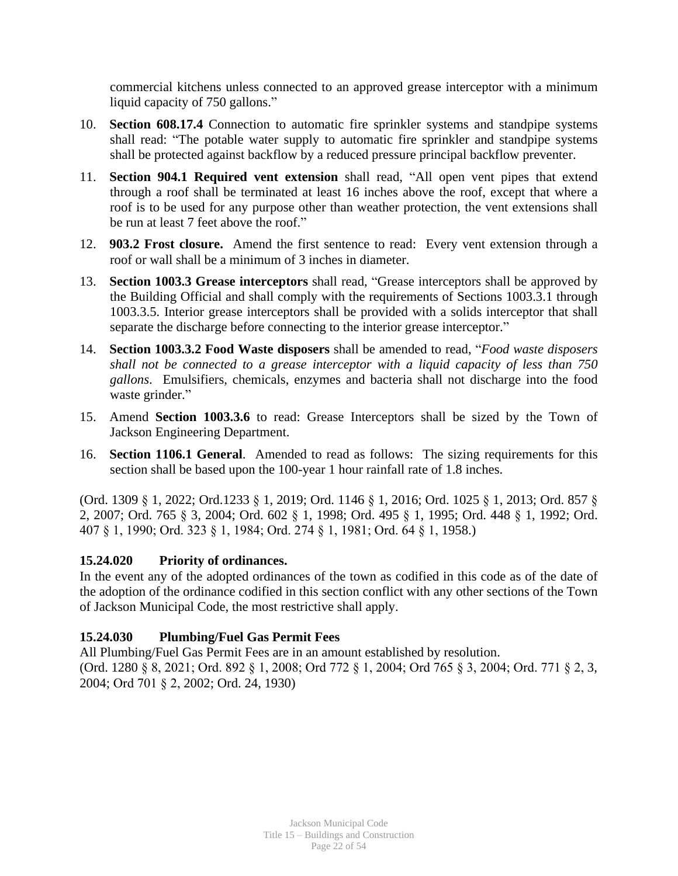commercial kitchens unless connected to an approved grease interceptor with a minimum liquid capacity of 750 gallons."

- 10. **Section 608.17.4** Connection to automatic fire sprinkler systems and standpipe systems shall read: "The potable water supply to automatic fire sprinkler and standpipe systems shall be protected against backflow by a reduced pressure principal backflow preventer.
- 11. **Section 904.1 Required vent extension** shall read, "All open vent pipes that extend through a roof shall be terminated at least 16 inches above the roof, except that where a roof is to be used for any purpose other than weather protection, the vent extensions shall be run at least 7 feet above the roof."
- 12. **903.2 Frost closure.** Amend the first sentence to read: Every vent extension through a roof or wall shall be a minimum of 3 inches in diameter.
- 13. **Section 1003.3 Grease interceptors** shall read, "Grease interceptors shall be approved by the Building Official and shall comply with the requirements of Sections 1003.3.1 through 1003.3.5. Interior grease interceptors shall be provided with a solids interceptor that shall separate the discharge before connecting to the interior grease interceptor."
- 14. **Section 1003.3.2 Food Waste disposers** shall be amended to read, "*Food waste disposers shall not be connected to a grease interceptor with a liquid capacity of less than 750 gallons*. Emulsifiers, chemicals, enzymes and bacteria shall not discharge into the food waste grinder."
- 15. Amend **Section 1003.3.6** to read: Grease Interceptors shall be sized by the Town of Jackson Engineering Department.
- 16. **Section 1106.1 General**. Amended to read as follows: The sizing requirements for this section shall be based upon the 100-year 1 hour rainfall rate of 1.8 inches.

(Ord. 1309 § 1, 2022; Ord.1233 § 1, 2019; Ord. 1146 § 1, 2016; Ord. 1025 § 1, 2013; Ord. 857 § 2, 2007; Ord. 765 § 3, 2004; Ord. 602 § 1, 1998; Ord. 495 § 1, 1995; Ord. 448 § 1, 1992; Ord. 407 § 1, 1990; Ord. 323 § 1, 1984; Ord. 274 § 1, 1981; Ord. 64 § 1, 1958.)

## **15.24.020 Priority of ordinances.**

In the event any of the adopted ordinances of the town as codified in this code as of the date of the adoption of the ordinance codified in this section conflict with any other sections of the Town of Jackson Municipal Code, the most restrictive shall apply.

# **15.24.030 Plumbing/Fuel Gas Permit Fees**

All Plumbing/Fuel Gas Permit Fees are in an amount established by resolution. (Ord. 1280 § 8, 2021; Ord. 892 § 1, 2008; Ord 772 § 1, 2004; Ord 765 § 3, 2004; Ord. 771 § 2, 3, 2004; Ord 701 § 2, 2002; Ord. 24, 1930)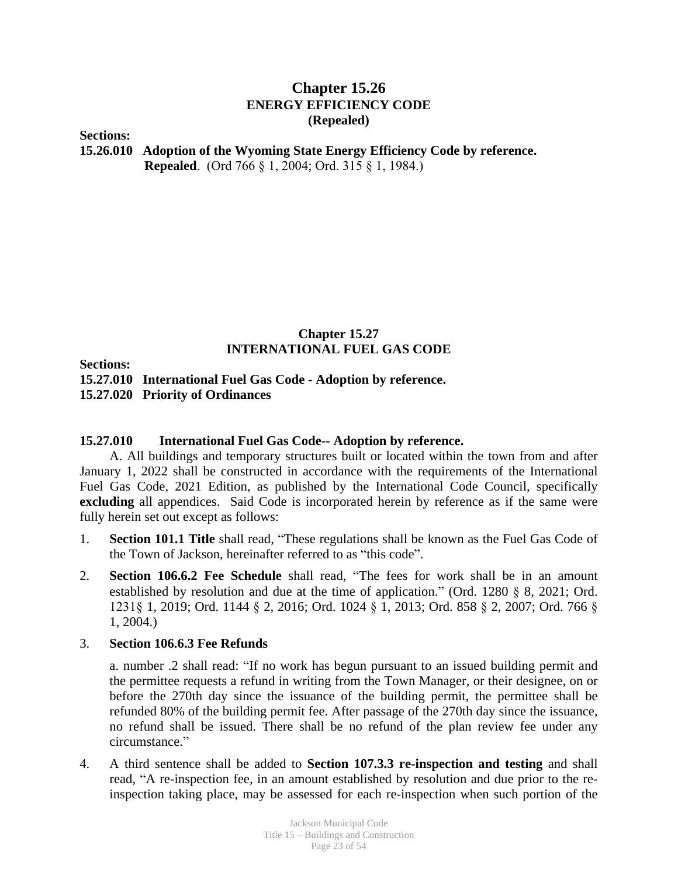# **Chapter 15.26 ENERGY EFFICIENCY CODE (Repealed)**

**Sections:**

**15.26.010 Adoption of the Wyoming State Energy Efficiency Code by reference. Repealed**. (Ord 766 § 1, 2004; Ord. 315 § 1, 1984.)

## **Chapter 15.27 INTERNATIONAL FUEL GAS CODE**

**Sections:**

**15.27.010 International Fuel Gas Code - Adoption by reference.**

**15.27.020 Priority of Ordinances**

#### **15.27.010 International Fuel Gas Code-- Adoption by reference.**

A. All buildings and temporary structures built or located within the town from and after January 1, 2022 shall be constructed in accordance with the requirements of the International Fuel Gas Code, 2021 Edition, as published by the International Code Council, specifically **excluding** all appendices. Said Code is incorporated herein by reference as if the same were fully herein set out except as follows:

- 1. **Section 101.1 Title** shall read, "These regulations shall be known as the Fuel Gas Code of the Town of Jackson, hereinafter referred to as "this code".
- 2. **Section 106.6.2 Fee Schedule** shall read, "The fees for work shall be in an amount established by resolution and due at the time of application." (Ord. 1280 § 8, 2021; Ord. 1231§ 1, 2019; Ord. 1144 § 2, 2016; Ord. 1024 § 1, 2013; Ord. 858 § 2, 2007; Ord. 766 § 1, 2004.)

#### 3. **Section 106.6.3 Fee Refunds**

a. number .2 shall read: "If no work has begun pursuant to an issued building permit and the permittee requests a refund in writing from the Town Manager, or their designee, on or before the 270th day since the issuance of the building permit, the permittee shall be refunded 80% of the building permit fee. After passage of the 270th day since the issuance, no refund shall be issued. There shall be no refund of the plan review fee under any circumstance."

4. A third sentence shall be added to **Section 107.3.3 re-inspection and testing** and shall read, "A re-inspection fee, in an amount established by resolution and due prior to the reinspection taking place, may be assessed for each re-inspection when such portion of the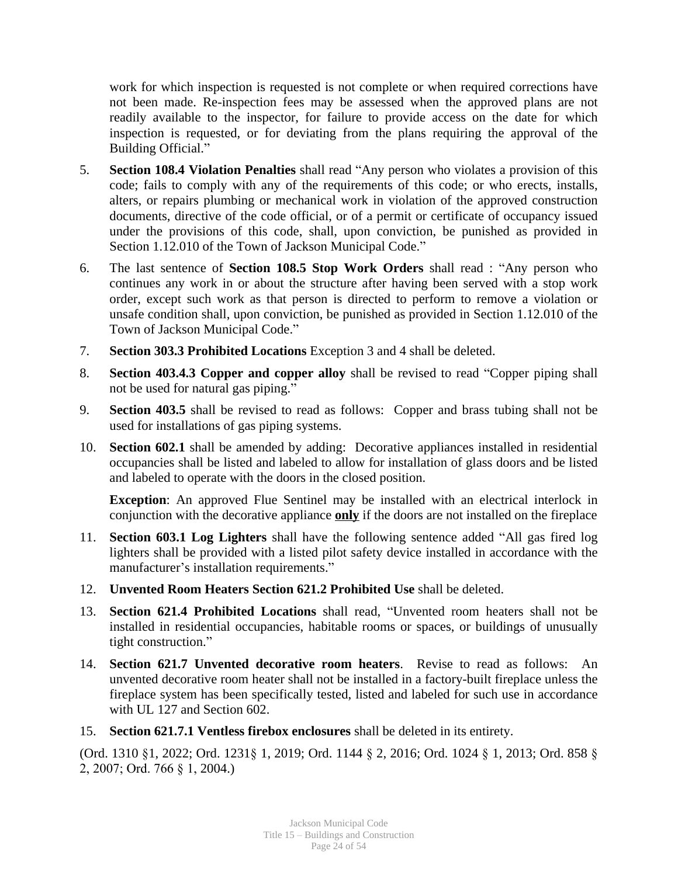work for which inspection is requested is not complete or when required corrections have not been made. Re-inspection fees may be assessed when the approved plans are not readily available to the inspector, for failure to provide access on the date for which inspection is requested, or for deviating from the plans requiring the approval of the Building Official."

- 5. **Section 108.4 Violation Penalties** shall read "Any person who violates a provision of this code; fails to comply with any of the requirements of this code; or who erects, installs, alters, or repairs plumbing or mechanical work in violation of the approved construction documents, directive of the code official, or of a permit or certificate of occupancy issued under the provisions of this code, shall, upon conviction, be punished as provided in Section 1.12.010 of the Town of Jackson Municipal Code."
- 6. The last sentence of **Section 108.5 Stop Work Orders** shall read : "Any person who continues any work in or about the structure after having been served with a stop work order, except such work as that person is directed to perform to remove a violation or unsafe condition shall, upon conviction, be punished as provided in Section 1.12.010 of the Town of Jackson Municipal Code."
- 7. **Section 303.3 Prohibited Locations** Exception 3 and 4 shall be deleted.
- 8. **Section 403.4.3 Copper and copper alloy** shall be revised to read "Copper piping shall not be used for natural gas piping."
- 9. **Section 403.5** shall be revised to read as follows: Copper and brass tubing shall not be used for installations of gas piping systems.
- 10. **Section 602.1** shall be amended by adding: Decorative appliances installed in residential occupancies shall be listed and labeled to allow for installation of glass doors and be listed and labeled to operate with the doors in the closed position.

**Exception**: An approved Flue Sentinel may be installed with an electrical interlock in conjunction with the decorative appliance **only** if the doors are not installed on the fireplace

- 11. **Section 603.1 Log Lighters** shall have the following sentence added "All gas fired log lighters shall be provided with a listed pilot safety device installed in accordance with the manufacturer's installation requirements."
- 12. **Unvented Room Heaters Section 621.2 Prohibited Use** shall be deleted.
- 13. **Section 621.4 Prohibited Locations** shall read, "Unvented room heaters shall not be installed in residential occupancies, habitable rooms or spaces, or buildings of unusually tight construction."
- 14. **Section 621.7 Unvented decorative room heaters**. Revise to read as follows: An unvented decorative room heater shall not be installed in a factory-built fireplace unless the fireplace system has been specifically tested, listed and labeled for such use in accordance with UL 127 and Section 602.
- 15. **Section 621.7.1 Ventless firebox enclosures** shall be deleted in its entirety.

(Ord. 1310 §1, 2022; Ord. 1231§ 1, 2019; Ord. 1144 § 2, 2016; Ord. 1024 § 1, 2013; Ord. 858 § 2, 2007; Ord. 766 § 1, 2004.)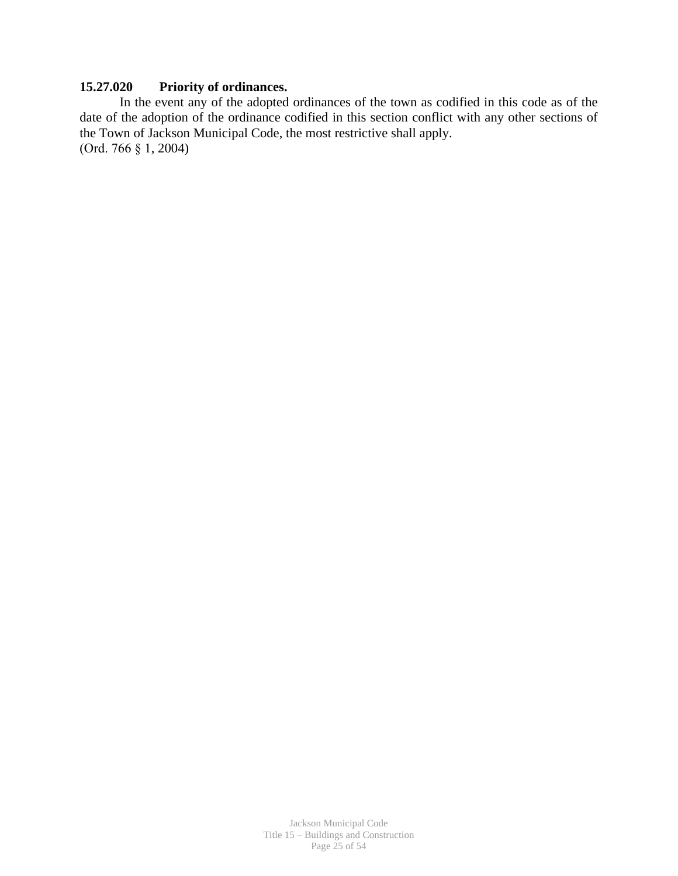# **15.27.020 Priority of ordinances.**

In the event any of the adopted ordinances of the town as codified in this code as of the date of the adoption of the ordinance codified in this section conflict with any other sections of the Town of Jackson Municipal Code, the most restrictive shall apply. (Ord. 766 § 1, 2004)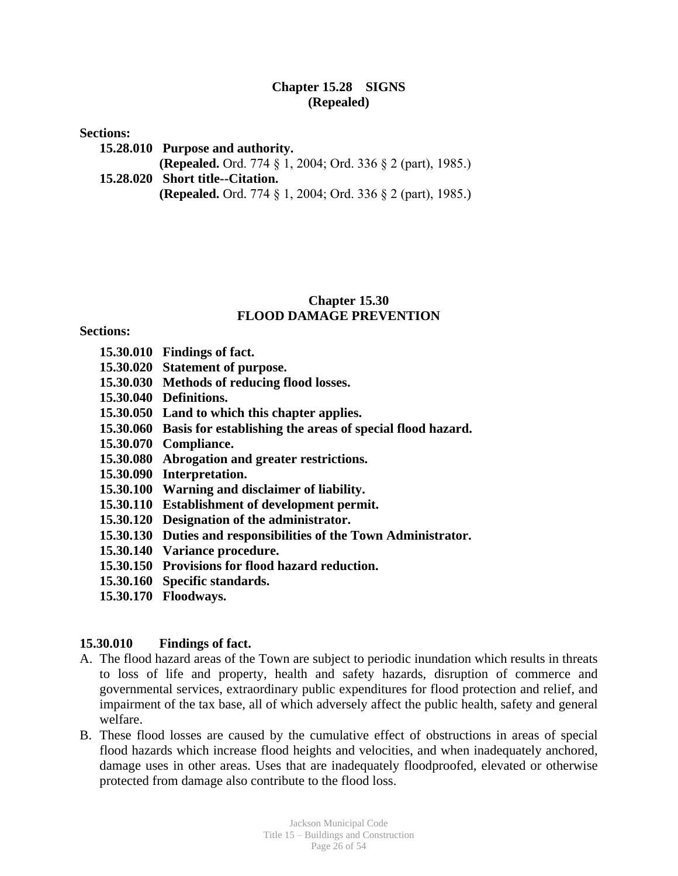## **Chapter 15.28 SIGNS (Repealed)**

#### **Sections:**

**15.28.010 Purpose and authority.**

**(Repealed.** Ord. 774 § 1, 2004; Ord. 336 § 2 (part), 1985.)

**15.28.020 Short title--Citation.**

**(Repealed.** Ord. 774 § 1, 2004; Ord. 336 § 2 (part), 1985.)

## **Chapter 15.30 FLOOD DAMAGE PREVENTION**

## **Sections:**

- **15.30.010 Findings of fact.**
- **15.30.020 Statement of purpose.**
- **15.30.030 Methods of reducing flood losses.**
- **15.30.040 Definitions.**
- **15.30.050 Land to which this chapter applies.**
- **15.30.060 Basis for establishing the areas of special flood hazard.**
- **15.30.070 Compliance.**
- **15.30.080 Abrogation and greater restrictions.**
- **15.30.090 Interpretation.**
- **15.30.100 Warning and disclaimer of liability.**
- **15.30.110 Establishment of development permit.**
- **15.30.120 Designation of the administrator.**
- **15.30.130 Duties and responsibilities of the Town Administrator.**
- **15.30.140 Variance procedure.**
- **15.30.150 Provisions for flood hazard reduction.**
- **15.30.160 Specific standards.**
- **15.30.170 Floodways.**

## **15.30.010 Findings of fact.**

- A. The flood hazard areas of the Town are subject to periodic inundation which results in threats to loss of life and property, health and safety hazards, disruption of commerce and governmental services, extraordinary public expenditures for flood protection and relief, and impairment of the tax base, all of which adversely affect the public health, safety and general welfare.
- B. These flood losses are caused by the cumulative effect of obstructions in areas of special flood hazards which increase flood heights and velocities, and when inadequately anchored, damage uses in other areas. Uses that are inadequately floodproofed, elevated or otherwise protected from damage also contribute to the flood loss.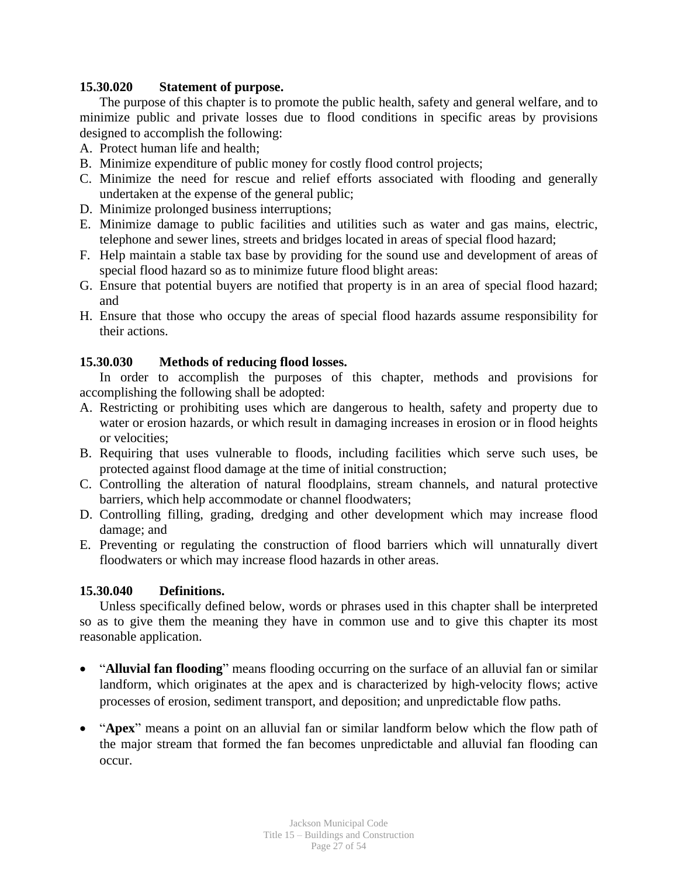#### **15.30.020 Statement of purpose.**

The purpose of this chapter is to promote the public health, safety and general welfare, and to minimize public and private losses due to flood conditions in specific areas by provisions designed to accomplish the following:

- A. Protect human life and health;
- B. Minimize expenditure of public money for costly flood control projects;
- C. Minimize the need for rescue and relief efforts associated with flooding and generally undertaken at the expense of the general public;
- D. Minimize prolonged business interruptions;
- E. Minimize damage to public facilities and utilities such as water and gas mains, electric, telephone and sewer lines, streets and bridges located in areas of special flood hazard;
- F. Help maintain a stable tax base by providing for the sound use and development of areas of special flood hazard so as to minimize future flood blight areas:
- G. Ensure that potential buyers are notified that property is in an area of special flood hazard; and
- H. Ensure that those who occupy the areas of special flood hazards assume responsibility for their actions.

## **15.30.030 Methods of reducing flood losses.**

In order to accomplish the purposes of this chapter, methods and provisions for accomplishing the following shall be adopted:

- A. Restricting or prohibiting uses which are dangerous to health, safety and property due to water or erosion hazards, or which result in damaging increases in erosion or in flood heights or velocities;
- B. Requiring that uses vulnerable to floods, including facilities which serve such uses, be protected against flood damage at the time of initial construction;
- C. Controlling the alteration of natural floodplains, stream channels, and natural protective barriers, which help accommodate or channel floodwaters;
- D. Controlling filling, grading, dredging and other development which may increase flood damage; and
- E. Preventing or regulating the construction of flood barriers which will unnaturally divert floodwaters or which may increase flood hazards in other areas.

## **15.30.040 Definitions.**

Unless specifically defined below, words or phrases used in this chapter shall be interpreted so as to give them the meaning they have in common use and to give this chapter its most reasonable application.

- "**Alluvial fan flooding**" means flooding occurring on the surface of an alluvial fan or similar landform, which originates at the apex and is characterized by high-velocity flows; active processes of erosion, sediment transport, and deposition; and unpredictable flow paths.
- "**Apex**" means a point on an alluvial fan or similar landform below which the flow path of the major stream that formed the fan becomes unpredictable and alluvial fan flooding can occur.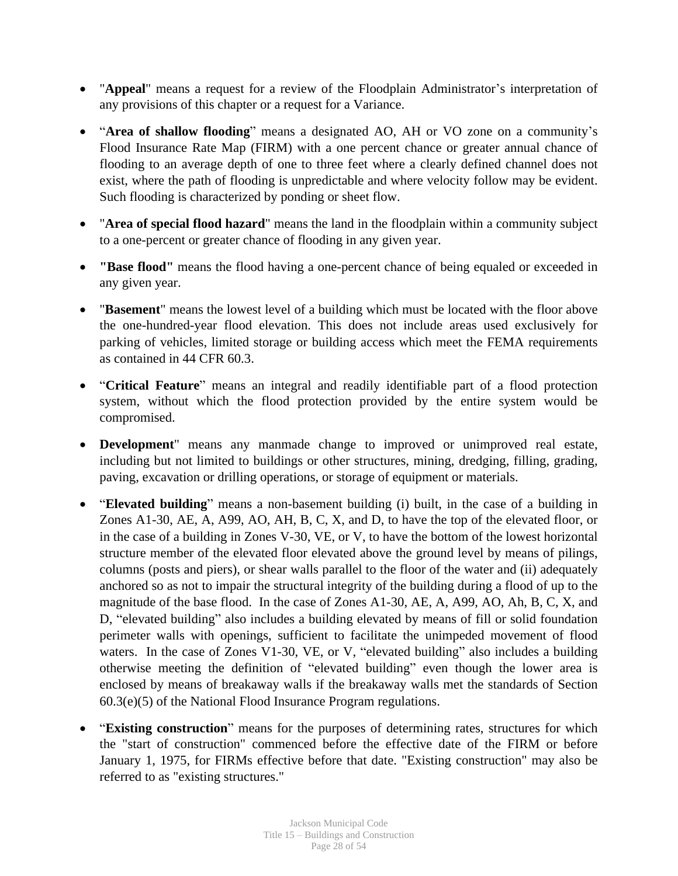- "**Appeal**" means a request for a review of the Floodplain Administrator's interpretation of any provisions of this chapter or a request for a Variance.
- "**Area of shallow flooding**" means a designated AO, AH or VO zone on a community's Flood Insurance Rate Map (FIRM) with a one percent chance or greater annual chance of flooding to an average depth of one to three feet where a clearly defined channel does not exist, where the path of flooding is unpredictable and where velocity follow may be evident. Such flooding is characterized by ponding or sheet flow.
- "**Area of special flood hazard**" means the land in the floodplain within a community subject to a one-percent or greater chance of flooding in any given year.
- **"Base flood"** means the flood having a one-percent chance of being equaled or exceeded in any given year.
- "**Basement**" means the lowest level of a building which must be located with the floor above the one-hundred-year flood elevation. This does not include areas used exclusively for parking of vehicles, limited storage or building access which meet the FEMA requirements as contained in 44 CFR 60.3.
- "**Critical Feature**" means an integral and readily identifiable part of a flood protection system, without which the flood protection provided by the entire system would be compromised.
- **Development**" means any manmade change to improved or unimproved real estate, including but not limited to buildings or other structures, mining, dredging, filling, grading, paving, excavation or drilling operations, or storage of equipment or materials.
- "**Elevated building**" means a non-basement building (i) built, in the case of a building in Zones A1-30, AE, A, A99, AO, AH, B, C, X, and D, to have the top of the elevated floor, or in the case of a building in Zones V-30, VE, or V, to have the bottom of the lowest horizontal structure member of the elevated floor elevated above the ground level by means of pilings, columns (posts and piers), or shear walls parallel to the floor of the water and (ii) adequately anchored so as not to impair the structural integrity of the building during a flood of up to the magnitude of the base flood. In the case of Zones A1-30, AE, A, A99, AO, Ah, B, C, X, and D, "elevated building" also includes a building elevated by means of fill or solid foundation perimeter walls with openings, sufficient to facilitate the unimpeded movement of flood waters. In the case of Zones V1-30, VE, or V, "elevated building" also includes a building otherwise meeting the definition of "elevated building" even though the lower area is enclosed by means of breakaway walls if the breakaway walls met the standards of Section 60.3(e)(5) of the National Flood Insurance Program regulations.
- "**Existing construction**" means for the purposes of determining rates, structures for which the "start of construction" commenced before the effective date of the FIRM or before January 1, 1975, for FIRMs effective before that date. "Existing construction" may also be referred to as "existing structures."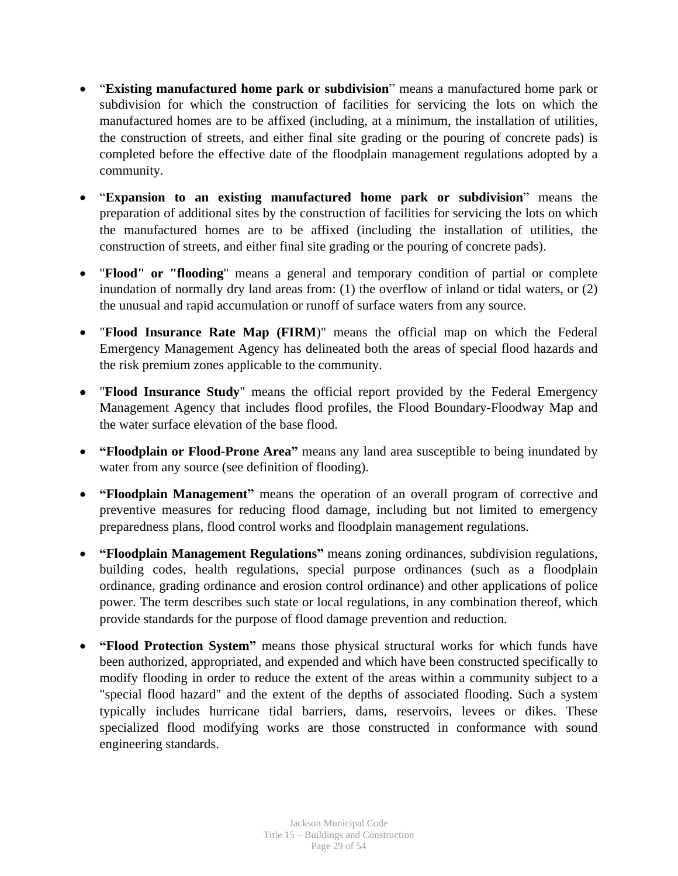- "**Existing manufactured home park or subdivision**" means a manufactured home park or subdivision for which the construction of facilities for servicing the lots on which the manufactured homes are to be affixed (including, at a minimum, the installation of utilities, the construction of streets, and either final site grading or the pouring of concrete pads) is completed before the effective date of the floodplain management regulations adopted by a community.
- "**Expansion to an existing manufactured home park or subdivision**" means the preparation of additional sites by the construction of facilities for servicing the lots on which the manufactured homes are to be affixed (including the installation of utilities, the construction of streets, and either final site grading or the pouring of concrete pads).
- "**Flood" or "flooding**" means a general and temporary condition of partial or complete inundation of normally dry land areas from: (1) the overflow of inland or tidal waters, or (2) the unusual and rapid accumulation or runoff of surface waters from any source.
- "**Flood Insurance Rate Map (FIRM**)" means the official map on which the Federal Emergency Management Agency has delineated both the areas of special flood hazards and the risk premium zones applicable to the community.
- "**Flood Insurance Study**" means the official report provided by the Federal Emergency Management Agency that includes flood profiles, the Flood Boundary-Floodway Map and the water surface elevation of the base flood.
- **"Floodplain or Flood-Prone Area"** means any land area susceptible to being inundated by water from any source (see definition of flooding).
- **"Floodplain Management"** means the operation of an overall program of corrective and preventive measures for reducing flood damage, including but not limited to emergency preparedness plans, flood control works and floodplain management regulations.
- **"Floodplain Management Regulations"** means zoning ordinances, subdivision regulations, building codes, health regulations, special purpose ordinances (such as a floodplain ordinance, grading ordinance and erosion control ordinance) and other applications of police power. The term describes such state or local regulations, in any combination thereof, which provide standards for the purpose of flood damage prevention and reduction.
- **"Flood Protection System"** means those physical structural works for which funds have been authorized, appropriated, and expended and which have been constructed specifically to modify flooding in order to reduce the extent of the areas within a community subject to a "special flood hazard" and the extent of the depths of associated flooding. Such a system typically includes hurricane tidal barriers, dams, reservoirs, levees or dikes. These specialized flood modifying works are those constructed in conformance with sound engineering standards.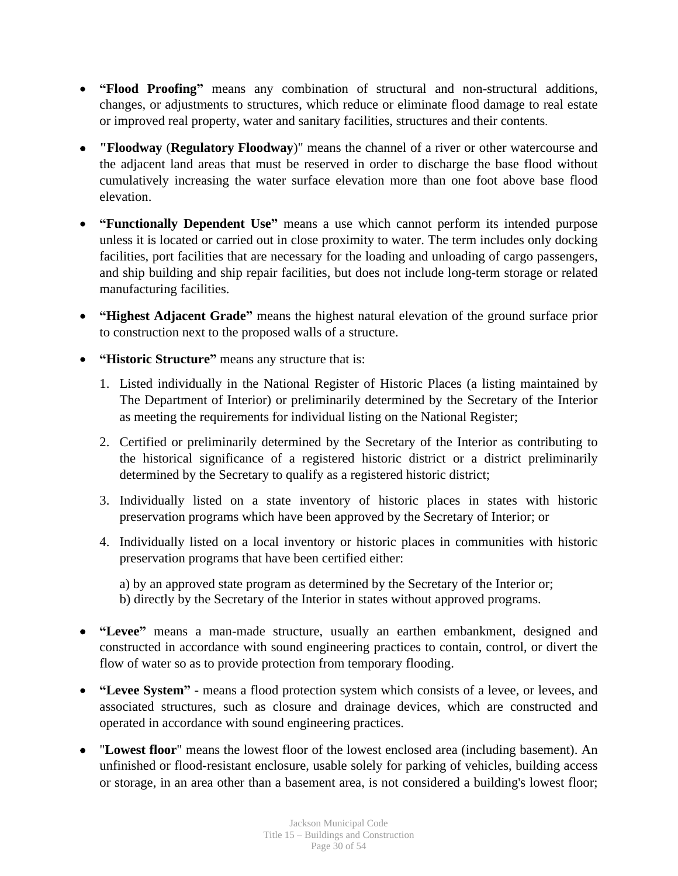- **"Flood Proofing"** means any combination of structural and non-structural additions, changes, or adjustments to structures, which reduce or eliminate flood damage to real estate or improved real property, water and sanitary facilities, structures and their contents.
- **"Floodway** (**Regulatory Floodway**)" means the channel of a river or other watercourse and the adjacent land areas that must be reserved in order to discharge the base flood without cumulatively increasing the water surface elevation more than one foot above base flood elevation.
- **"Functionally Dependent Use"** means a use which cannot perform its intended purpose unless it is located or carried out in close proximity to water. The term includes only docking facilities, port facilities that are necessary for the loading and unloading of cargo passengers, and ship building and ship repair facilities, but does not include long-term storage or related manufacturing facilities.
- **"Highest Adjacent Grade"** means the highest natural elevation of the ground surface prior to construction next to the proposed walls of a structure.
- **"Historic Structure"** means any structure that is:
	- 1. Listed individually in the National Register of Historic Places (a listing maintained by The Department of Interior) or preliminarily determined by the Secretary of the Interior as meeting the requirements for individual listing on the National Register;
	- 2. Certified or preliminarily determined by the Secretary of the Interior as contributing to the historical significance of a registered historic district or a district preliminarily determined by the Secretary to qualify as a registered historic district;
	- 3. Individually listed on a state inventory of historic places in states with historic preservation programs which have been approved by the Secretary of Interior; or
	- 4. Individually listed on a local inventory or historic places in communities with historic preservation programs that have been certified either:

a) by an approved state program as determined by the Secretary of the Interior or; b) directly by the Secretary of the Interior in states without approved programs.

- **"Levee"** means a man-made structure, usually an earthen embankment, designed and constructed in accordance with sound engineering practices to contain, control, or divert the flow of water so as to provide protection from temporary flooding.
- **"Levee System" -** means a flood protection system which consists of a levee, or levees, and associated structures, such as closure and drainage devices, which are constructed and operated in accordance with sound engineering practices.
- "**Lowest floor**" means the lowest floor of the lowest enclosed area (including basement). An unfinished or flood-resistant enclosure, usable solely for parking of vehicles, building access or storage, in an area other than a basement area, is not considered a building's lowest floor;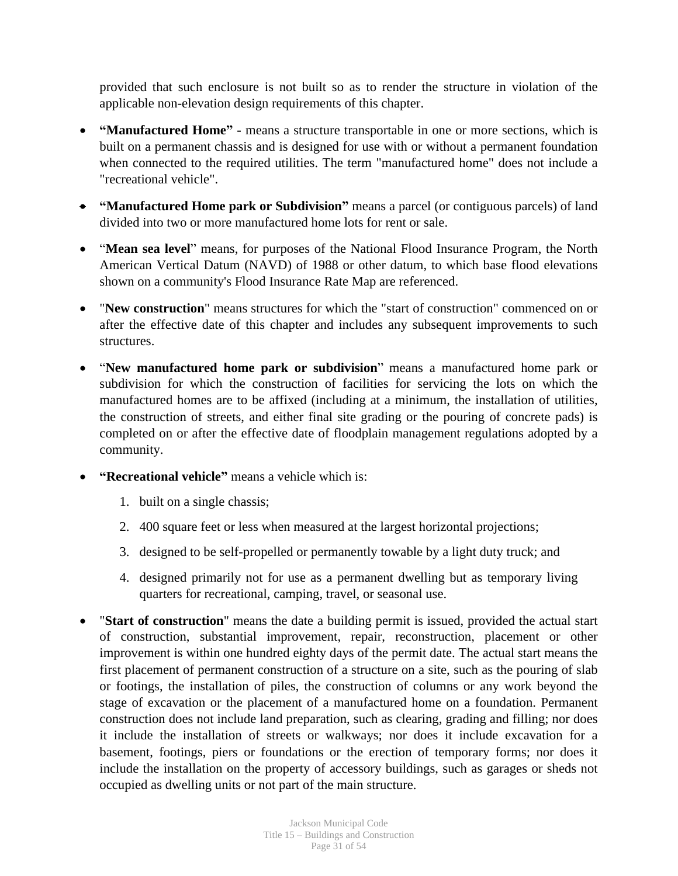provided that such enclosure is not built so as to render the structure in violation of the applicable non-elevation design requirements of this chapter.

- **"Manufactured Home" -** means a structure transportable in one or more sections, which is built on a permanent chassis and is designed for use with or without a permanent foundation when connected to the required utilities. The term "manufactured home" does not include a "recreational vehicle".
- **"Manufactured Home park or Subdivision"** means a parcel (or contiguous parcels) of land divided into two or more manufactured home lots for rent or sale.
- "**Mean sea level**" means, for purposes of the National Flood Insurance Program, the North American Vertical Datum (NAVD) of 1988 or other datum, to which base flood elevations shown on a community's Flood Insurance Rate Map are referenced.
- "**New construction**" means structures for which the "start of construction" commenced on or after the effective date of this chapter and includes any subsequent improvements to such structures.
- "**New manufactured home park or subdivision**" means a manufactured home park or subdivision for which the construction of facilities for servicing the lots on which the manufactured homes are to be affixed (including at a minimum, the installation of utilities, the construction of streets, and either final site grading or the pouring of concrete pads) is completed on or after the effective date of floodplain management regulations adopted by a community.
- **"Recreational vehicle"** means a vehicle which is:
	- 1. built on a single chassis;
	- 2. 400 square feet or less when measured at the largest horizontal projections;
	- 3. designed to be self-propelled or permanently towable by a light duty truck; and
	- 4. designed primarily not for use as a permanent dwelling but as temporary living quarters for recreational, camping, travel, or seasonal use.
- "**Start of construction**" means the date a building permit is issued, provided the actual start of construction, substantial improvement, repair, reconstruction, placement or other improvement is within one hundred eighty days of the permit date. The actual start means the first placement of permanent construction of a structure on a site, such as the pouring of slab or footings, the installation of piles, the construction of columns or any work beyond the stage of excavation or the placement of a manufactured home on a foundation. Permanent construction does not include land preparation, such as clearing, grading and filling; nor does it include the installation of streets or walkways; nor does it include excavation for a basement, footings, piers or foundations or the erection of temporary forms; nor does it include the installation on the property of accessory buildings, such as garages or sheds not occupied as dwelling units or not part of the main structure.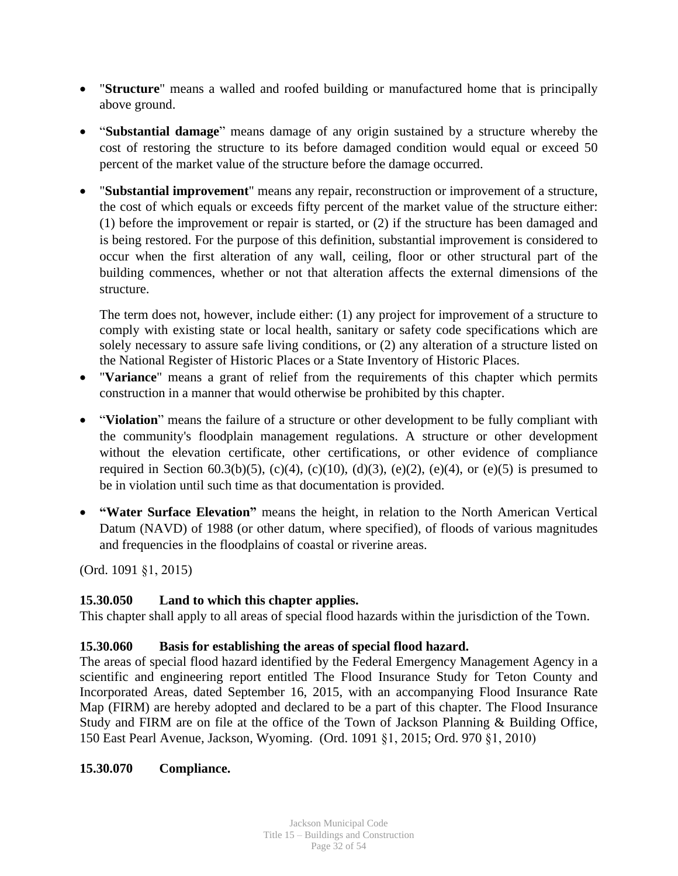- "**Structure**" means a walled and roofed building or manufactured home that is principally above ground.
- "**Substantial damage**" means damage of any origin sustained by a structure whereby the cost of restoring the structure to its before damaged condition would equal or exceed 50 percent of the market value of the structure before the damage occurred.
- "**Substantial improvement**" means any repair, reconstruction or improvement of a structure, the cost of which equals or exceeds fifty percent of the market value of the structure either: (1) before the improvement or repair is started, or (2) if the structure has been damaged and is being restored. For the purpose of this definition, substantial improvement is considered to occur when the first alteration of any wall, ceiling, floor or other structural part of the building commences, whether or not that alteration affects the external dimensions of the structure.

The term does not, however, include either: (1) any project for improvement of a structure to comply with existing state or local health, sanitary or safety code specifications which are solely necessary to assure safe living conditions, or (2) any alteration of a structure listed on the National Register of Historic Places or a State Inventory of Historic Places.

- "**Variance**" means a grant of relief from the requirements of this chapter which permits construction in a manner that would otherwise be prohibited by this chapter.
- "**Violation**" means the failure of a structure or other development to be fully compliant with the community's floodplain management regulations. A structure or other development without the elevation certificate, other certifications, or other evidence of compliance required in Section 60.3(b)(5), (c)(4), (c)(10), (d)(3), (e)(2), (e)(4), or (e)(5) is presumed to be in violation until such time as that documentation is provided.
- **"Water Surface Elevation"** means the height, in relation to the North American Vertical Datum (NAVD) of 1988 (or other datum, where specified), of floods of various magnitudes and frequencies in the floodplains of coastal or riverine areas.

(Ord. 1091 §1, 2015)

# **15.30.050 Land to which this chapter applies.**

This chapter shall apply to all areas of special flood hazards within the jurisdiction of the Town.

# **15.30.060 Basis for establishing the areas of special flood hazard.**

The areas of special flood hazard identified by the Federal Emergency Management Agency in a scientific and engineering report entitled The Flood Insurance Study for Teton County and Incorporated Areas, dated September 16, 2015, with an accompanying Flood Insurance Rate Map (FIRM) are hereby adopted and declared to be a part of this chapter. The Flood Insurance Study and FIRM are on file at the office of the Town of Jackson Planning & Building Office, 150 East Pearl Avenue, Jackson, Wyoming. (Ord. 1091 §1, 2015; Ord. 970 §1, 2010)

## **15.30.070 Compliance.**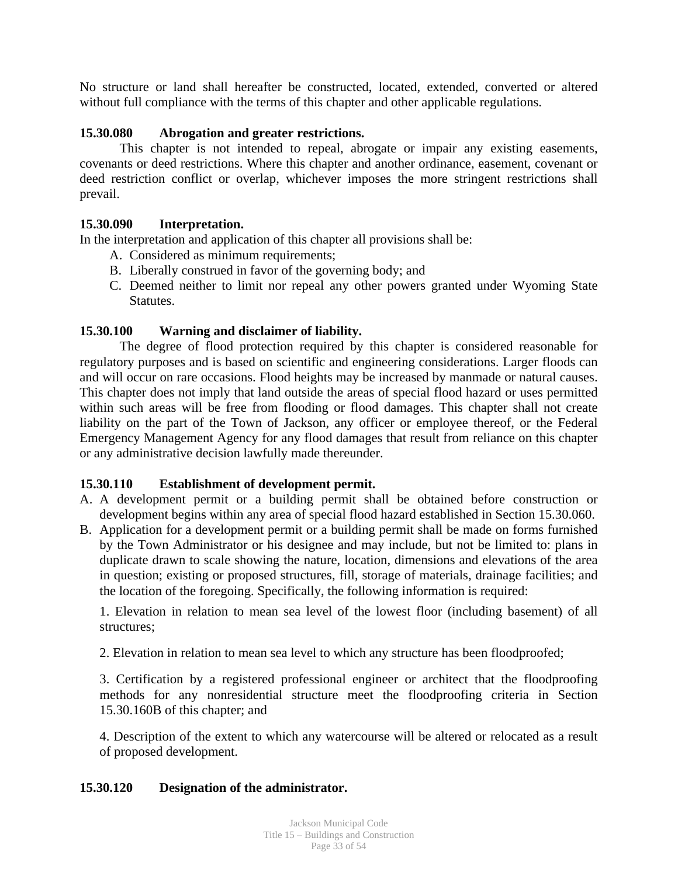No structure or land shall hereafter be constructed, located, extended, converted or altered without full compliance with the terms of this chapter and other applicable regulations.

## **15.30.080 Abrogation and greater restrictions.**

This chapter is not intended to repeal, abrogate or impair any existing easements, covenants or deed restrictions. Where this chapter and another ordinance, easement, covenant or deed restriction conflict or overlap, whichever imposes the more stringent restrictions shall prevail.

## **15.30.090 Interpretation.**

In the interpretation and application of this chapter all provisions shall be:

- A. Considered as minimum requirements;
- B. Liberally construed in favor of the governing body; and
- C. Deemed neither to limit nor repeal any other powers granted under Wyoming State Statutes.

## **15.30.100 Warning and disclaimer of liability.**

The degree of flood protection required by this chapter is considered reasonable for regulatory purposes and is based on scientific and engineering considerations. Larger floods can and will occur on rare occasions. Flood heights may be increased by manmade or natural causes. This chapter does not imply that land outside the areas of special flood hazard or uses permitted within such areas will be free from flooding or flood damages. This chapter shall not create liability on the part of the Town of Jackson, any officer or employee thereof, or the Federal Emergency Management Agency for any flood damages that result from reliance on this chapter or any administrative decision lawfully made thereunder.

#### **15.30.110 Establishment of development permit.**

- A. A development permit or a building permit shall be obtained before construction or development begins within any area of special flood hazard established in Section 15.30.060.
- B. Application for a development permit or a building permit shall be made on forms furnished by the Town Administrator or his designee and may include, but not be limited to: plans in duplicate drawn to scale showing the nature, location, dimensions and elevations of the area in question; existing or proposed structures, fill, storage of materials, drainage facilities; and the location of the foregoing. Specifically, the following information is required:

1. Elevation in relation to mean sea level of the lowest floor (including basement) of all structures;

2. Elevation in relation to mean sea level to which any structure has been floodproofed;

3. Certification by a registered professional engineer or architect that the floodproofing methods for any nonresidential structure meet the floodproofing criteria in Section 15.30.160B of this chapter; and

4. Description of the extent to which any watercourse will be altered or relocated as a result of proposed development.

#### **15.30.120 Designation of the administrator.**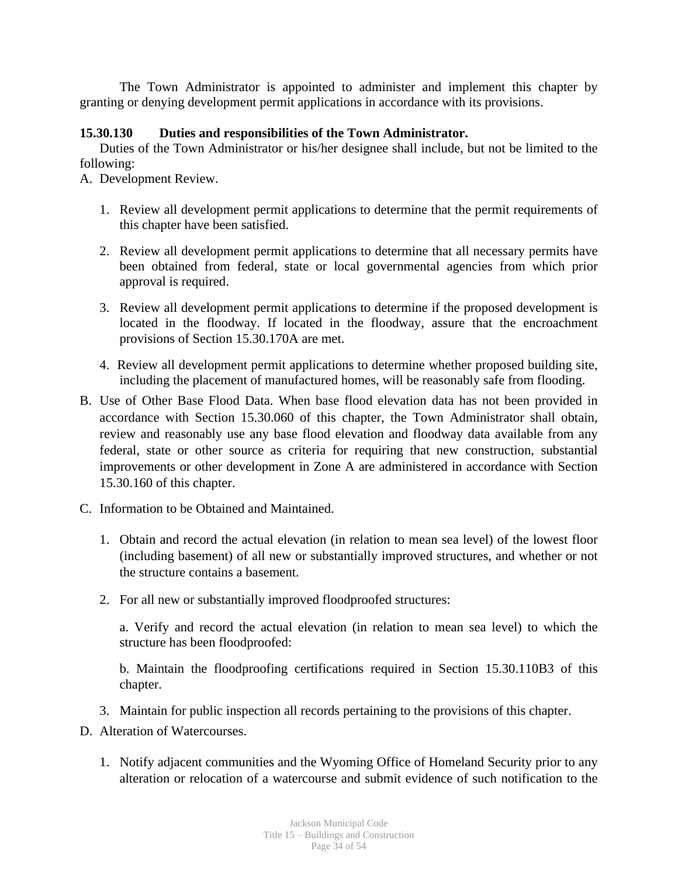The Town Administrator is appointed to administer and implement this chapter by granting or denying development permit applications in accordance with its provisions.

## **15.30.130 Duties and responsibilities of the Town Administrator.**

Duties of the Town Administrator or his/her designee shall include, but not be limited to the following:

A. Development Review.

- 1. Review all development permit applications to determine that the permit requirements of this chapter have been satisfied.
- 2. Review all development permit applications to determine that all necessary permits have been obtained from federal, state or local governmental agencies from which prior approval is required.
- 3. Review all development permit applications to determine if the proposed development is located in the floodway. If located in the floodway, assure that the encroachment provisions of Section 15.30.170A are met.
- 4. Review all development permit applications to determine whether proposed building site, including the placement of manufactured homes, will be reasonably safe from flooding.
- B. Use of Other Base Flood Data. When base flood elevation data has not been provided in accordance with Section 15.30.060 of this chapter, the Town Administrator shall obtain, review and reasonably use any base flood elevation and floodway data available from any federal, state or other source as criteria for requiring that new construction, substantial improvements or other development in Zone A are administered in accordance with Section 15.30.160 of this chapter.
- C. Information to be Obtained and Maintained.
	- 1. Obtain and record the actual elevation (in relation to mean sea level) of the lowest floor (including basement) of all new or substantially improved structures, and whether or not the structure contains a basement.
	- 2. For all new or substantially improved floodproofed structures:

a. Verify and record the actual elevation (in relation to mean sea level) to which the structure has been floodproofed:

b. Maintain the floodproofing certifications required in Section 15.30.110B3 of this chapter.

- 3. Maintain for public inspection all records pertaining to the provisions of this chapter.
- D. Alteration of Watercourses.
	- 1. Notify adjacent communities and the Wyoming Office of Homeland Security prior to any alteration or relocation of a watercourse and submit evidence of such notification to the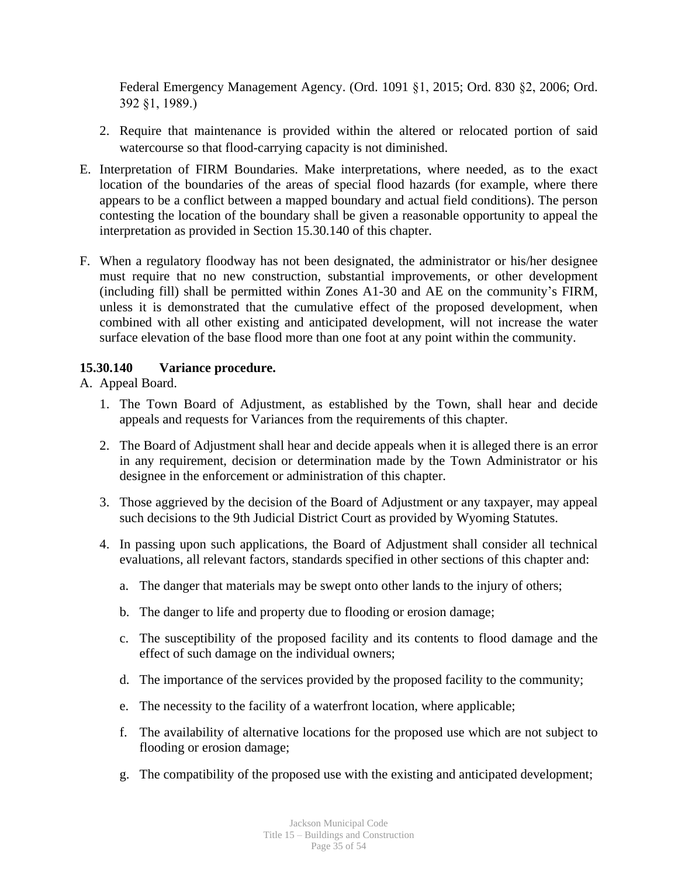Federal Emergency Management Agency. (Ord. 1091 §1, 2015; Ord. 830 §2, 2006; Ord. 392 §1, 1989.)

- 2. Require that maintenance is provided within the altered or relocated portion of said watercourse so that flood-carrying capacity is not diminished.
- E. Interpretation of FIRM Boundaries. Make interpretations, where needed, as to the exact location of the boundaries of the areas of special flood hazards (for example, where there appears to be a conflict between a mapped boundary and actual field conditions). The person contesting the location of the boundary shall be given a reasonable opportunity to appeal the interpretation as provided in Section 15.30.140 of this chapter.
- F. When a regulatory floodway has not been designated, the administrator or his/her designee must require that no new construction, substantial improvements, or other development (including fill) shall be permitted within Zones A1-30 and AE on the community's FIRM, unless it is demonstrated that the cumulative effect of the proposed development, when combined with all other existing and anticipated development, will not increase the water surface elevation of the base flood more than one foot at any point within the community.

## **15.30.140 Variance procedure.**

# A. Appeal Board.

- 1. The Town Board of Adjustment, as established by the Town, shall hear and decide appeals and requests for Variances from the requirements of this chapter.
- 2. The Board of Adjustment shall hear and decide appeals when it is alleged there is an error in any requirement, decision or determination made by the Town Administrator or his designee in the enforcement or administration of this chapter.
- 3. Those aggrieved by the decision of the Board of Adjustment or any taxpayer, may appeal such decisions to the 9th Judicial District Court as provided by Wyoming Statutes.
- 4. In passing upon such applications, the Board of Adjustment shall consider all technical evaluations, all relevant factors, standards specified in other sections of this chapter and:
	- a. The danger that materials may be swept onto other lands to the injury of others;
	- b. The danger to life and property due to flooding or erosion damage;
	- c. The susceptibility of the proposed facility and its contents to flood damage and the effect of such damage on the individual owners;
	- d. The importance of the services provided by the proposed facility to the community;
	- e. The necessity to the facility of a waterfront location, where applicable;
	- f. The availability of alternative locations for the proposed use which are not subject to flooding or erosion damage;
	- g. The compatibility of the proposed use with the existing and anticipated development;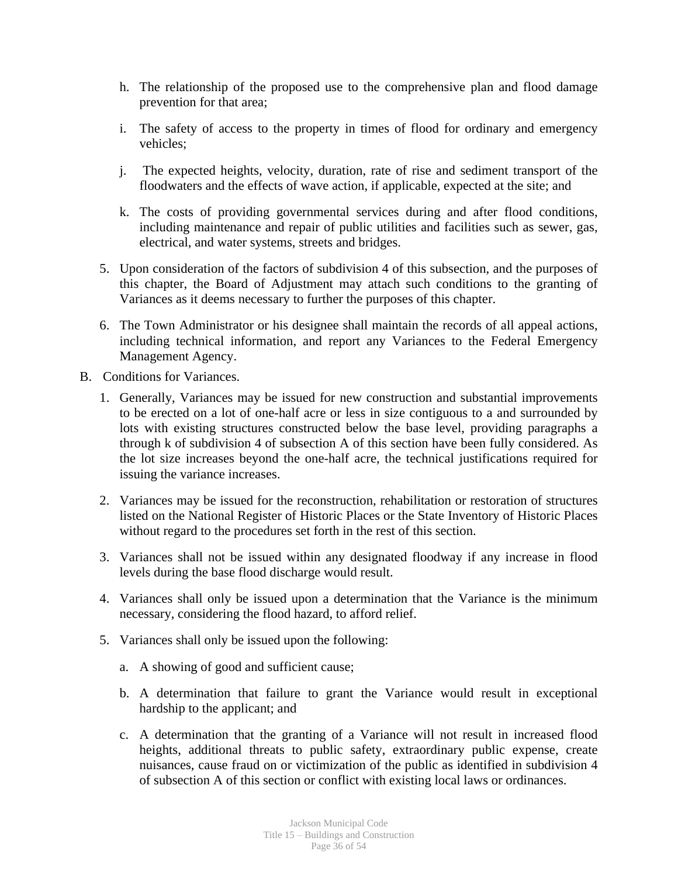- h. The relationship of the proposed use to the comprehensive plan and flood damage prevention for that area;
- i. The safety of access to the property in times of flood for ordinary and emergency vehicles;
- j. The expected heights, velocity, duration, rate of rise and sediment transport of the floodwaters and the effects of wave action, if applicable, expected at the site; and
- k. The costs of providing governmental services during and after flood conditions, including maintenance and repair of public utilities and facilities such as sewer, gas, electrical, and water systems, streets and bridges.
- 5. Upon consideration of the factors of subdivision 4 of this subsection, and the purposes of this chapter, the Board of Adjustment may attach such conditions to the granting of Variances as it deems necessary to further the purposes of this chapter.
- 6. The Town Administrator or his designee shall maintain the records of all appeal actions, including technical information, and report any Variances to the Federal Emergency Management Agency.
- B. Conditions for Variances.
	- 1. Generally, Variances may be issued for new construction and substantial improvements to be erected on a lot of one-half acre or less in size contiguous to a and surrounded by lots with existing structures constructed below the base level, providing paragraphs a through k of subdivision 4 of subsection A of this section have been fully considered. As the lot size increases beyond the one-half acre, the technical justifications required for issuing the variance increases.
	- 2. Variances may be issued for the reconstruction, rehabilitation or restoration of structures listed on the National Register of Historic Places or the State Inventory of Historic Places without regard to the procedures set forth in the rest of this section.
	- 3. Variances shall not be issued within any designated floodway if any increase in flood levels during the base flood discharge would result.
	- 4. Variances shall only be issued upon a determination that the Variance is the minimum necessary, considering the flood hazard, to afford relief.
	- 5. Variances shall only be issued upon the following:
		- a. A showing of good and sufficient cause;
		- b. A determination that failure to grant the Variance would result in exceptional hardship to the applicant; and
		- c. A determination that the granting of a Variance will not result in increased flood heights, additional threats to public safety, extraordinary public expense, create nuisances, cause fraud on or victimization of the public as identified in subdivision 4 of subsection A of this section or conflict with existing local laws or ordinances.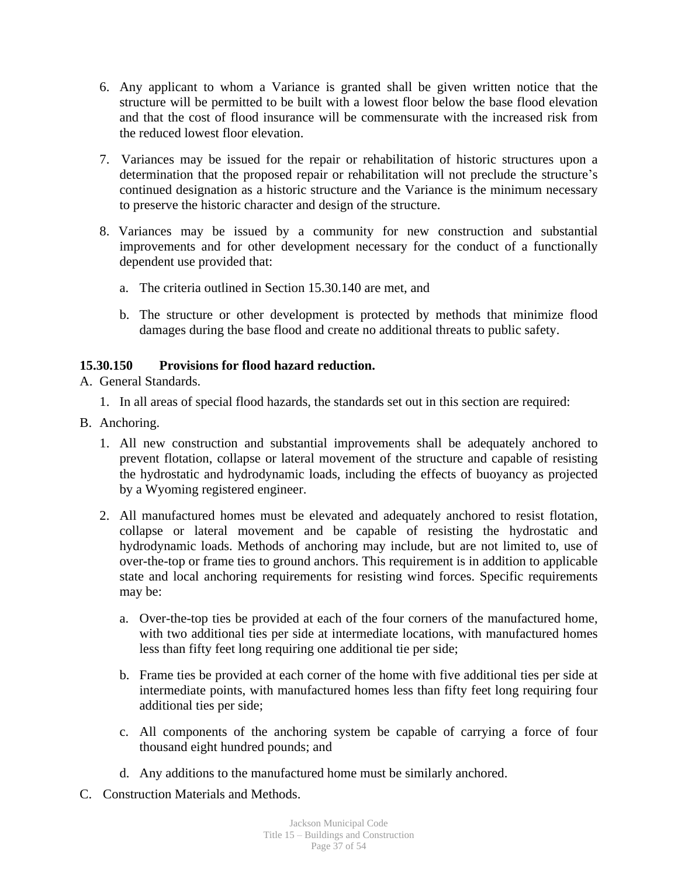- 6. Any applicant to whom a Variance is granted shall be given written notice that the structure will be permitted to be built with a lowest floor below the base flood elevation and that the cost of flood insurance will be commensurate with the increased risk from the reduced lowest floor elevation.
- 7. Variances may be issued for the repair or rehabilitation of historic structures upon a determination that the proposed repair or rehabilitation will not preclude the structure's continued designation as a historic structure and the Variance is the minimum necessary to preserve the historic character and design of the structure.
- 8. Variances may be issued by a community for new construction and substantial improvements and for other development necessary for the conduct of a functionally dependent use provided that:
	- a. The criteria outlined in Section 15.30.140 are met, and
	- b. The structure or other development is protected by methods that minimize flood damages during the base flood and create no additional threats to public safety.

# **15.30.150 Provisions for flood hazard reduction.**

- A. General Standards.
	- 1. In all areas of special flood hazards, the standards set out in this section are required:
- B. Anchoring.
	- 1. All new construction and substantial improvements shall be adequately anchored to prevent flotation, collapse or lateral movement of the structure and capable of resisting the hydrostatic and hydrodynamic loads, including the effects of buoyancy as projected by a Wyoming registered engineer.
	- 2. All manufactured homes must be elevated and adequately anchored to resist flotation, collapse or lateral movement and be capable of resisting the hydrostatic and hydrodynamic loads. Methods of anchoring may include, but are not limited to, use of over-the-top or frame ties to ground anchors. This requirement is in addition to applicable state and local anchoring requirements for resisting wind forces. Specific requirements may be:
		- a. Over-the-top ties be provided at each of the four corners of the manufactured home, with two additional ties per side at intermediate locations, with manufactured homes less than fifty feet long requiring one additional tie per side;
		- b. Frame ties be provided at each corner of the home with five additional ties per side at intermediate points, with manufactured homes less than fifty feet long requiring four additional ties per side;
		- c. All components of the anchoring system be capable of carrying a force of four thousand eight hundred pounds; and
		- d. Any additions to the manufactured home must be similarly anchored.
- C. Construction Materials and Methods.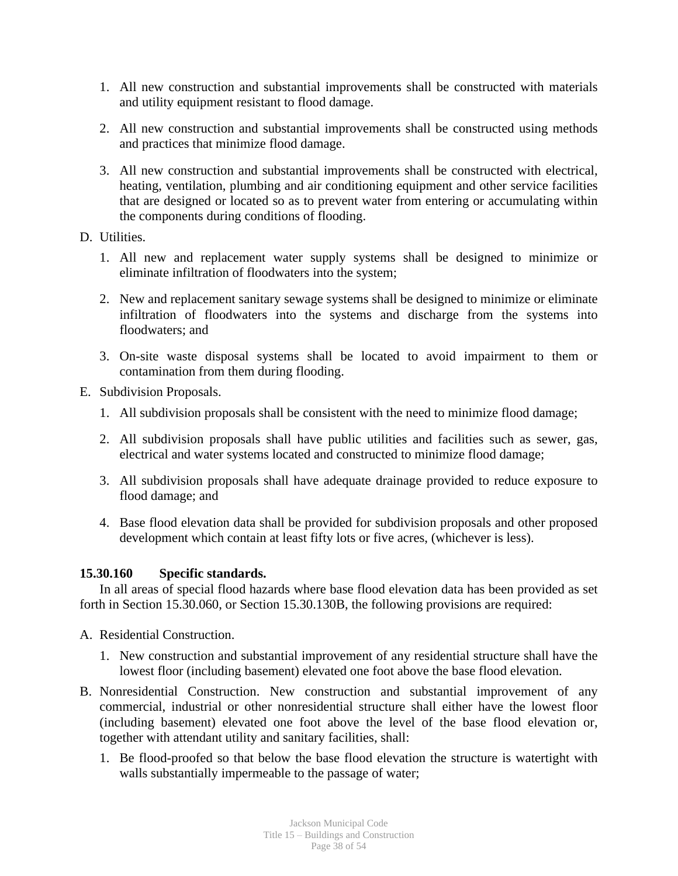- 1. All new construction and substantial improvements shall be constructed with materials and utility equipment resistant to flood damage.
- 2. All new construction and substantial improvements shall be constructed using methods and practices that minimize flood damage.
- 3. All new construction and substantial improvements shall be constructed with electrical, heating, ventilation, plumbing and air conditioning equipment and other service facilities that are designed or located so as to prevent water from entering or accumulating within the components during conditions of flooding.
- D. Utilities.
	- 1. All new and replacement water supply systems shall be designed to minimize or eliminate infiltration of floodwaters into the system;
	- 2. New and replacement sanitary sewage systems shall be designed to minimize or eliminate infiltration of floodwaters into the systems and discharge from the systems into floodwaters; and
	- 3. On-site waste disposal systems shall be located to avoid impairment to them or contamination from them during flooding.
- E. Subdivision Proposals.
	- 1. All subdivision proposals shall be consistent with the need to minimize flood damage;
	- 2. All subdivision proposals shall have public utilities and facilities such as sewer, gas, electrical and water systems located and constructed to minimize flood damage;
	- 3. All subdivision proposals shall have adequate drainage provided to reduce exposure to flood damage; and
	- 4. Base flood elevation data shall be provided for subdivision proposals and other proposed development which contain at least fifty lots or five acres, (whichever is less).

#### **15.30.160 Specific standards.**

In all areas of special flood hazards where base flood elevation data has been provided as set forth in Section 15.30.060, or Section 15.30.130B, the following provisions are required:

- A. Residential Construction.
	- 1. New construction and substantial improvement of any residential structure shall have the lowest floor (including basement) elevated one foot above the base flood elevation.
- B. Nonresidential Construction. New construction and substantial improvement of any commercial, industrial or other nonresidential structure shall either have the lowest floor (including basement) elevated one foot above the level of the base flood elevation or, together with attendant utility and sanitary facilities, shall:
	- 1. Be flood-proofed so that below the base flood elevation the structure is watertight with walls substantially impermeable to the passage of water;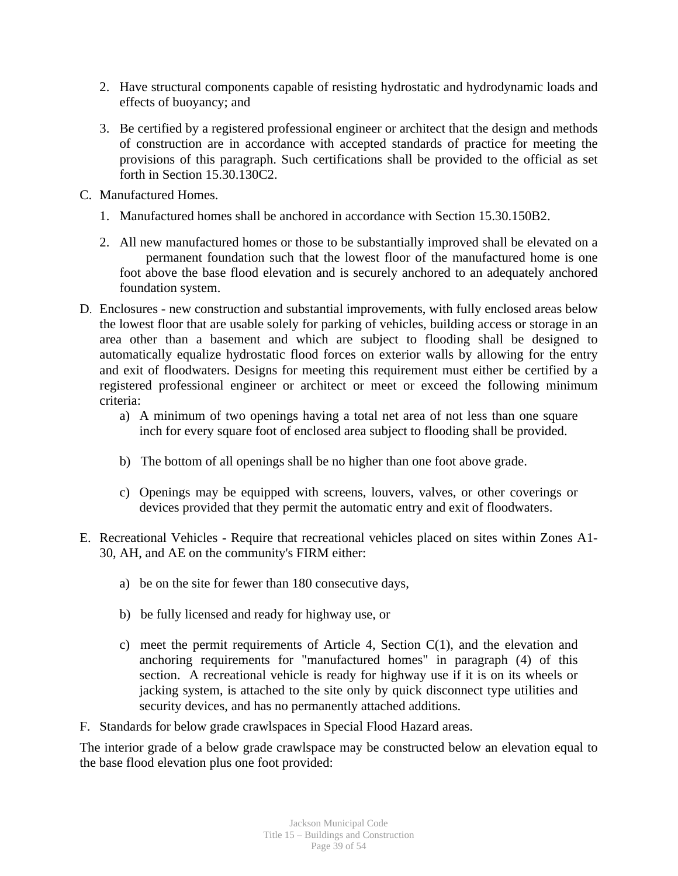- 2. Have structural components capable of resisting hydrostatic and hydrodynamic loads and effects of buoyancy; and
- 3. Be certified by a registered professional engineer or architect that the design and methods of construction are in accordance with accepted standards of practice for meeting the provisions of this paragraph. Such certifications shall be provided to the official as set forth in Section 15.30.130C2.
- C. Manufactured Homes.
	- 1. Manufactured homes shall be anchored in accordance with Section 15.30.150B2.
	- 2. All new manufactured homes or those to be substantially improved shall be elevated on a permanent foundation such that the lowest floor of the manufactured home is one foot above the base flood elevation and is securely anchored to an adequately anchored foundation system.
- D. Enclosures new construction and substantial improvements, with fully enclosed areas below the lowest floor that are usable solely for parking of vehicles, building access or storage in an area other than a basement and which are subject to flooding shall be designed to automatically equalize hydrostatic flood forces on exterior walls by allowing for the entry and exit of floodwaters. Designs for meeting this requirement must either be certified by a registered professional engineer or architect or meet or exceed the following minimum criteria:
	- a) A minimum of two openings having a total net area of not less than one square inch for every square foot of enclosed area subject to flooding shall be provided.
	- b) The bottom of all openings shall be no higher than one foot above grade.
	- c) Openings may be equipped with screens, louvers, valves, or other coverings or devices provided that they permit the automatic entry and exit of floodwaters.
- E. Recreational Vehicles **-** Require that recreational vehicles placed on sites within Zones A1- 30, AH, and AE on the community's FIRM either:
	- a) be on the site for fewer than 180 consecutive days,
	- b) be fully licensed and ready for highway use, or
	- c) meet the permit requirements of Article 4, Section C(1), and the elevation and anchoring requirements for "manufactured homes" in paragraph (4) of this section. A recreational vehicle is ready for highway use if it is on its wheels or jacking system, is attached to the site only by quick disconnect type utilities and security devices, and has no permanently attached additions.
- F. Standards for below grade crawlspaces in Special Flood Hazard areas.

The interior grade of a below grade crawlspace may be constructed below an elevation equal to the base flood elevation plus one foot provided: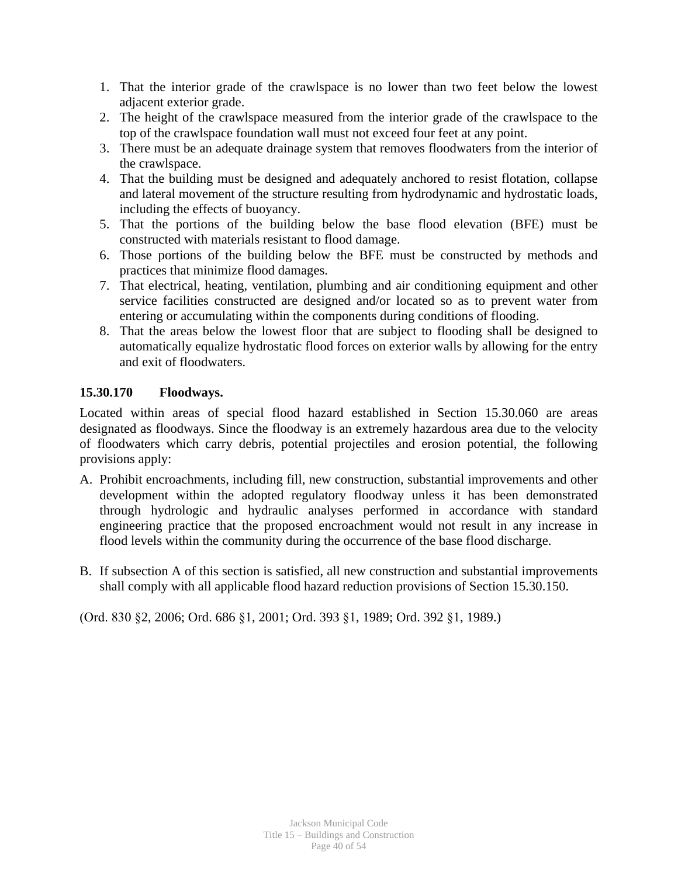- 1. That the interior grade of the crawlspace is no lower than two feet below the lowest adjacent exterior grade.
- 2. The height of the crawlspace measured from the interior grade of the crawlspace to the top of the crawlspace foundation wall must not exceed four feet at any point.
- 3. There must be an adequate drainage system that removes floodwaters from the interior of the crawlspace.
- 4. That the building must be designed and adequately anchored to resist flotation, collapse and lateral movement of the structure resulting from hydrodynamic and hydrostatic loads, including the effects of buoyancy.
- 5. That the portions of the building below the base flood elevation (BFE) must be constructed with materials resistant to flood damage.
- 6. Those portions of the building below the BFE must be constructed by methods and practices that minimize flood damages.
- 7. That electrical, heating, ventilation, plumbing and air conditioning equipment and other service facilities constructed are designed and/or located so as to prevent water from entering or accumulating within the components during conditions of flooding.
- 8. That the areas below the lowest floor that are subject to flooding shall be designed to automatically equalize hydrostatic flood forces on exterior walls by allowing for the entry and exit of floodwaters.

# **15.30.170 Floodways.**

Located within areas of special flood hazard established in Section 15.30.060 are areas designated as floodways. Since the floodway is an extremely hazardous area due to the velocity of floodwaters which carry debris, potential projectiles and erosion potential, the following provisions apply:

- A. Prohibit encroachments, including fill, new construction, substantial improvements and other development within the adopted regulatory floodway unless it has been demonstrated through hydrologic and hydraulic analyses performed in accordance with standard engineering practice that the proposed encroachment would not result in any increase in flood levels within the community during the occurrence of the base flood discharge.
- B. If subsection A of this section is satisfied, all new construction and substantial improvements shall comply with all applicable flood hazard reduction provisions of Section 15.30.150.

(Ord. 830 §2, 2006; Ord. 686 §1, 2001; Ord. 393 §1, 1989; Ord. 392 §1, 1989.)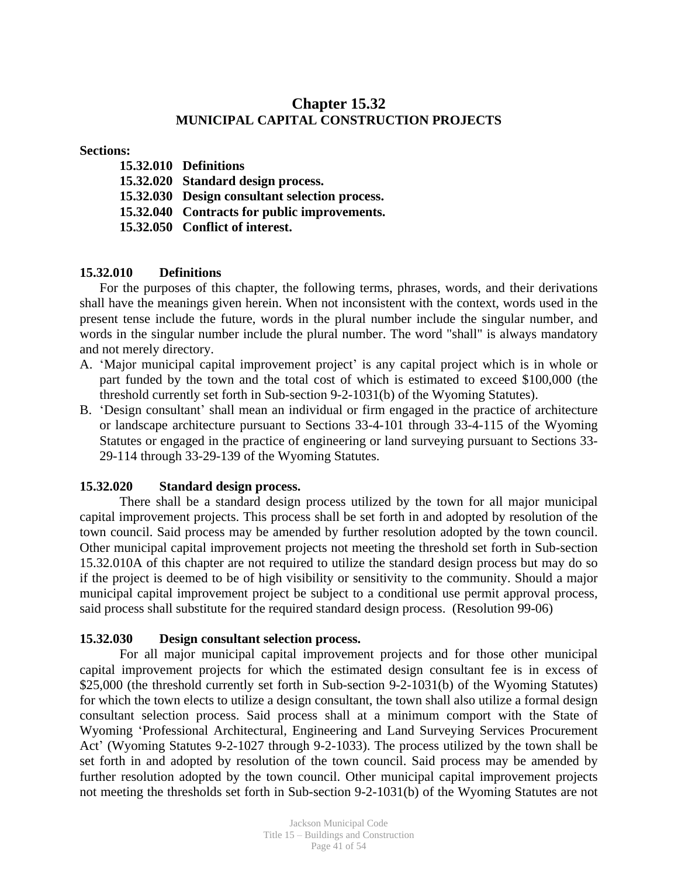# **Chapter 15.32 MUNICIPAL CAPITAL CONSTRUCTION PROJECTS**

#### **Sections:**

**15.32.010 Definitions 15.32.020 Standard design process. 15.32.030 Design consultant selection process. 15.32.040 Contracts for public improvements.**

**15.32.050 Conflict of interest.**

## **15.32.010 Definitions**

For the purposes of this chapter, the following terms, phrases, words, and their derivations shall have the meanings given herein. When not inconsistent with the context, words used in the present tense include the future, words in the plural number include the singular number, and words in the singular number include the plural number. The word "shall" is always mandatory and not merely directory.

- A. 'Major municipal capital improvement project' is any capital project which is in whole or part funded by the town and the total cost of which is estimated to exceed \$100,000 (the threshold currently set forth in Sub-section 9-2-1031(b) of the Wyoming Statutes).
- B. 'Design consultant' shall mean an individual or firm engaged in the practice of architecture or landscape architecture pursuant to Sections 33-4-101 through 33-4-115 of the Wyoming Statutes or engaged in the practice of engineering or land surveying pursuant to Sections 33- 29-114 through 33-29-139 of the Wyoming Statutes.

#### **15.32.020 Standard design process.**

There shall be a standard design process utilized by the town for all major municipal capital improvement projects. This process shall be set forth in and adopted by resolution of the town council. Said process may be amended by further resolution adopted by the town council. Other municipal capital improvement projects not meeting the threshold set forth in Sub-section 15.32.010A of this chapter are not required to utilize the standard design process but may do so if the project is deemed to be of high visibility or sensitivity to the community. Should a major municipal capital improvement project be subject to a conditional use permit approval process, said process shall substitute for the required standard design process. (Resolution 99-06)

## **15.32.030 Design consultant selection process.**

For all major municipal capital improvement projects and for those other municipal capital improvement projects for which the estimated design consultant fee is in excess of \$25,000 (the threshold currently set forth in Sub-section 9-2-1031(b) of the Wyoming Statutes) for which the town elects to utilize a design consultant, the town shall also utilize a formal design consultant selection process. Said process shall at a minimum comport with the State of Wyoming 'Professional Architectural, Engineering and Land Surveying Services Procurement Act' (Wyoming Statutes 9-2-1027 through 9-2-1033). The process utilized by the town shall be set forth in and adopted by resolution of the town council. Said process may be amended by further resolution adopted by the town council. Other municipal capital improvement projects not meeting the thresholds set forth in Sub-section 9-2-1031(b) of the Wyoming Statutes are not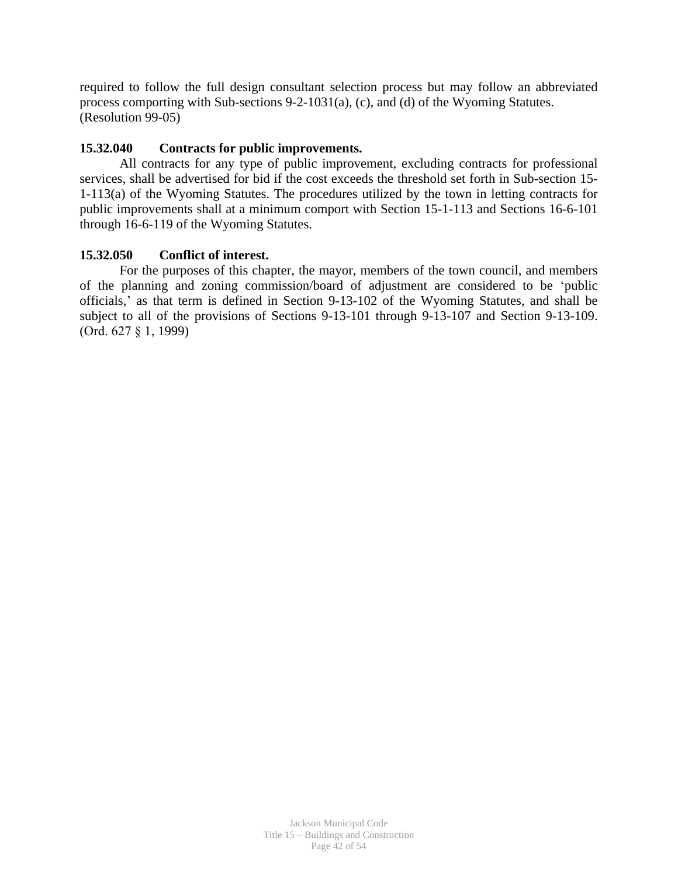required to follow the full design consultant selection process but may follow an abbreviated process comporting with Sub-sections 9-2-1031(a), (c), and (d) of the Wyoming Statutes. (Resolution 99-05)

## **15.32.040 Contracts for public improvements.**

All contracts for any type of public improvement, excluding contracts for professional services, shall be advertised for bid if the cost exceeds the threshold set forth in Sub-section 15- 1-113(a) of the Wyoming Statutes. The procedures utilized by the town in letting contracts for public improvements shall at a minimum comport with Section 15-1-113 and Sections 16-6-101 through 16-6-119 of the Wyoming Statutes.

# **15.32.050 Conflict of interest.**

For the purposes of this chapter, the mayor, members of the town council, and members of the planning and zoning commission/board of adjustment are considered to be 'public officials,' as that term is defined in Section 9-13-102 of the Wyoming Statutes, and shall be subject to all of the provisions of Sections 9-13-101 through 9-13-107 and Section 9-13-109. (Ord. 627 § 1, 1999)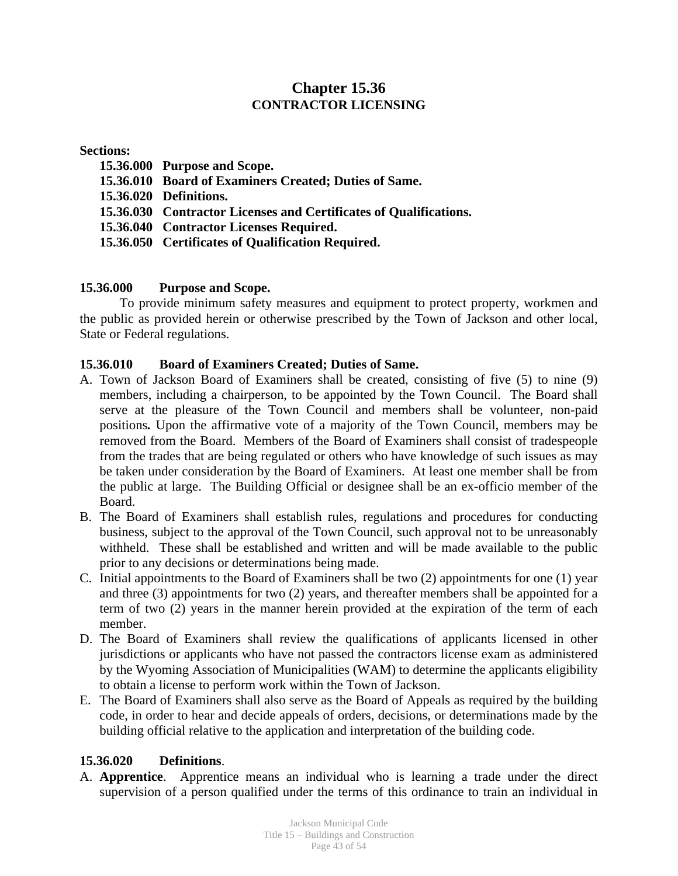# **Chapter 15.36 CONTRACTOR LICENSING**

#### **Sections:**

**15.36.000 Purpose and Scope. 15.36.010 Board of Examiners Created; Duties of Same. 15.36.020 Definitions. 15.36.030 Contractor Licenses and Certificates of Qualifications. 15.36.040 Contractor Licenses Required. 15.36.050 Certificates of Qualification Required.**

# **15.36.000 Purpose and Scope.**

To provide minimum safety measures and equipment to protect property, workmen and the public as provided herein or otherwise prescribed by the Town of Jackson and other local, State or Federal regulations.

## **15.36.010 Board of Examiners Created; Duties of Same.**

- A. Town of Jackson Board of Examiners shall be created, consisting of five (5) to nine (9) members, including a chairperson, to be appointed by the Town Council. The Board shall serve at the pleasure of the Town Council and members shall be volunteer, non-paid positions*.* Upon the affirmative vote of a majority of the Town Council, members may be removed from the Board. Members of the Board of Examiners shall consist of tradespeople from the trades that are being regulated or others who have knowledge of such issues as may be taken under consideration by the Board of Examiners. At least one member shall be from the public at large. The Building Official or designee shall be an ex-officio member of the Board.
- B. The Board of Examiners shall establish rules, regulations and procedures for conducting business, subject to the approval of the Town Council, such approval not to be unreasonably withheld. These shall be established and written and will be made available to the public prior to any decisions or determinations being made.
- C. Initial appointments to the Board of Examiners shall be two (2) appointments for one (1) year and three (3) appointments for two (2) years, and thereafter members shall be appointed for a term of two (2) years in the manner herein provided at the expiration of the term of each member.
- D. The Board of Examiners shall review the qualifications of applicants licensed in other jurisdictions or applicants who have not passed the contractors license exam as administered by the Wyoming Association of Municipalities (WAM) to determine the applicants eligibility to obtain a license to perform work within the Town of Jackson.
- E. The Board of Examiners shall also serve as the Board of Appeals as required by the building code, in order to hear and decide appeals of orders, decisions, or determinations made by the building official relative to the application and interpretation of the building code.

## **15.36.020 Definitions**.

A. **Apprentice**. Apprentice means an individual who is learning a trade under the direct supervision of a person qualified under the terms of this ordinance to train an individual in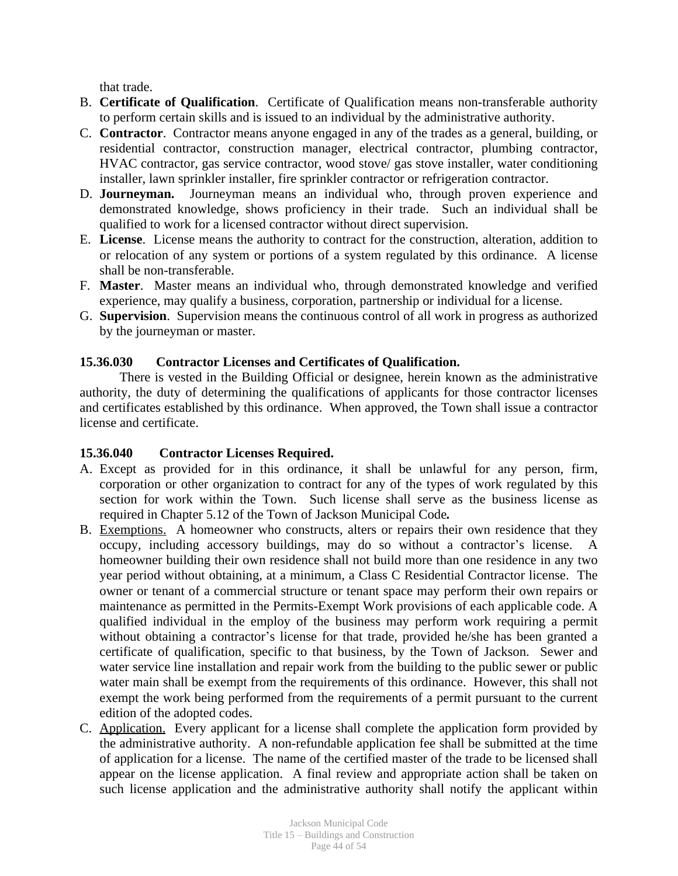that trade.

- B. **Certificate of Qualification**. Certificate of Qualification means non-transferable authority to perform certain skills and is issued to an individual by the administrative authority.
- C. **Contractor**. Contractor means anyone engaged in any of the trades as a general, building, or residential contractor, construction manager, electrical contractor, plumbing contractor, HVAC contractor, gas service contractor, wood stove/ gas stove installer, water conditioning installer, lawn sprinkler installer, fire sprinkler contractor or refrigeration contractor.
- D. **Journeyman.** Journeyman means an individual who, through proven experience and demonstrated knowledge, shows proficiency in their trade. Such an individual shall be qualified to work for a licensed contractor without direct supervision.
- E. **License**. License means the authority to contract for the construction, alteration, addition to or relocation of any system or portions of a system regulated by this ordinance. A license shall be non-transferable.
- F. **Master**. Master means an individual who, through demonstrated knowledge and verified experience, may qualify a business, corporation, partnership or individual for a license.
- G. **Supervision**. Supervision means the continuous control of all work in progress as authorized by the journeyman or master.

## **15.36.030 Contractor Licenses and Certificates of Qualification.**

There is vested in the Building Official or designee, herein known as the administrative authority, the duty of determining the qualifications of applicants for those contractor licenses and certificates established by this ordinance. When approved, the Town shall issue a contractor license and certificate.

## **15.36.040 Contractor Licenses Required.**

- A. Except as provided for in this ordinance, it shall be unlawful for any person, firm, corporation or other organization to contract for any of the types of work regulated by this section for work within the Town. Such license shall serve as the business license as required in Chapter 5.12 of the Town of Jackson Municipal Code*.*
- B. Exemptions. A homeowner who constructs, alters or repairs their own residence that they occupy, including accessory buildings, may do so without a contractor's license. A homeowner building their own residence shall not build more than one residence in any two year period without obtaining, at a minimum, a Class C Residential Contractor license. The owner or tenant of a commercial structure or tenant space may perform their own repairs or maintenance as permitted in the Permits-Exempt Work provisions of each applicable code. A qualified individual in the employ of the business may perform work requiring a permit without obtaining a contractor's license for that trade, provided he/she has been granted a certificate of qualification, specific to that business, by the Town of Jackson. Sewer and water service line installation and repair work from the building to the public sewer or public water main shall be exempt from the requirements of this ordinance. However, this shall not exempt the work being performed from the requirements of a permit pursuant to the current edition of the adopted codes.
- C. Application. Every applicant for a license shall complete the application form provided by the administrative authority. A non-refundable application fee shall be submitted at the time of application for a license. The name of the certified master of the trade to be licensed shall appear on the license application. A final review and appropriate action shall be taken on such license application and the administrative authority shall notify the applicant within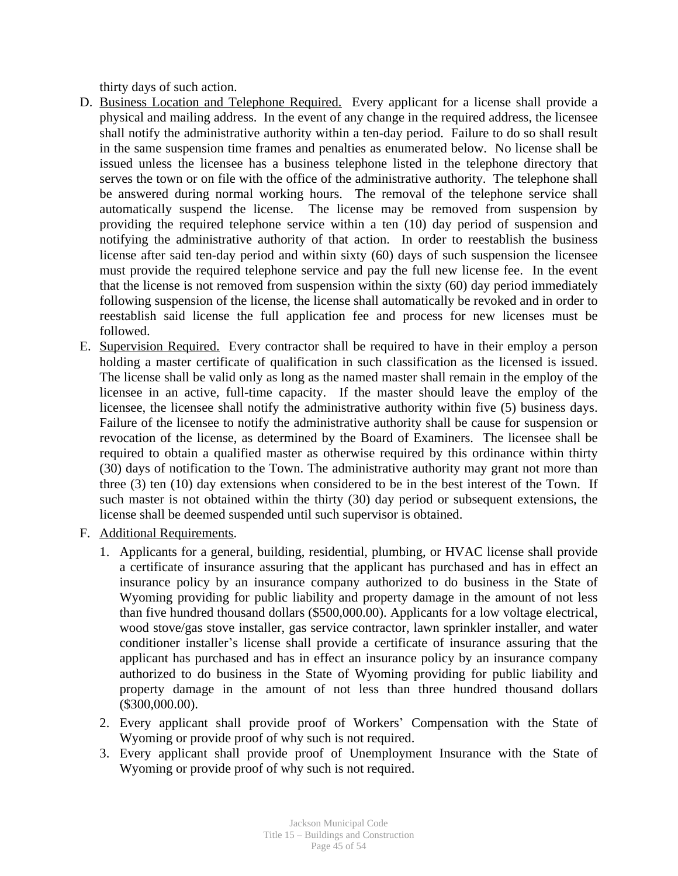thirty days of such action.

- D. Business Location and Telephone Required. Every applicant for a license shall provide a physical and mailing address. In the event of any change in the required address, the licensee shall notify the administrative authority within a ten-day period. Failure to do so shall result in the same suspension time frames and penalties as enumerated below. No license shall be issued unless the licensee has a business telephone listed in the telephone directory that serves the town or on file with the office of the administrative authority. The telephone shall be answered during normal working hours. The removal of the telephone service shall automatically suspend the license. The license may be removed from suspension by providing the required telephone service within a ten (10) day period of suspension and notifying the administrative authority of that action. In order to reestablish the business license after said ten-day period and within sixty (60) days of such suspension the licensee must provide the required telephone service and pay the full new license fee. In the event that the license is not removed from suspension within the sixty (60) day period immediately following suspension of the license, the license shall automatically be revoked and in order to reestablish said license the full application fee and process for new licenses must be followed.
- E. Supervision Required. Every contractor shall be required to have in their employ a person holding a master certificate of qualification in such classification as the licensed is issued. The license shall be valid only as long as the named master shall remain in the employ of the licensee in an active, full-time capacity. If the master should leave the employ of the licensee, the licensee shall notify the administrative authority within five (5) business days. Failure of the licensee to notify the administrative authority shall be cause for suspension or revocation of the license, as determined by the Board of Examiners. The licensee shall be required to obtain a qualified master as otherwise required by this ordinance within thirty (30) days of notification to the Town. The administrative authority may grant not more than three (3) ten (10) day extensions when considered to be in the best interest of the Town. If such master is not obtained within the thirty (30) day period or subsequent extensions, the license shall be deemed suspended until such supervisor is obtained.
- F. Additional Requirements.
	- 1. Applicants for a general, building, residential, plumbing, or HVAC license shall provide a certificate of insurance assuring that the applicant has purchased and has in effect an insurance policy by an insurance company authorized to do business in the State of Wyoming providing for public liability and property damage in the amount of not less than five hundred thousand dollars (\$500,000.00). Applicants for a low voltage electrical, wood stove/gas stove installer, gas service contractor, lawn sprinkler installer, and water conditioner installer's license shall provide a certificate of insurance assuring that the applicant has purchased and has in effect an insurance policy by an insurance company authorized to do business in the State of Wyoming providing for public liability and property damage in the amount of not less than three hundred thousand dollars (\$300,000.00).
	- 2. Every applicant shall provide proof of Workers' Compensation with the State of Wyoming or provide proof of why such is not required.
	- 3. Every applicant shall provide proof of Unemployment Insurance with the State of Wyoming or provide proof of why such is not required.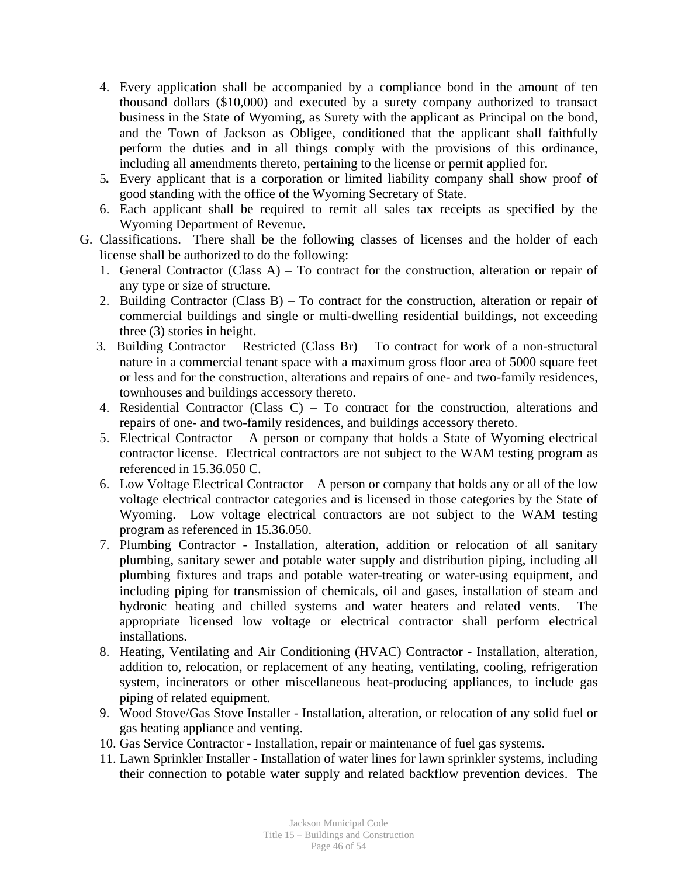- 4. Every application shall be accompanied by a compliance bond in the amount of ten thousand dollars (\$10,000) and executed by a surety company authorized to transact business in the State of Wyoming, as Surety with the applicant as Principal on the bond, and the Town of Jackson as Obligee, conditioned that the applicant shall faithfully perform the duties and in all things comply with the provisions of this ordinance, including all amendments thereto, pertaining to the license or permit applied for.
- 5*.* Every applicant that is a corporation or limited liability company shall show proof of good standing with the office of the Wyoming Secretary of State.
- 6. Each applicant shall be required to remit all sales tax receipts as specified by the Wyoming Department of Revenue*.*
- G. Classifications. There shall be the following classes of licenses and the holder of each license shall be authorized to do the following:
	- 1. General Contractor (Class A) To contract for the construction, alteration or repair of any type or size of structure.
	- 2. Building Contractor (Class B) To contract for the construction, alteration or repair of commercial buildings and single or multi-dwelling residential buildings, not exceeding three (3) stories in height.
	- 3. Building Contractor Restricted (Class Br) To contract for work of a non-structural nature in a commercial tenant space with a maximum gross floor area of 5000 square feet or less and for the construction, alterations and repairs of one- and two-family residences, townhouses and buildings accessory thereto.
	- 4. Residential Contractor (Class C) To contract for the construction, alterations and repairs of one- and two-family residences, and buildings accessory thereto.
	- 5. Electrical Contractor A person or company that holds a State of Wyoming electrical contractor license. Electrical contractors are not subject to the WAM testing program as referenced in 15.36.050 C.
	- 6. Low Voltage Electrical Contractor A person or company that holds any or all of the low voltage electrical contractor categories and is licensed in those categories by the State of Wyoming. Low voltage electrical contractors are not subject to the WAM testing program as referenced in 15.36.050.
	- 7. Plumbing Contractor Installation, alteration, addition or relocation of all sanitary plumbing, sanitary sewer and potable water supply and distribution piping, including all plumbing fixtures and traps and potable water-treating or water-using equipment, and including piping for transmission of chemicals, oil and gases, installation of steam and hydronic heating and chilled systems and water heaters and related vents. The appropriate licensed low voltage or electrical contractor shall perform electrical installations.
	- 8. Heating, Ventilating and Air Conditioning (HVAC) Contractor Installation, alteration, addition to, relocation, or replacement of any heating, ventilating, cooling, refrigeration system, incinerators or other miscellaneous heat-producing appliances, to include gas piping of related equipment.
	- 9. Wood Stove/Gas Stove Installer Installation, alteration, or relocation of any solid fuel or gas heating appliance and venting.
	- 10. Gas Service Contractor Installation, repair or maintenance of fuel gas systems.
	- 11. Lawn Sprinkler Installer Installation of water lines for lawn sprinkler systems, including their connection to potable water supply and related backflow prevention devices. The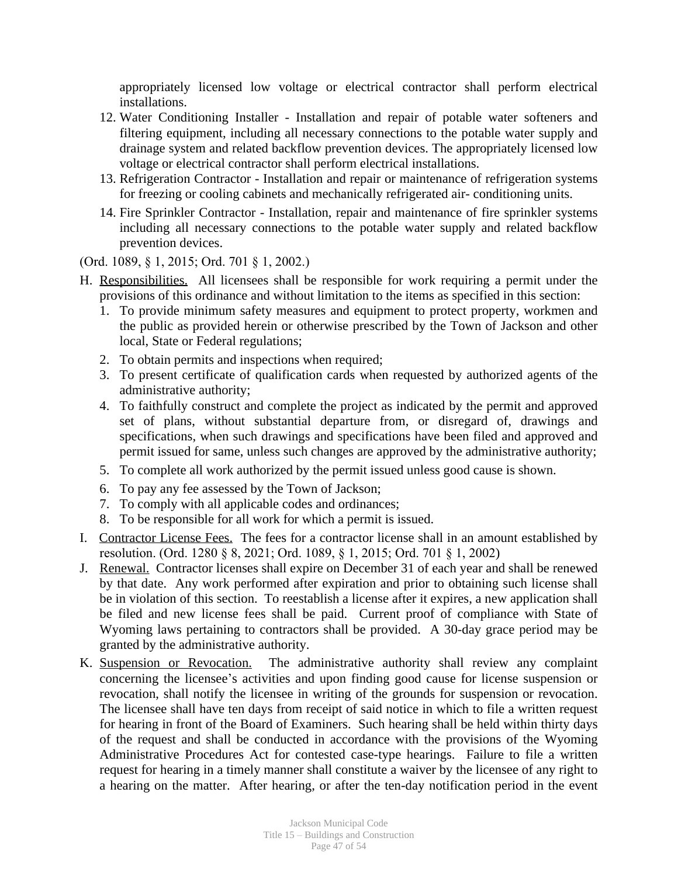appropriately licensed low voltage or electrical contractor shall perform electrical installations.

- 12. Water Conditioning Installer Installation and repair of potable water softeners and filtering equipment, including all necessary connections to the potable water supply and drainage system and related backflow prevention devices. The appropriately licensed low voltage or electrical contractor shall perform electrical installations.
- 13. Refrigeration Contractor Installation and repair or maintenance of refrigeration systems for freezing or cooling cabinets and mechanically refrigerated air- conditioning units.
- 14. Fire Sprinkler Contractor Installation, repair and maintenance of fire sprinkler systems including all necessary connections to the potable water supply and related backflow prevention devices.

(Ord. 1089, § 1, 2015; Ord. 701 § 1, 2002.)

- H. Responsibilities. All licensees shall be responsible for work requiring a permit under the provisions of this ordinance and without limitation to the items as specified in this section:
	- 1. To provide minimum safety measures and equipment to protect property, workmen and the public as provided herein or otherwise prescribed by the Town of Jackson and other local, State or Federal regulations;
	- 2. To obtain permits and inspections when required;
	- 3. To present certificate of qualification cards when requested by authorized agents of the administrative authority;
	- 4. To faithfully construct and complete the project as indicated by the permit and approved set of plans, without substantial departure from, or disregard of, drawings and specifications, when such drawings and specifications have been filed and approved and permit issued for same, unless such changes are approved by the administrative authority;
	- 5. To complete all work authorized by the permit issued unless good cause is shown.
	- 6. To pay any fee assessed by the Town of Jackson;
	- 7. To comply with all applicable codes and ordinances;
	- 8. To be responsible for all work for which a permit is issued.
- I. Contractor License Fees. The fees for a contractor license shall in an amount established by resolution. (Ord. 1280 § 8, 2021; Ord. 1089, § 1, 2015; Ord. 701 § 1, 2002)
- J. Renewal. Contractor licenses shall expire on December 31 of each year and shall be renewed by that date. Any work performed after expiration and prior to obtaining such license shall be in violation of this section. To reestablish a license after it expires, a new application shall be filed and new license fees shall be paid. Current proof of compliance with State of Wyoming laws pertaining to contractors shall be provided. A 30-day grace period may be granted by the administrative authority.
- K. Suspension or Revocation. The administrative authority shall review any complaint concerning the licensee's activities and upon finding good cause for license suspension or revocation, shall notify the licensee in writing of the grounds for suspension or revocation. The licensee shall have ten days from receipt of said notice in which to file a written request for hearing in front of the Board of Examiners. Such hearing shall be held within thirty days of the request and shall be conducted in accordance with the provisions of the Wyoming Administrative Procedures Act for contested case-type hearings. Failure to file a written request for hearing in a timely manner shall constitute a waiver by the licensee of any right to a hearing on the matter. After hearing, or after the ten-day notification period in the event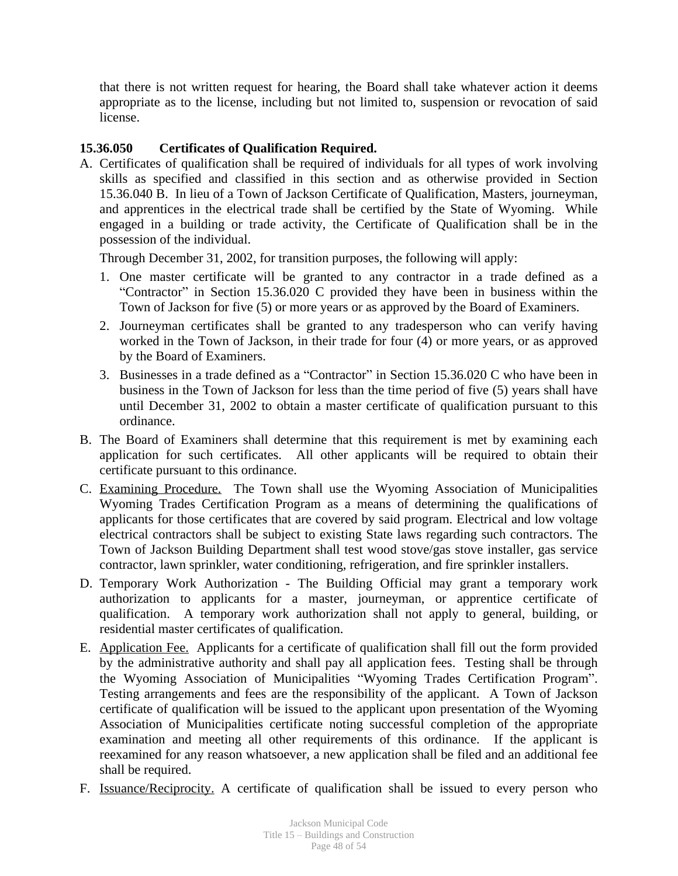that there is not written request for hearing, the Board shall take whatever action it deems appropriate as to the license, including but not limited to, suspension or revocation of said license.

# **15.36.050 Certificates of Qualification Required.**

A. Certificates of qualification shall be required of individuals for all types of work involving skills as specified and classified in this section and as otherwise provided in Section 15.36.040 B. In lieu of a Town of Jackson Certificate of Qualification, Masters, journeyman, and apprentices in the electrical trade shall be certified by the State of Wyoming. While engaged in a building or trade activity, the Certificate of Qualification shall be in the possession of the individual.

Through December 31, 2002, for transition purposes, the following will apply:

- 1. One master certificate will be granted to any contractor in a trade defined as a "Contractor" in Section 15.36.020 C provided they have been in business within the Town of Jackson for five (5) or more years or as approved by the Board of Examiners.
- 2. Journeyman certificates shall be granted to any tradesperson who can verify having worked in the Town of Jackson, in their trade for four (4) or more years, or as approved by the Board of Examiners.
- 3. Businesses in a trade defined as a "Contractor" in Section 15.36.020 C who have been in business in the Town of Jackson for less than the time period of five (5) years shall have until December 31, 2002 to obtain a master certificate of qualification pursuant to this ordinance.
- B. The Board of Examiners shall determine that this requirement is met by examining each application for such certificates. All other applicants will be required to obtain their certificate pursuant to this ordinance.
- C. Examining Procedure. The Town shall use the Wyoming Association of Municipalities Wyoming Trades Certification Program as a means of determining the qualifications of applicants for those certificates that are covered by said program. Electrical and low voltage electrical contractors shall be subject to existing State laws regarding such contractors. The Town of Jackson Building Department shall test wood stove/gas stove installer, gas service contractor, lawn sprinkler, water conditioning, refrigeration, and fire sprinkler installers.
- D. Temporary Work Authorization The Building Official may grant a temporary work authorization to applicants for a master, journeyman, or apprentice certificate of qualification. A temporary work authorization shall not apply to general, building, or residential master certificates of qualification.
- E. Application Fee. Applicants for a certificate of qualification shall fill out the form provided by the administrative authority and shall pay all application fees. Testing shall be through the Wyoming Association of Municipalities "Wyoming Trades Certification Program". Testing arrangements and fees are the responsibility of the applicant. A Town of Jackson certificate of qualification will be issued to the applicant upon presentation of the Wyoming Association of Municipalities certificate noting successful completion of the appropriate examination and meeting all other requirements of this ordinance. If the applicant is reexamined for any reason whatsoever, a new application shall be filed and an additional fee shall be required.
- F. Issuance/Reciprocity. A certificate of qualification shall be issued to every person who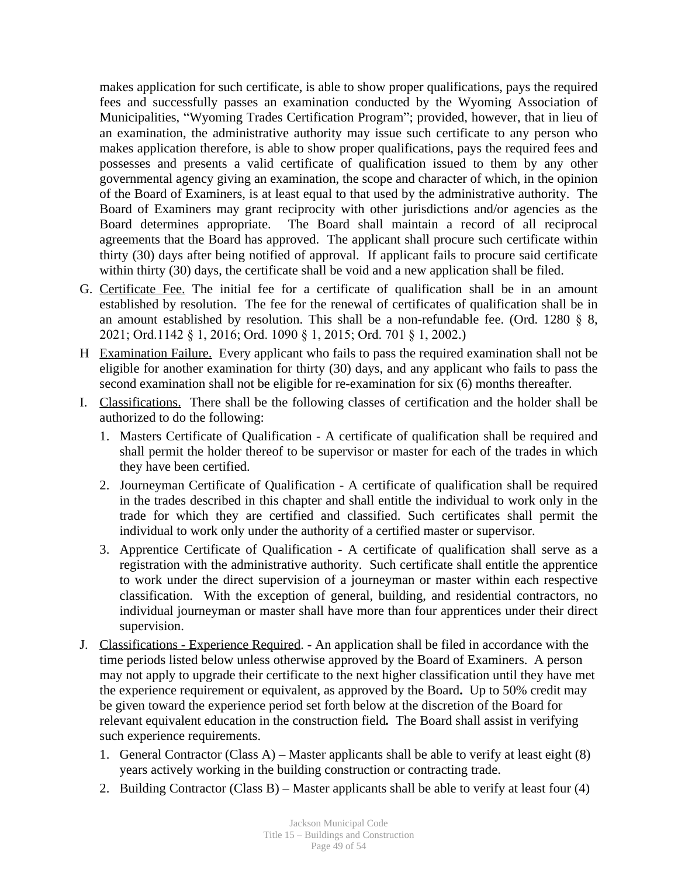makes application for such certificate, is able to show proper qualifications, pays the required fees and successfully passes an examination conducted by the Wyoming Association of Municipalities, "Wyoming Trades Certification Program"; provided, however, that in lieu of an examination, the administrative authority may issue such certificate to any person who makes application therefore, is able to show proper qualifications, pays the required fees and possesses and presents a valid certificate of qualification issued to them by any other governmental agency giving an examination, the scope and character of which, in the opinion of the Board of Examiners, is at least equal to that used by the administrative authority. The Board of Examiners may grant reciprocity with other jurisdictions and/or agencies as the Board determines appropriate. The Board shall maintain a record of all reciprocal agreements that the Board has approved. The applicant shall procure such certificate within thirty (30) days after being notified of approval. If applicant fails to procure said certificate within thirty (30) days, the certificate shall be void and a new application shall be filed.

- G. Certificate Fee. The initial fee for a certificate of qualification shall be in an amount established by resolution. The fee for the renewal of certificates of qualification shall be in an amount established by resolution. This shall be a non-refundable fee. (Ord. 1280  $\S$  8, 2021; Ord.1142 § 1, 2016; Ord. 1090 § 1, 2015; Ord. 701 § 1, 2002.)
- H Examination Failure. Every applicant who fails to pass the required examination shall not be eligible for another examination for thirty (30) days, and any applicant who fails to pass the second examination shall not be eligible for re-examination for six (6) months thereafter.
- I. Classifications. There shall be the following classes of certification and the holder shall be authorized to do the following:
	- 1. Masters Certificate of Qualification A certificate of qualification shall be required and shall permit the holder thereof to be supervisor or master for each of the trades in which they have been certified.
	- 2. Journeyman Certificate of Qualification A certificate of qualification shall be required in the trades described in this chapter and shall entitle the individual to work only in the trade for which they are certified and classified. Such certificates shall permit the individual to work only under the authority of a certified master or supervisor.
	- 3. Apprentice Certificate of Qualification A certificate of qualification shall serve as a registration with the administrative authority. Such certificate shall entitle the apprentice to work under the direct supervision of a journeyman or master within each respective classification. With the exception of general, building, and residential contractors, no individual journeyman or master shall have more than four apprentices under their direct supervision.
- J. Classifications Experience Required. An application shall be filed in accordance with the time periods listed below unless otherwise approved by the Board of Examiners. A person may not apply to upgrade their certificate to the next higher classification until they have met the experience requirement or equivalent, as approved by the Board**.** Up to 50% credit may be given toward the experience period set forth below at the discretion of the Board for relevant equivalent education in the construction field*.* The Board shall assist in verifying such experience requirements.
	- 1. General Contractor (Class A) Master applicants shall be able to verify at least eight (8) years actively working in the building construction or contracting trade.
	- 2. Building Contractor (Class B) Master applicants shall be able to verify at least four (4)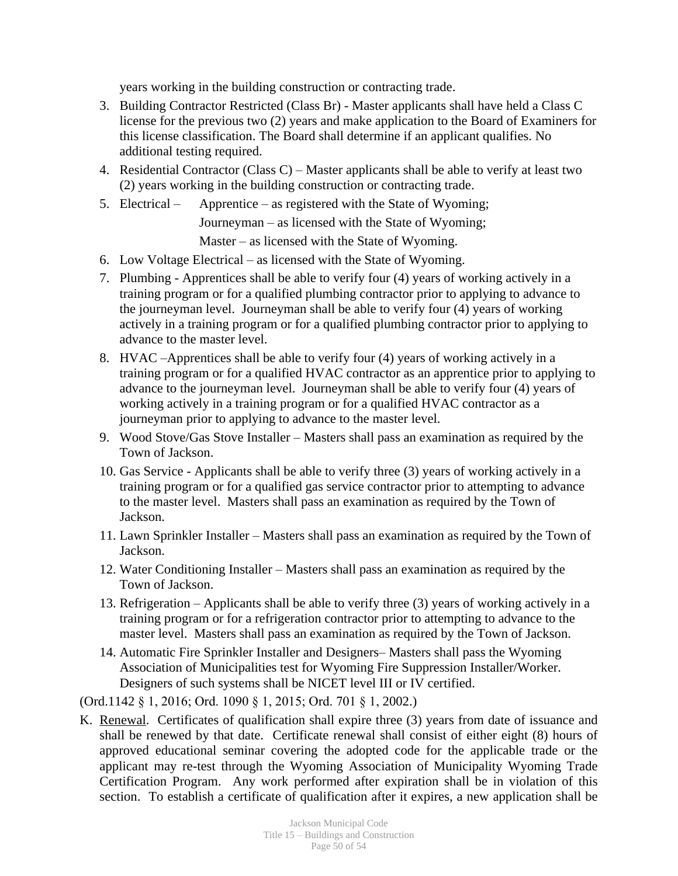years working in the building construction or contracting trade.

- 3. Building Contractor Restricted (Class Br) Master applicants shall have held a Class C license for the previous two (2) years and make application to the Board of Examiners for this license classification. The Board shall determine if an applicant qualifies. No additional testing required.
- 4. Residential Contractor (Class C) Master applicants shall be able to verify at least two (2) years working in the building construction or contracting trade.
- 5. Electrical Apprentice as registered with the State of Wyoming;

Journeyman – as licensed with the State of Wyoming;

Master – as licensed with the State of Wyoming.

- 6. Low Voltage Electrical as licensed with the State of Wyoming.
- 7. Plumbing Apprentices shall be able to verify four (4) years of working actively in a training program or for a qualified plumbing contractor prior to applying to advance to the journeyman level. Journeyman shall be able to verify four (4) years of working actively in a training program or for a qualified plumbing contractor prior to applying to advance to the master level.
- 8. HVAC –Apprentices shall be able to verify four (4) years of working actively in a training program or for a qualified HVAC contractor as an apprentice prior to applying to advance to the journeyman level. Journeyman shall be able to verify four (4) years of working actively in a training program or for a qualified HVAC contractor as a journeyman prior to applying to advance to the master level.
- 9. Wood Stove/Gas Stove Installer Masters shall pass an examination as required by the Town of Jackson.
- 10. Gas Service Applicants shall be able to verify three (3) years of working actively in a training program or for a qualified gas service contractor prior to attempting to advance to the master level. Masters shall pass an examination as required by the Town of Jackson.
- 11. Lawn Sprinkler Installer Masters shall pass an examination as required by the Town of Jackson.
- 12. Water Conditioning Installer Masters shall pass an examination as required by the Town of Jackson.
- 13. Refrigeration Applicants shall be able to verify three (3) years of working actively in a training program or for a refrigeration contractor prior to attempting to advance to the master level. Masters shall pass an examination as required by the Town of Jackson.
- 14. Automatic Fire Sprinkler Installer and Designers– Masters shall pass the Wyoming Association of Municipalities test for Wyoming Fire Suppression Installer/Worker. Designers of such systems shall be NICET level III or IV certified.

(Ord.1142 § 1, 2016; Ord. 1090 § 1, 2015; Ord. 701 § 1, 2002.)

K. Renewal. Certificates of qualification shall expire three (3) years from date of issuance and shall be renewed by that date. Certificate renewal shall consist of either eight (8) hours of approved educational seminar covering the adopted code for the applicable trade or the applicant may re-test through the Wyoming Association of Municipality Wyoming Trade Certification Program. Any work performed after expiration shall be in violation of this section. To establish a certificate of qualification after it expires, a new application shall be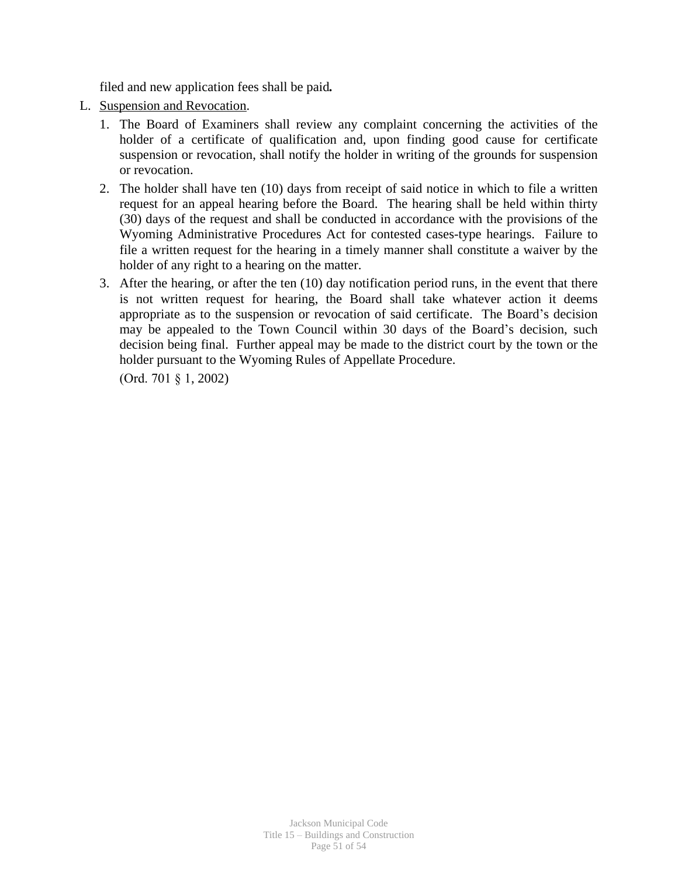filed and new application fees shall be paid*.*

- L. Suspension and Revocation.
	- 1. The Board of Examiners shall review any complaint concerning the activities of the holder of a certificate of qualification and, upon finding good cause for certificate suspension or revocation, shall notify the holder in writing of the grounds for suspension or revocation.
	- 2. The holder shall have ten (10) days from receipt of said notice in which to file a written request for an appeal hearing before the Board. The hearing shall be held within thirty (30) days of the request and shall be conducted in accordance with the provisions of the Wyoming Administrative Procedures Act for contested cases-type hearings. Failure to file a written request for the hearing in a timely manner shall constitute a waiver by the holder of any right to a hearing on the matter.
	- 3. After the hearing, or after the ten (10) day notification period runs, in the event that there is not written request for hearing, the Board shall take whatever action it deems appropriate as to the suspension or revocation of said certificate. The Board's decision may be appealed to the Town Council within 30 days of the Board's decision, such decision being final. Further appeal may be made to the district court by the town or the holder pursuant to the Wyoming Rules of Appellate Procedure.

(Ord. 701 § 1, 2002)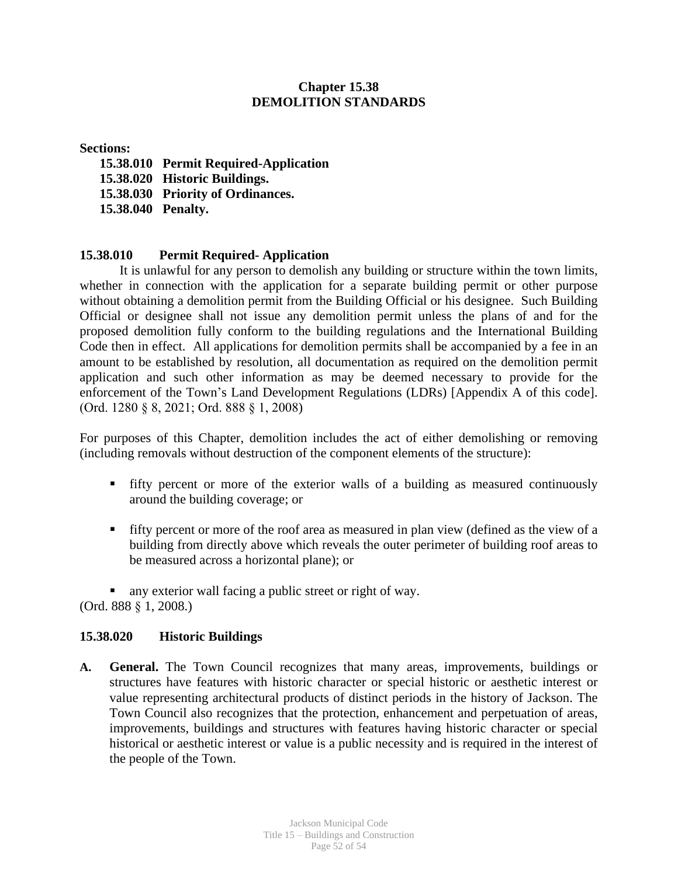# **Chapter 15.38 DEMOLITION STANDARDS**

#### **Sections:**

- **15.38.010 Permit Required-Application**
- **15.38.020 Historic Buildings.**
- **15.38.030 Priority of Ordinances.**
- **15.38.040 Penalty.**

## **15.38.010 Permit Required- Application**

It is unlawful for any person to demolish any building or structure within the town limits, whether in connection with the application for a separate building permit or other purpose without obtaining a demolition permit from the Building Official or his designee. Such Building Official or designee shall not issue any demolition permit unless the plans of and for the proposed demolition fully conform to the building regulations and the International Building Code then in effect. All applications for demolition permits shall be accompanied by a fee in an amount to be established by resolution, all documentation as required on the demolition permit application and such other information as may be deemed necessary to provide for the enforcement of the Town's Land Development Regulations (LDRs) [Appendix A of this code]. (Ord. 1280 § 8, 2021; Ord. 888 § 1, 2008)

For purposes of this Chapter, demolition includes the act of either demolishing or removing (including removals without destruction of the component elements of the structure):

- fifty percent or more of the exterior walls of a building as measured continuously around the building coverage; or
- fifty percent or more of the roof area as measured in plan view (defined as the view of a building from directly above which reveals the outer perimeter of building roof areas to be measured across a horizontal plane); or

any exterior wall facing a public street or right of way.

(Ord. 888 § 1, 2008.)

## **15.38.020 Historic Buildings**

**A. General.** The Town Council recognizes that many areas, improvements, buildings or structures have features with historic character or special historic or aesthetic interest or value representing architectural products of distinct periods in the history of Jackson. The Town Council also recognizes that the protection, enhancement and perpetuation of areas, improvements, buildings and structures with features having historic character or special historical or aesthetic interest or value is a public necessity and is required in the interest of the people of the Town.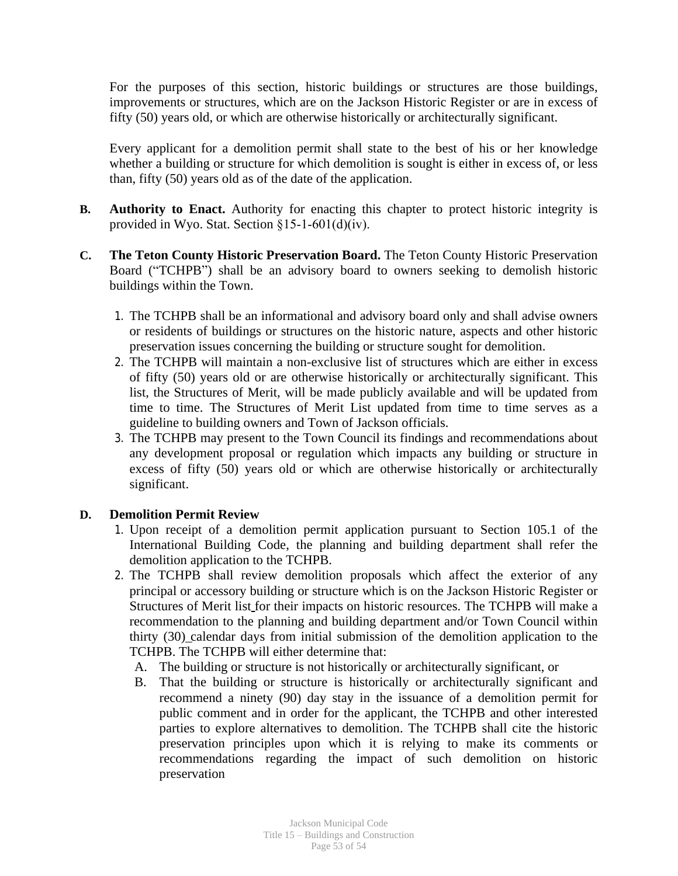For the purposes of this section, historic buildings or structures are those buildings, improvements or structures, which are on the Jackson Historic Register or are in excess of fifty (50) years old, or which are otherwise historically or architecturally significant.

Every applicant for a demolition permit shall state to the best of his or her knowledge whether a building or structure for which demolition is sought is either in excess of, or less than, fifty (50) years old as of the date of the application.

- **B. Authority to Enact.** Authority for enacting this chapter to protect historic integrity is provided in Wyo. Stat. Section §15-1-601(d)(iv).
- **C. The Teton County Historic Preservation Board.** The Teton County Historic Preservation Board ("TCHPB") shall be an advisory board to owners seeking to demolish historic buildings within the Town.
	- 1. The TCHPB shall be an informational and advisory board only and shall advise owners or residents of buildings or structures on the historic nature, aspects and other historic preservation issues concerning the building or structure sought for demolition.
	- 2. The TCHPB will maintain a non-exclusive list of structures which are either in excess of fifty (50) years old or are otherwise historically or architecturally significant. This list, the Structures of Merit, will be made publicly available and will be updated from time to time. The Structures of Merit List updated from time to time serves as a guideline to building owners and Town of Jackson officials.
	- 3. The TCHPB may present to the Town Council its findings and recommendations about any development proposal or regulation which impacts any building or structure in excess of fifty (50) years old or which are otherwise historically or architecturally significant.

## **D. Demolition Permit Review**

- 1. Upon receipt of a demolition permit application pursuant to Section 105.1 of the International Building Code, the planning and building department shall refer the demolition application to the TCHPB.
- 2. The TCHPB shall review demolition proposals which affect the exterior of any principal or accessory building or structure which is on the Jackson Historic Register or Structures of Merit list for their impacts on historic resources. The TCHPB will make a recommendation to the planning and building department and/or Town Council within thirty (30) calendar days from initial submission of the demolition application to the TCHPB. The TCHPB will either determine that:
	- A. The building or structure is not historically or architecturally significant, or
	- B. That the building or structure is historically or architecturally significant and recommend a ninety (90) day stay in the issuance of a demolition permit for public comment and in order for the applicant, the TCHPB and other interested parties to explore alternatives to demolition. The TCHPB shall cite the historic preservation principles upon which it is relying to make its comments or recommendations regarding the impact of such demolition on historic preservation